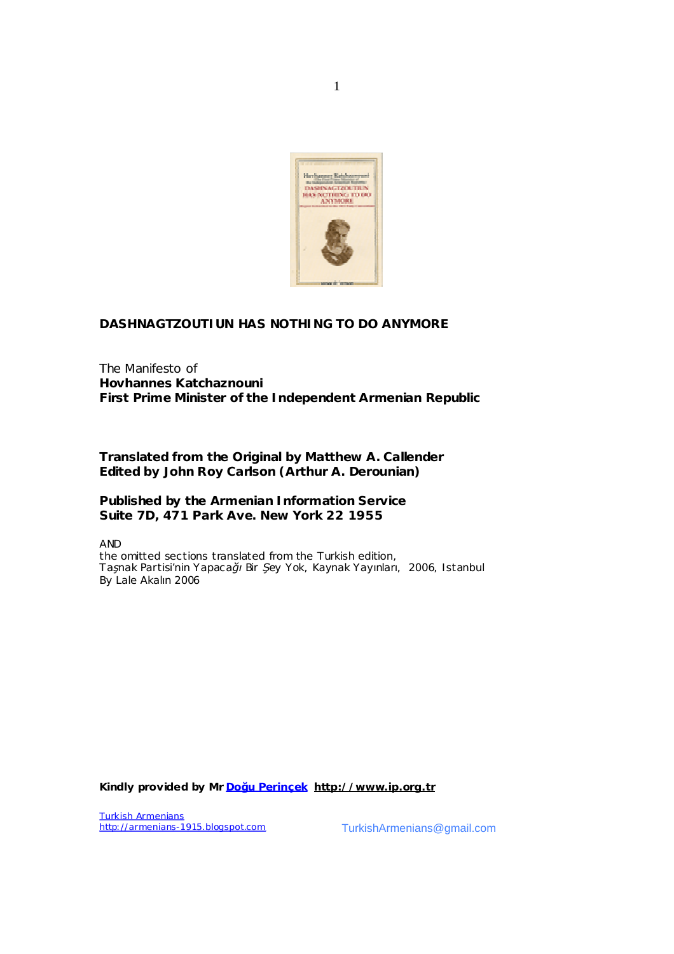

1

# **DASHNAGTZOUTIUN HAS NOTHING TO DO ANYMORE**

The Manifesto of **Hovhannes Katchaznouni First Prime Minister of the Independent Armenian Republic** 

**Translated from the Original by Matthew A. Callender Edited by John Roy Carlson (Arthur A. Derounian)** 

**Published by the Armenian Information Service Suite 7D, 471 Park Ave. New York 22 1955** 

AND

the omitted sections translated from the Turkish edition, *Taşnak Partisi'nin Yapacağı Bir Şey Yok*, Kaynak Yayınları, 2006, Istanbul By Lale Akalın 2006

**Kindly provided by Mr Doğu Perinçek <http://www.ip.org.tr>**

**Turkish Armenians**<br>http://armenians-1915.blogspot.com

T[urkishArmenians@gmail.co](mailto:armenians.1915@gmail.com)m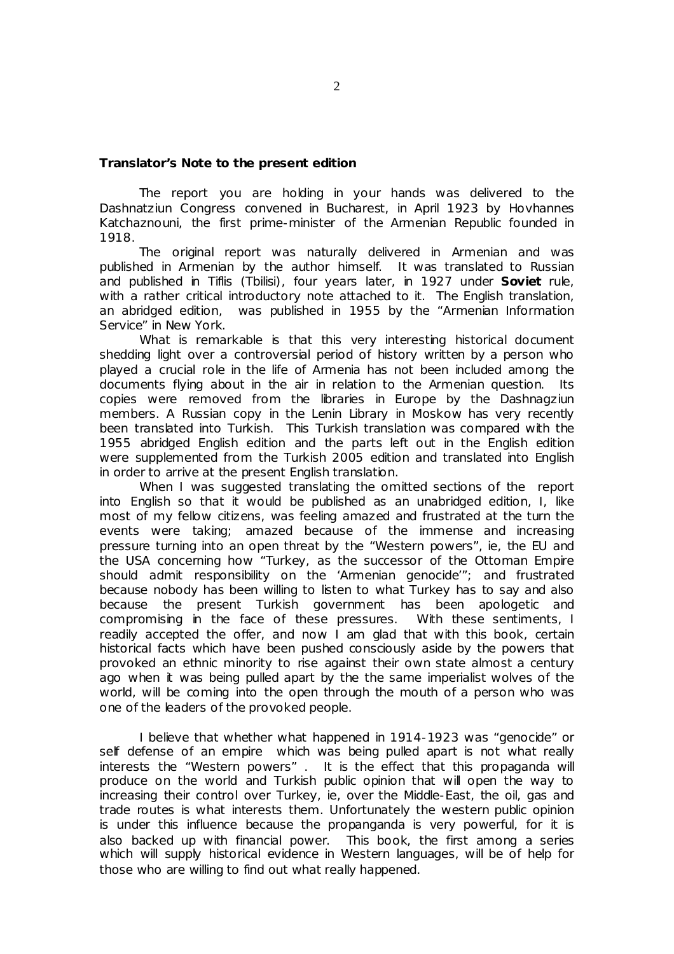### **Translator's Note to the present edition**

The report you are holding in your hands was delivered to the Dashnatziun Congress convened in Bucharest, in April 1923 by Hovhannes Katchaznouni, the first prime-minister of the Armenian Republic founded in 1918.

The original report was naturally delivered in Armenian and was published in Armenian by the author himself. It was translated to Russian and published in Tiflis (Tbilisi), four years later, in 1927 under **Soviet** rule, with a rather critical introductory note attached to it. The English translation, an abridged edition, was published in 1955 by the "Armenian Information Service" in New York.

What is remarkable is that this very interesting historical document shedding light over a controversial period of history written by a person who played a crucial role in the life of Armenia has not been included among the documents flying about in the air in relation to the Armenian question. Its copies were removed from the libraries in Europe by the Dashnagziun members. A Russian copy in the Lenin Library in Moskow has very recently been translated into Turkish. This Turkish translation was compared with the 1955 abridged English edition and the parts left out in the English edition were supplemented from the Turkish 2005 edition and translated into English in order to arrive at the present English translation.

When I was suggested translating the omitted sections of the report into English so that it would be published as an unabridged edition, I, like most of my fellow citizens, was feeling amazed and frustrated at the turn the events were taking; amazed because of the immense and increasing pressure turning into an open threat by the "Western powers", ie, the EU and the USA concerning how "Turkey, as the successor of the Ottoman Empire should admit responsibility on the 'Armenian genocide'"; and frustrated because nobody has been willing to listen to what Turkey has to say and also because the present Turkish government has been apologetic and compromising in the face of these pressures. With these sentiments, I readily accepted the offer, and now I am glad that with this book, certain historical facts which have been pushed consciously aside by the powers that provoked an ethnic minority to rise against their own state almost a century ago when it was being pulled apart by the the same imperialist wolves of the world, will be coming into the open through the mouth of a person who was one of the leaders of the provoked people.

I believe that whether what happened in 1914-1923 was "genocide" or self defense of an empire which was being pulled apart is not what really interests the "Western powers" . It is the effect that this propaganda will produce on the world and Turkish public opinion that will open the way to increasing their control over Turkey, ie, over the Middle-East, the oil, gas and trade routes is what interests them. Unfortunately the western public opinion is under this influence because the propanganda is very powerful, for it is also backed up with financial power. This book, the first among a series which will supply historical evidence in Western languages, will be of help for those who are willing to find out what really happened.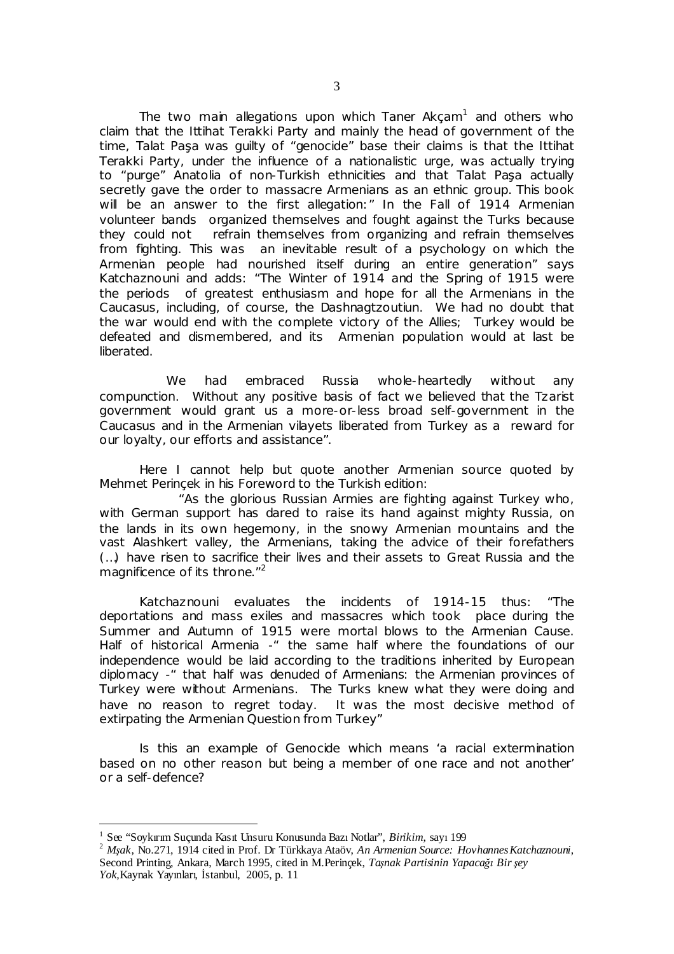The two main allegations upon which Taner Akçam<sup>1</sup> and others who claim that the Ittihat Terakki Party and mainly the head of government of the time, Talat Paşa was guilty of "genocide" base their claims is that the Ittihat Terakki Party, under the influence of a nationalistic urge, was actually trying to "purge" Anatolia of non-Turkish ethnicities and that Talat Paşa actually secretly gave the order to massacre Armenians as an ethnic group. This book will be an answer to the first allegation:" In the Fall of 1914 Armenian volunteer bands organized themselves and fought against the Turks because they could not refrain themselves from organizing and refrain themselves from fighting. This was an inevitable result of a psychology on which the Armenian people had nourished itself during an entire generation" says Katchaznouni and adds: "The Winter of 1914 and the Spring of 1915 were the periods of greatest enthusiasm and hope for all the Armenians in the Caucasus, including, of course, the Dashnagtzoutiun. We had no doubt that the war would end with the complete victory of the Allies; Turkey would be defeated and dismembered, and its Armenian population would at last be liberated.

We had embraced Russia whole-heartedly without any compunction. Without any positive basis of fact we believed that the Tzarist government would grant us a more-or-less broad self-government in the Caucasus and in the Armenian vilayets liberated from Turkey as a reward for our loyalty, our efforts and assistance".

Here I cannot help but quote another Armenian source quoted by Mehmet Perinçek in his Foreword to the Turkish edition:

"As the glorious Russian Armies are fighting against Turkey who, with German support has dared to raise its hand against mighty Russia, on the lands in its own hegemony, in the snowy Armenian mountains and the vast Alashkert valley, the Armenians, taking the advice of their forefathers (…) have risen to sacrifice their lives and their assets to Great Russia and the magnificence of its throne."<sup>2</sup>

Katchaznouni evaluates the incidents of 1914-15 thus: "The deportations and mass exiles and massacres which took place during the Summer and Autumn of 1915 were mortal blows to the Armenian Cause. Half of historical Armenia -" the same half where the foundations of our independence would be laid according to the traditions inherited by European diplomacy -" that half was denuded of Armenians: the Armenian provinces of Turkey were without Armenians. The Turks knew what they were doing and have no reason to regret today. It was the most decisive method of extirpating the Armenian Question from Turkey"

Is this an example of Genocide which means 'a racial extermination based on no other reason but being a member of one race and not another' or a self-defence?

 $\overline{a}$ 

<sup>1</sup> See "Soykırım Suçunda Kasıt Unsuru Konusunda Bazı Notlar", *Birikim*, sayı 199

<sup>2</sup> *Mşak*, No.271, 1914 cited in Prof. Dr Türkkaya Ataöv, *An Armenian Source: HovhannesKatchaznouni*, Second Printing, Ankara, March 1995, cited in M.Perinçek, *Taşnak Partisinin Yapacağı Bir şey Yok,*Kaynak Yayınları, İstanbul, 2005, p. 11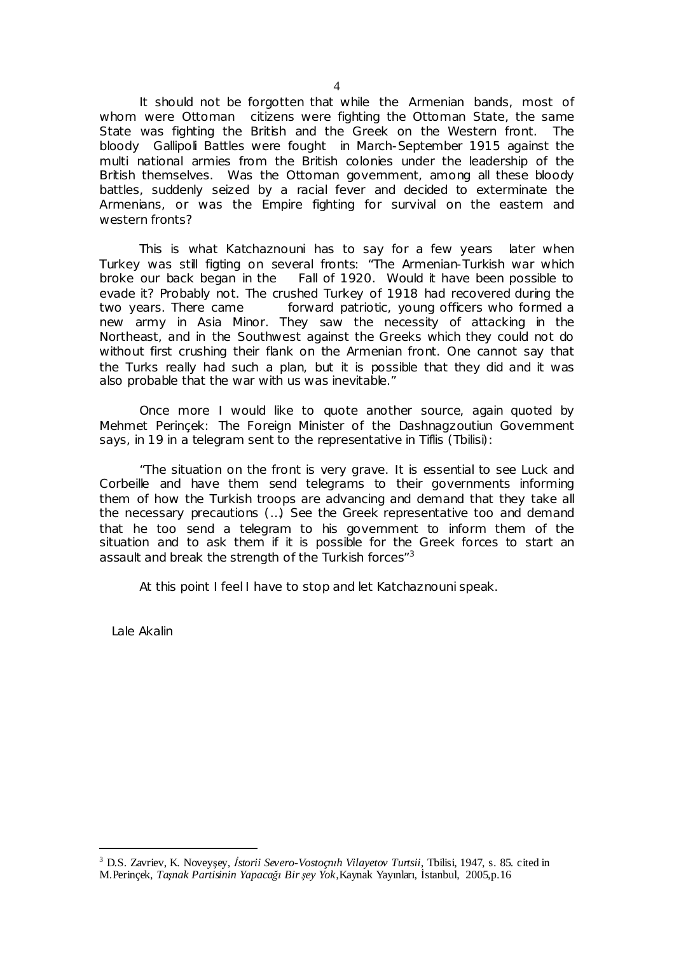It should not be forgotten that while the Armenian bands, most of whom were Ottoman citizens were fighting the Ottoman State, the same State was fighting the British and the Greek on the Western front. The bloody Gallipoli Battles were fought in March-September 1915 against the multi national armies from the British colonies under the leadership of the British themselves. Was the Ottoman government, among all these bloody battles, suddenly seized by a racial fever and decided to exterminate the Armenians, or was the Empire fighting for survival on the eastern and western fronts?

This is what Katchaznouni has to say for a few years later when Turkey was still figting on several fronts: "The Armenian-Turkish war which broke our back began in the Fall of 1920. Would it have been possible to evade it? Probably not. The crushed Turkey of 1918 had recovered during the two years. There came forward patriotic, young officers who formed a new army in Asia Minor. They saw the necessity of attacking in the Northeast, and in the Southwest against the Greeks which they could not do without first crushing their flank on the Armenian front. One cannot say that the Turks really had such a plan, but it is possible that they did and it was also probable that the war with us was inevitable."

Once more I would like to quote another source, again quoted by Mehmet Perinçek: The Foreign Minister of the Dashnagzoutiun Government says, in 19 in a telegram sent to the representative in Tiflis (Tbilisi):

"The situation on the front is very grave. It is essential to see Luck and Corbeille and have them send telegrams to their governments informing them of how the Turkish troops are advancing and demand that they take all the necessary precautions (…) See the Greek representative too and demand that he too send a telegram to his government to inform them of the situation and to ask them if it is possible for the Greek forces to start an assault and break the strength of the Turkish forces"<sup>3</sup>

At this point I feel I have to stop and let Katchaznouni speak.

Lale Akalin

 $\ddot{\phantom{a}}$ 

<sup>3</sup> D.S. Zavriev, K. Noveyşey, *İstorii Severo-Vostoçnıh Vilayetov Turtsii,* Tbilisi, 1947, s. 85. cited in M.Perinçek, *Taşnak Partisinin Yapacağı Bir şey Yok,*Kaynak Yayınları, İstanbul, 2005,p.16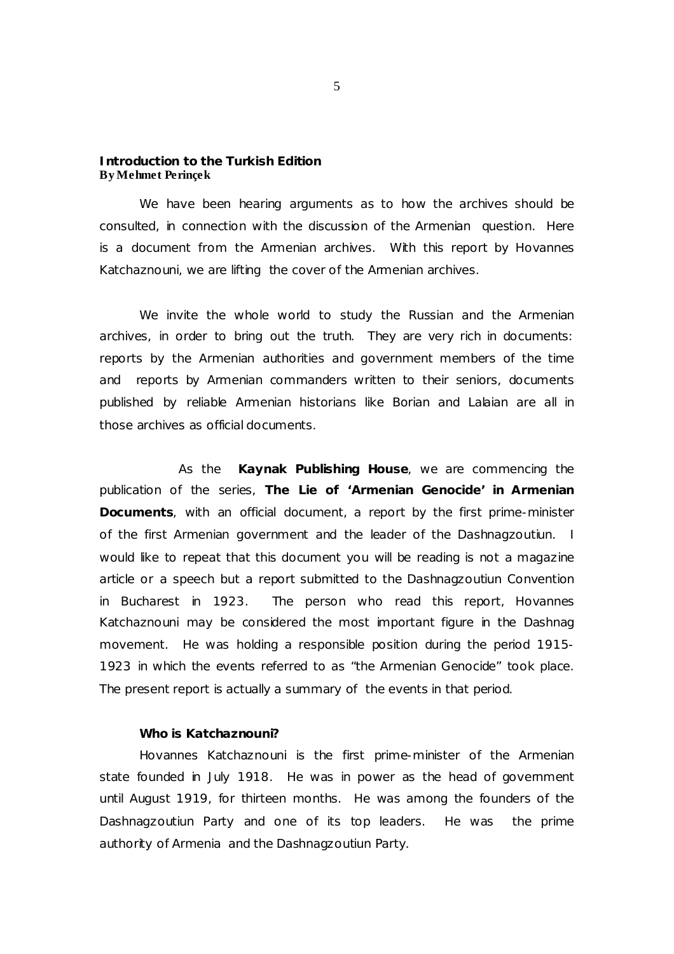### **Introduction to the Turkish Edition By Mehmet Perinçek**

We have been hearing arguments as to how the archives should be consulted, in connection with the discussion of the Armenian question. Here is a document from the Armenian archives. With this report by Hovannes Katchaznouni, we are lifting the cover of the Armenian archives.

We invite the whole world to study the Russian and the Armenian archives, in order to bring out the truth. They are very rich in documents: reports by the Armenian authorities and government members of the time and reports by Armenian commanders written to their seniors, documents published by reliable Armenian historians like Borian and Lalaian are all in those archives as official documents.

As the **Kaynak Publishing House**, we are commencing the publication of the series, *The Lie of 'Armenian Genocide' in Armenian Documents*, with an official document, a report by the first prime-minister of the first Armenian government and the leader of the Dashnagzoutiun. I would like to repeat that this document you will be reading is not a magazine article or a speech but a report submitted to the Dashnagzoutiun Convention in Bucharest in 1923. The person who read this report, Hovannes Katchaznouni may be considered the most important figure in the Dashnag movement. He was holding a responsible position during the period 1915- 1923 in which the events referred to as "the Armenian Genocide" took place. The present report is actually a summary of the events in that period.

### **Who is Katchaznouni?**

Hovannes Katchaznouni is the first prime-minister of the Armenian state founded in July 1918. He was in power as the head of government until August 1919, for thirteen months. He was among the founders of the Dashnagzoutiun Party and one of its top leaders. He was the prime authority of Armenia and the Dashnagzoutiun Party.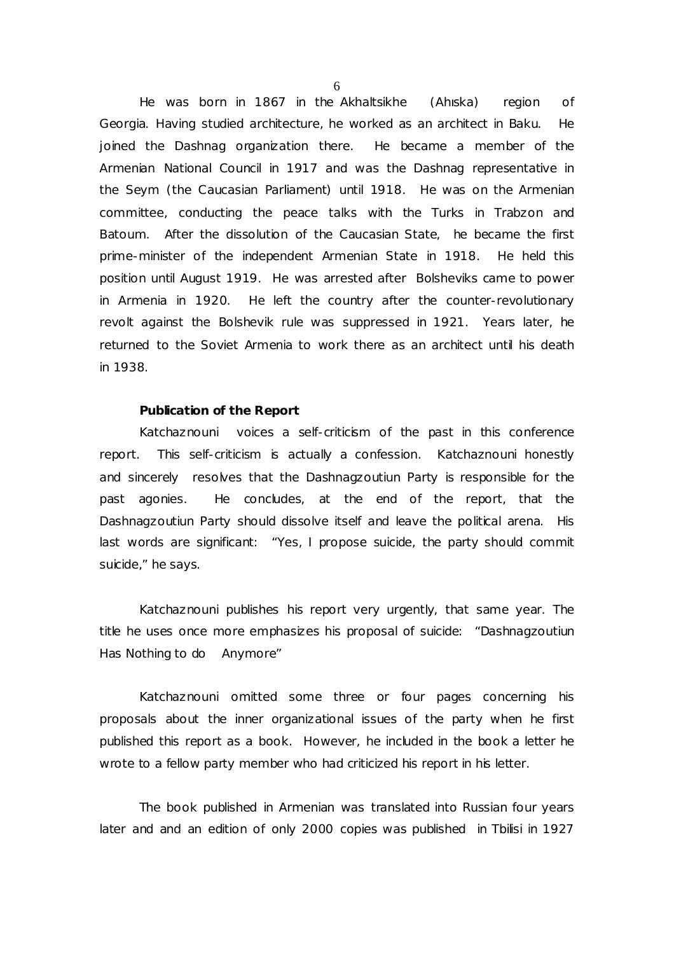He was born in 1867 in the Akhaltsikhe (Ahıska) region of Georgia. Having studied architecture, he worked as an architect in Baku. He joined the Dashnag organization there. He became a member of the Armenian National Council in 1917 and was the Dashnag representative in the Seym (the Caucasian Parliament) until 1918. He was on the Armenian committee, conducting the peace talks with the Turks in Trabzon and Batoum. After the dissolution of the Caucasian State, he became the first prime-minister of the independent Armenian State in 1918. He held this position until August 1919. He was arrested after Bolsheviks came to power in Armenia in 1920. He left the country after the counter-revolutionary revolt against the Bolshevik rule was suppressed in 1921. Years later, he returned to the Soviet Armenia to work there as an architect until his death in 1938.

#### **Publication of the Report**

Katchaznouni voices a self-criticism of the past in this conference report. This self-criticism is actually a confession. Katchaznouni honestly and sincerely resolves that the Dashnagzoutiun Party is responsible for the past agonies. He concludes, at the end of the report, that the Dashnagzoutiun Party should dissolve itself and leave the political arena. His last words are significant: "Yes, I propose suicide, the party should commit suicide," he says.

Katchaznouni publishes his report very urgently, that same year. The title he uses once more emphasizes his proposal of suicide: "Dashnagzoutiun Has Nothing to do Anymore"

Katchaznouni omitted some three or four pages concerning his proposals about the inner organizational issues of the party when he first published this report as a book. However, he included in the book a letter he wrote to a fellow party member who had criticized his report in his letter.

The book published in Armenian was translated into Russian four years later and and an edition of only 2000 copies was published in Tbilisi in 1927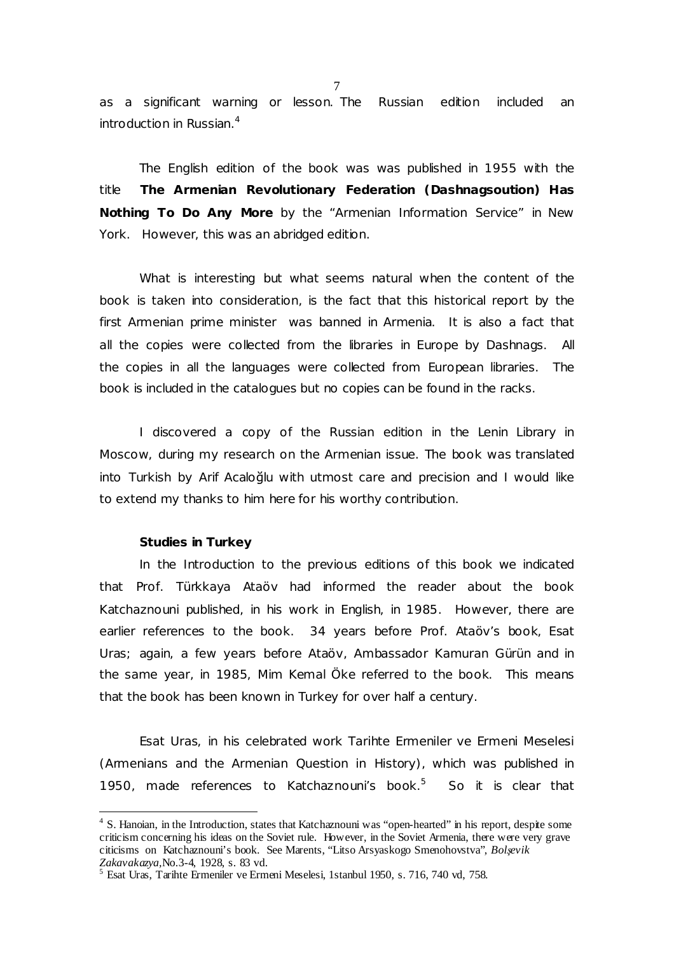as a significant warning or lesson. The Russian edition included an introduction in Russian.<sup>4</sup>

The English edition of the book was was published in 1955 with the title *The Armenian Revolutionary Federation (Dashnagsoution) Has Nothing To Do Any More* by the "Armenian Information Service" in New York. However, this was an abridged edition.

What is interesting but what seems natural when the content of the book is taken into consideration, is the fact that this historical report by the first Armenian prime minister was banned in Armenia. It is also a fact that all the copies were collected from the libraries in Europe by Dashnags. All the copies in all the languages were collected from European libraries. The book is included in the catalogues but no copies can be found in the racks.

I discovered a copy of the Russian edition in the Lenin Library in Moscow, during my research on the Armenian issue. The book was translated into Turkish by Arif Acaloğlu with utmost care and precision and I would like to extend my thanks to him here for his worthy contribution.

#### **Studies in Turkey**

 $\overline{a}$ 

In the Introduction to the previous editions of this book we indicated that Prof. Türkkaya Ataöv had informed the reader about the book Katchaznouni published, in his work in English, in 1985. However, there are earlier references to the book. 34 years before Prof. Ataöv's book, Esat Uras; again, a few years before Ataöv, Ambassador Kamuran Gürün and in the same year, in 1985, Mim Kemal Öke referred to the book. This means that the book has been known in Turkey for over half a century.

Esat Uras, in his celebrated work *Tarihte Ermeniler ve Ermeni Meselesi* (*Armenians and the Armenian Question in History),* which was published in 1950, made references to Katchaznouni's book.<sup>5</sup> So it is clear that

<sup>&</sup>lt;sup>4</sup> S. Hanoian, in the Introduction, states that Katchaznouni was "open-hearted" in his report, despite some criticism concerning his ideas on the Soviet rule. However, in the Soviet Armenia, there were very grave citicisms on Katchaznouni's book. See Marents, "Litso Arsyaskogo Smenohovstva", *Bolşevik Zakavakazya,*No.3-4, 1928, s. 83 vd.

<sup>5</sup> Esat Uras, Tarihte Ermeniler ve Ermeni Meselesi, 1stanbul 1950, s. 716, 740 vd, 758.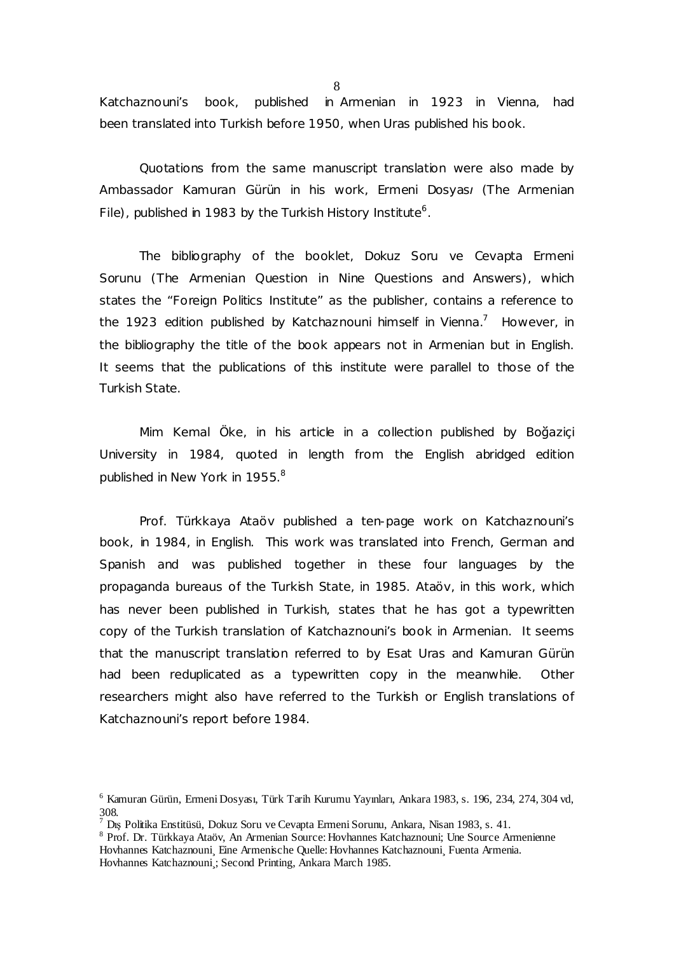Katchaznouni's book, published in Armenian in 1923 in Vienna, had been translated into Turkish before 1950, when Uras published his book.

Quotations from the same manuscript translation were also made by Ambassador Kamuran Gürün in his work, *Ermeni Dosyası (The Armenian*  File), published in 1983 by the Turkish History Institute<sup>6</sup>.

The bibliography of the booklet, *Dokuz Soru ve Cevapta Ermeni Sorunu (The Armenian Question in Nine Questions and Answers)*, which states the "Foreign Politics Institute" as the publisher, contains a reference to the 1923 edition published by Katchaznouni himself in Vienna.<sup>7</sup> However, in the bibliography the title of the book appears not in Armenian but in English. It seems that the publications of this institute were parallel to those of the Turkish State.

Mim Kemal Öke, in his article in a collection published by Boğaziçi University in 1984, quoted in length from the English abridged edition published in New York in 1955.<sup>8</sup>

Prof. Türkkaya Ataöv published a ten-page work on Katchaznouni's book, in 1984, in English. This work was translated into French, German and Spanish and was published together in these four languages by the propaganda bureaus of the Turkish State, in 1985. Ataöv, in this work, which has never been published in Turkish, states that he has got a typewritten copy of the Turkish translation of Katchaznouni's book in Armenian. It seems that the manuscript translation referred to by Esat Uras and Kamuran Gürün had been reduplicated as a typewritten copy in the meanwhile. Other researchers might also have referred to the Turkish or English translations of Katchaznouni's report before 1984.

<sup>6</sup> Kamuran Gürün, Ermeni Dosyası, Türk Tarih Kurumu Yayınları, Ankara 1983, s. 196, 234, 274, 304 vd, 308.

<sup>7</sup> Dış Politika Enstitüsü, Dokuz Soru ve Cevapta Ermeni Sorunu, Ankara, Nisan 1983, s. 41.

<sup>&</sup>lt;sup>8</sup> Prof. Dr. Türkkaya Ataöv, An Armenian Source: Hovhannes Katchaznouni; Une Source Armenienne

Hovhannes Katchaznouni¸ Eine Armenische Quelle: Hovhannes Katchaznouni¸ Fuenta Armenia.

Hovhannes Katchaznouni; Second Printing, Ankara March 1985.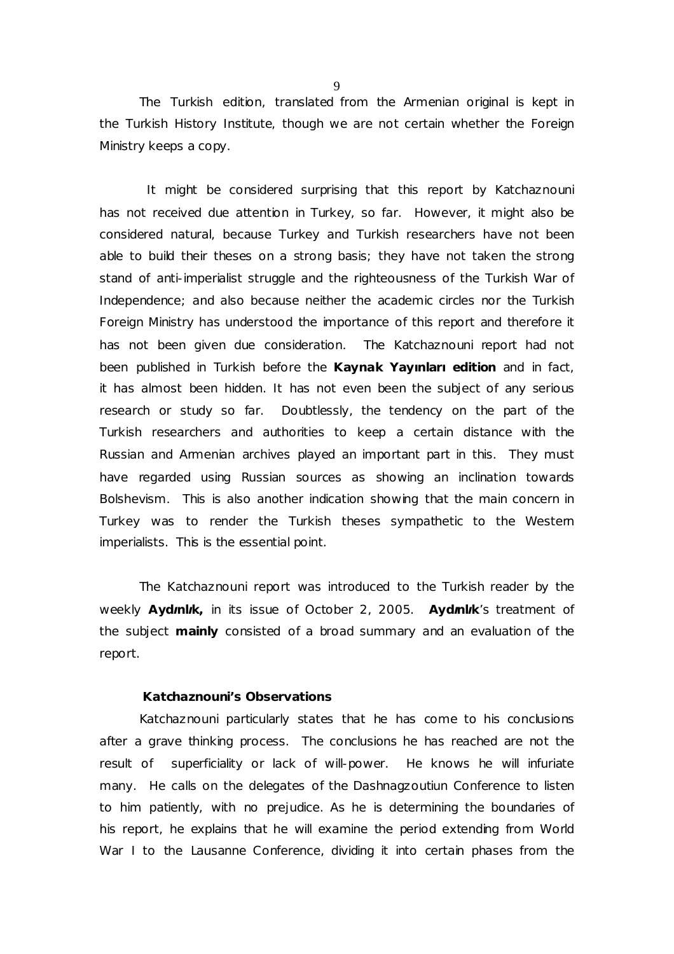$\overline{Q}$ 

The Turkish edition, translated from the Armenian original is kept in the Turkish History Institute, though we are not certain whether the Foreign Ministry keeps a copy.

It might be considered surprising that this report by Katchaznouni has not received due attention in Turkey, so far. However, it might also be considered natural, because Turkey and Turkish researchers have not been able to build their theses on a strong basis; they have not taken the strong stand of anti-imperialist struggle and the righteousness of the Turkish War of Independence; and also because neither the academic circles nor the Turkish Foreign Ministry has understood the importance of this report and therefore it has not been given due consideration. The Katchaznouni report had not been published in Turkish before the **Kaynak Yayınları edition** and in fact, it has almost been hidden. It has not even been the subject of any serious research or study so far. Doubtlessly, the tendency on the part of the Turkish researchers and authorities to keep a certain distance with the Russian and Armenian archives played an important part in this. They must have regarded using Russian sources as showing an inclination towards Bolshevism. This is also another indication showing that the main concern in Turkey was to render the Turkish theses sympathetic to the Western imperialists. This is the essential point.

The Katchaznouni report was introduced to the Turkish reader by the weekly *Aydınlık,* in its issue of October 2, 2005. *Aydınlık*'s treatment of the subject *mainly* consisted of a broad summary and an evaluation of the report.

#### **Katchaznouni's Observations**

Katchaznouni particularly states that he has come to his conclusions after a grave thinking process. The conclusions he has reached are not the result of superficiality or lack of will-power. He knows he will infuriate many. He calls on the delegates of the Dashnagzoutiun Conference to listen to him patiently, with no prejudice. As he is determining the boundaries of his report, he explains that he will examine the period extending from World War I to the Lausanne Conference, dividing it into certain phases from the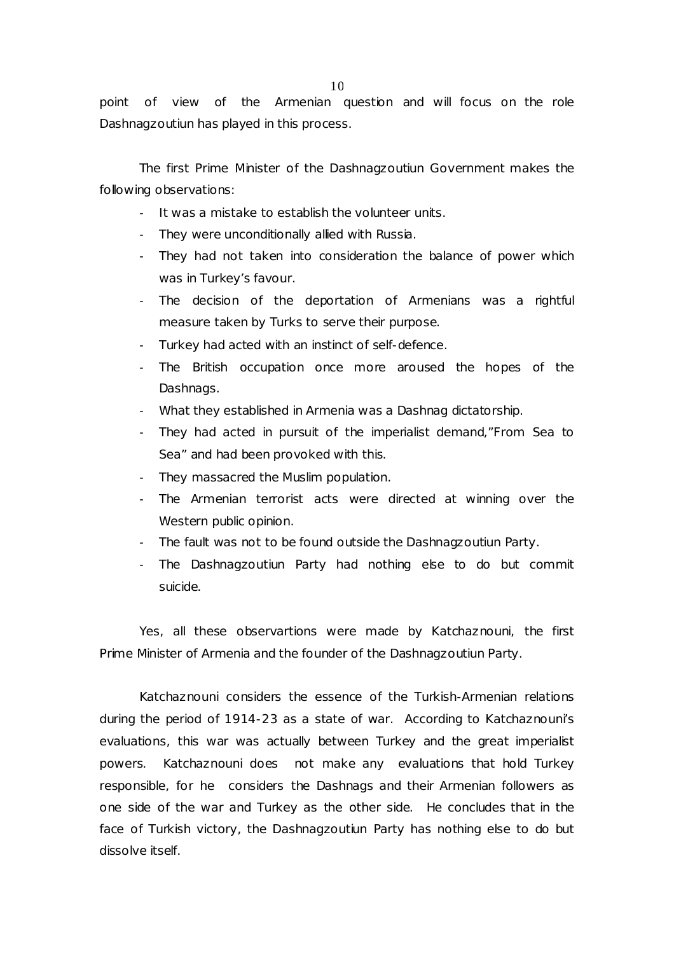point of view of the Armenian question and will focus on the role Dashnagzoutiun has played in this process.

The first Prime Minister of the Dashnagzoutiun Government makes the following observations:

- It was a mistake to establish the volunteer units.
- They were unconditionally allied with Russia.
- They had not taken into consideration the balance of power which was in Turkey's favour.
- The decision of the deportation of Armenians was a rightful measure taken by Turks to serve their purpose.
- Turkey had acted with an instinct of self-defence.
- The British occupation once more aroused the hopes of the Dashnags.
- What they established in Armenia was a Dashnag dictatorship.
- They had acted in pursuit of the imperialist demand,"From Sea to Sea" and had been provoked with this.
- They massacred the Muslim population.
- The Armenian terrorist acts were directed at winning over the Western public opinion.
- The fault was not to be found outside the Dashnagzoutiun Party.
- The Dashnagzoutiun Party had nothing else to do but commit suicide.

Yes, all these observartions were made by Katchaznouni, the first Prime Minister of Armenia and the founder of the Dashnagzoutiun Party.

Katchaznouni considers the essence of the Turkish-Armenian relations during the period of 1914-23 as a state of war. According to Katchaznouni's evaluations, this war was actually between Turkey and the great imperialist powers. Katchaznouni does not make any evaluations that hold Turkey responsible, for he considers the Dashnags and their Armenian followers as one side of the war and Turkey as the other side. He concludes that in the face of Turkish victory, the Dashnagzoutiun Party has nothing else to do but dissolve itself.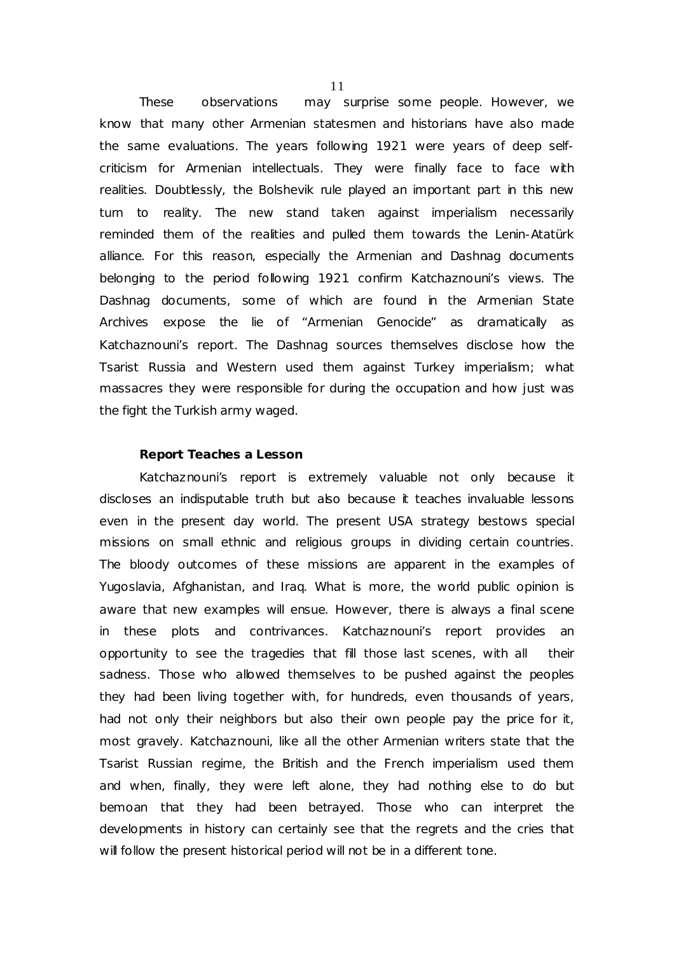These observations may surprise some people. However, we know that many other Armenian statesmen and historians have also made the same evaluations. The years following 1921 were years of deep selfcriticism for Armenian intellectuals. They were finally face to face with realities. Doubtlessly, the Bolshevik rule played an important part in this new turn to reality. The new stand taken against imperialism necessarily reminded them of the realities and pulled them towards the Lenin-Atatürk alliance. For this reason, especially the Armenian and Dashnag documents belonging to the period following 1921 confirm Katchaznouni's views. The Dashnag documents, some of which are found in the Armenian State Archives expose the lie of "Armenian Genocide" as dramatically as Katchaznouni's report. The Dashnag sources themselves disclose how the Tsarist Russia and Western used them against Turkey imperialism; what massacres they were responsible for during the occupation and how just was the fight the Turkish army waged.

# **Report Teaches a Lesson**

Katchaznouni's report is extremely valuable not only because it discloses an indisputable truth but also because it teaches invaluable lessons even in the present day world. The present USA strategy bestows special missions on small ethnic and religious groups in dividing certain countries. The bloody outcomes of these missions are apparent in the examples of Yugoslavia, Afghanistan, and Iraq. What is more, the world public opinion is aware that new examples will ensue. However, there is always a final scene in these plots and contrivances. Katchaznouni's report provides an opportunity to see the tragedies that fill those last scenes, with all their sadness. Those who allowed themselves to be pushed against the peoples they had been living together with, for hundreds, even thousands of years, had not only their neighbors but also their own people pay the price for it, most gravely. Katchaznouni, like all the other Armenian writers state that the Tsarist Russian regime, the British and the French imperialism used them and when, finally, they were left alone, they had nothing else to do but bemoan that they had been betrayed. Those who can interpret the developments in history can certainly see that the regrets and the cries that will follow the present historical period will not be in a different tone.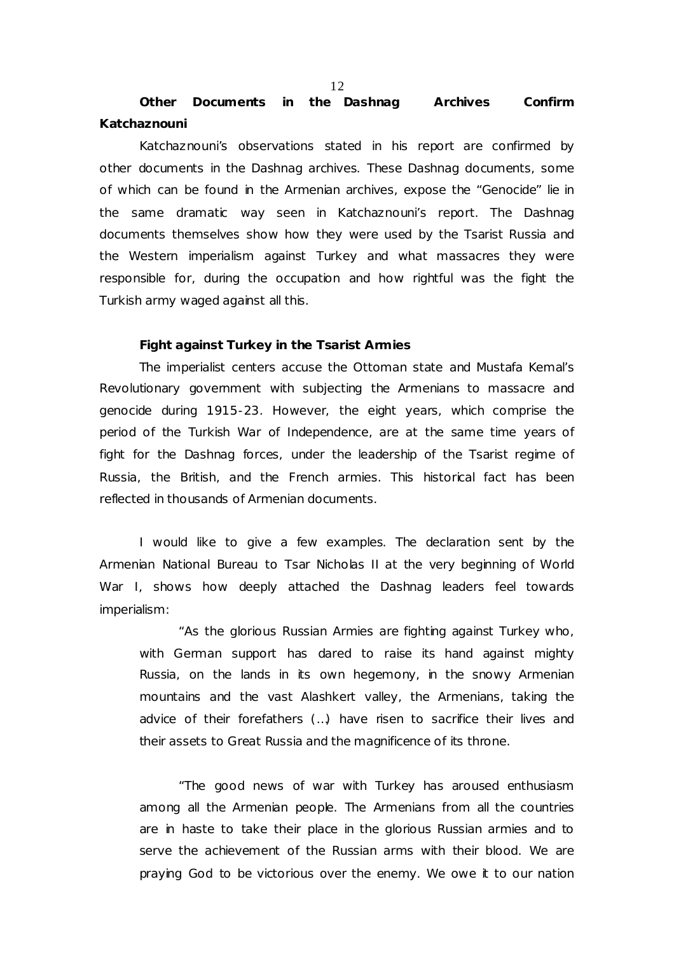**Other Documents in the Dashnag Archives Confirm Katchaznouni** 

Katchaznouni's observations stated in his report are confirmed by other documents in the Dashnag archives. These Dashnag documents, some of which can be found in the Armenian archives, expose the "Genocide" lie in the same dramatic way seen in Katchaznouni's report. The Dashnag documents themselves show how they were used by the Tsarist Russia and the Western imperialism against Turkey and what massacres they were responsible for, during the occupation and how rightful was the fight the Turkish army waged against all this.

#### **Fight against Turkey in the Tsarist Armies**

The imperialist centers accuse the Ottoman state and Mustafa Kemal's Revolutionary government with subjecting the Armenians to massacre and genocide during 1915-23. However, the eight years, which comprise the period of the Turkish War of Independence, are at the same time years of fight for the Dashnag forces, under the leadership of the Tsarist regime of Russia, the British, and the French armies. This historical fact has been reflected in thousands of Armenian documents.

I would like to give a few examples. The declaration sent by the Armenian National Bureau to Tsar Nicholas II at the very beginning of World War I, shows how deeply attached the Dashnag leaders feel towards imperialism:

"As the glorious Russian Armies are fighting against Turkey who, with German support has dared to raise its hand against mighty Russia, on the lands in its own hegemony, in the snowy Armenian mountains and the vast Alashkert valley, the Armenians, taking the advice of their forefathers (…) have risen to sacrifice their lives and their assets to Great Russia and the magnificence of its throne.

"The good news of war with Turkey has aroused enthusiasm among all the Armenian people. The Armenians from all the countries are in haste to take their place in the glorious Russian armies and to serve the achievement of the Russian arms with their blood. We are praying God to be victorious over the enemy. We owe it to our nation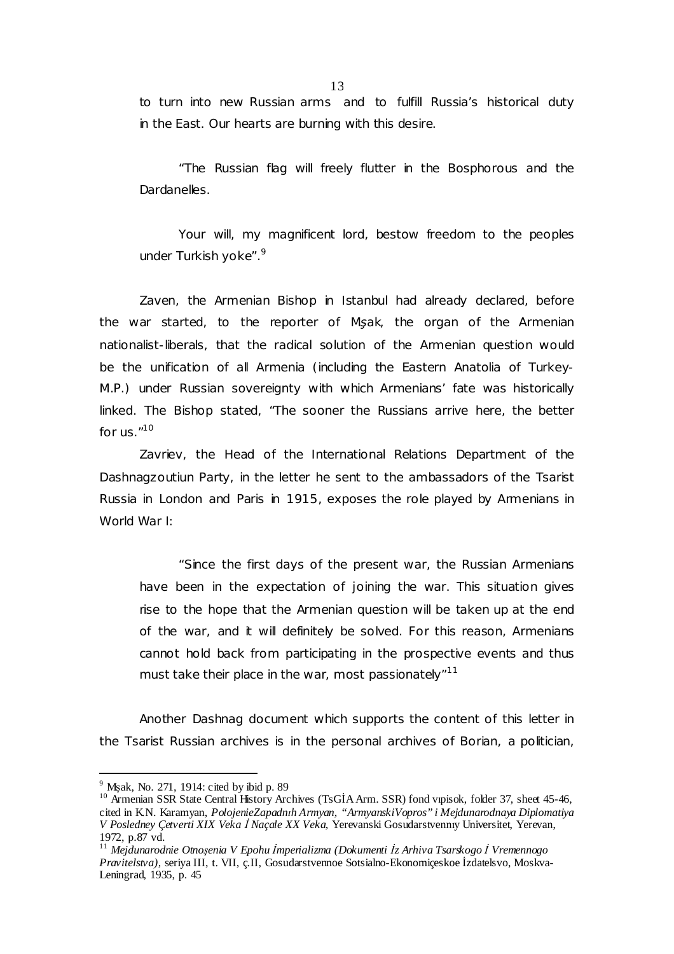to turn into new Russian arms and to fulfill Russia's historical duty in the East. Our hearts are burning with this desire.

"The Russian flag will freely flutter in the Bosphorous and the Dardanelles.

Your will, my magnificent lord, bestow freedom to the peoples under Turkish yoke".<sup>9</sup>

Zaven, the Armenian Bishop in Istanbul had already declared, before the war started, to the reporter of *Mşak*, the organ of the Armenian nationalist-liberals, that the radical solution of the Armenian question would be the unification of all Armenia (including the Eastern Anatolia of Turkey-M.P.) under Russian sovereignty with which Armenians' fate was historically linked. The Bishop stated, "The sooner the Russians arrive here, the better for us.  $n^{10}$ 

Zavriev, the Head of the International Relations Department of the Dashnagzoutiun Party, in the letter he sent to the ambassadors of the Tsarist Russia in London and Paris in 1915, exposes the role played by Armenians in World War I:

"Since the first days of the present war, the Russian Armenians have been in the expectation of joining the war. This situation gives rise to the hope that the Armenian question will be taken up at the end of the war, and it will definitely be solved. For this reason, Armenians cannot hold back from participating in the prospective events and thus must take their place in the war, most passionately"<sup>11</sup>

Another Dashnag document which supports the content of this letter in the Tsarist Russian archives is in the personal archives of Borian, a politician,

 $\overline{a}$ 

 $9^9$  Mşak, No. 271, 1914: cited by ibid p. 89

<sup>&</sup>lt;sup>10</sup> Armenian SSR State Central History Archives (TsGİA Arm. SSR) fond vipisok, folder 37, sheet 45-46, cited in K.N. Karamyan, *PolojenieZapadnıh Armyan, "ArmyanskiVopros" i Mejdunarodnaya Diplomatiya V Posledney Çetverti XIX Veka İ Naçale XX Veka,* Yerevanski Gosudarstvennıy Universitet, Yerevan, 1972, p.87 vd.

<sup>11</sup> *Mejdunarodnie Otnoşenia V Epohu İmperializma (Dokumenti İz Arhiva Tsarskogo İ Vremennogo Pravitelstva),* seriya III, t. VII, ç.II, Gosudarstvennoe Sotsialno-Ekonomiçeskoe İzdatelsvo, Moskva-Leningrad, 1935, p. 45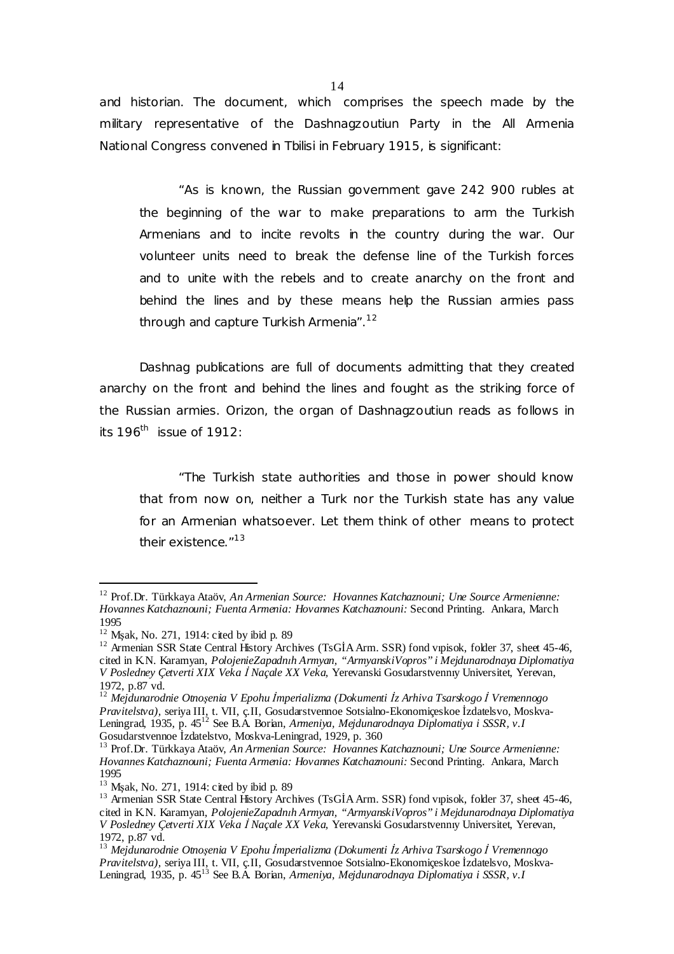and historian. The document, which comprises the speech made by the military representative of the Dashnagzoutiun Party in the All Armenia National Congress convened in Tbilisi in February 1915, is significant:

"As is known, the Russian government gave 242 900 rubles at the beginning of the war to make preparations to arm the Turkish Armenians and to incite revolts in the country during the war. Our volunteer units need to break the defense line of the Turkish forces and to unite with the rebels and to create anarchy on the front and behind the lines and by these means help the Russian armies pass through and capture Turkish Armenia".<sup>12</sup>

Dashnag publications are full of documents admitting that they created anarchy on the front and behind the lines and fought as the striking force of the Russian armies. *Orizon*, the organ of Dashnagzoutiun reads as follows in its 196<sup>th</sup> issue of 1912:

"The Turkish state authorities and those in power should know that from now on, neither a Turk nor the Turkish state has any value for an Armenian whatsoever. Let them think of other means to protect their existence."<sup>13</sup>

 $\overline{a}$ 

<sup>12</sup> Prof.Dr. Türkkaya Ataöv, *An Armenian Source: Hovannes Katchaznouni; Une Source Armenienne: Hovannes Katchaznouni; Fuenta Armenia: Hovannes Katchaznouni:* Second Printing. Ankara, March 1995

 $12$  Msak, No. 271, 1914: cited by ibid p. 89

<sup>&</sup>lt;sup>12</sup> Armenian SSR State Central History Archives (TsGİA Arm. SSR) fond vipisok, folder 37, sheet 45-46, cited in K.N. Karamyan, *PolojenieZapadnıh Armyan, "ArmyanskiVopros" i Mejdunarodnaya Diplomatiya V Posledney Çetverti XIX Veka İ Naçale XX Veka,* Yerevanski Gosudarstvennıy Universitet, Yerevan, 1972, p.87 vd.

<sup>12</sup> *Mejdunarodnie Otnoşenia V Epohu İmperializma (Dokumenti İz Arhiva Tsarskogo İ Vremennogo Pravitelstva),* seriya III, t. VII, ç.II, Gosudarstvennoe Sotsialno-Ekonomiçeskoe İzdatelsvo, Moskva-Leningrad, 1935, p. 45<sup>12</sup> See B.A. Borian, *Armeniya, Mejdunarodnaya Diplomatiya i SSSR, v.I*  Gosudarstvennoe İzdatelstvo, Moskva-Leningrad, 1929, p. 360

<sup>13</sup> Prof.Dr. Türkkaya Ataöv, *An Armenian Source: Hovannes Katchaznouni; Une Source Armenienne: Hovannes Katchaznouni; Fuenta Armenia: Hovannes Katchaznouni:* Second Printing. Ankara, March 1995

<sup>&</sup>lt;sup>13</sup> Msak, No. 271, 1914: cited by ibid p. 89

<sup>&</sup>lt;sup>13</sup> Armenian SSR State Central History Archives (TsGIA Arm. SSR) fond vipisok, folder 37, sheet 45-46, cited in K.N. Karamyan, *PolojenieZapadnıh Armyan, "ArmyanskiVopros" i Mejdunarodnaya Diplomatiya V Posledney Çetverti XIX Veka İ Naçale XX Veka,* Yerevanski Gosudarstvennıy Universitet, Yerevan, 1972, p.87 vd.

<sup>13</sup> *Mejdunarodnie Otnoşenia V Epohu İmperializma (Dokumenti İz Arhiva Tsarskogo İ Vremennogo Pravitelstva),* seriya III, t. VII, ç.II, Gosudarstvennoe Sotsialno-Ekonomiçeskoe İzdatelsvo, Moskva-Leningrad, 1935, p. 45<sup>13</sup> See B.A. Borian, *Armeniya, Mejdunarodnaya Diplomatiya i SSSR, v.I*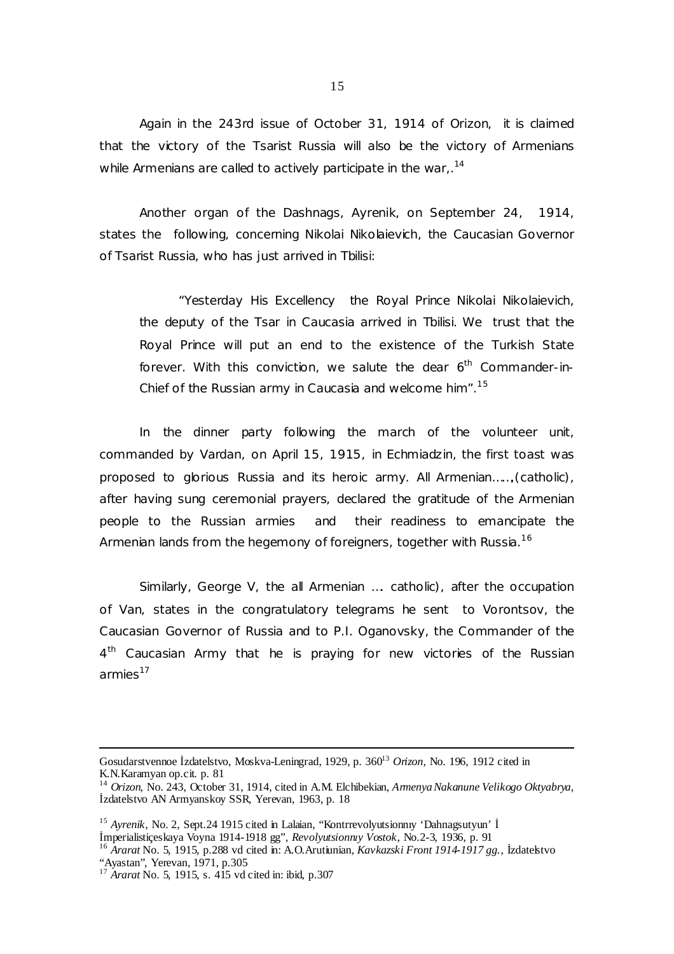Again in the 243rd issue of October 31, 1914 of *Orizon*, it is claimed that the victory of the Tsarist Russia will also be the victory of Armenians while Armenians are called to actively participate in the war,. $^{\rm 14}$ 

Another organ of the Dashnags, *Ayrenik,* on September 24, 1914, states the following, concerning Nikolai Nikolaievich, the Caucasian Governor of Tsarist Russia, who has just arrived in Tbilisi:

"Yesterday His Excellency the Royal Prince Nikolai Nikolaievich, the deputy of the Tsar in Caucasia arrived in Tbilisi. We trust that the Royal Prince will put an end to the existence of the Turkish State forever. With this conviction, we salute the dear  $6<sup>th</sup>$  Commander-in-Chief of the Russian army in Caucasia and welcome him".<sup>15</sup>

In the dinner party following the march of the volunteer unit, commanded by Vardan, on April 15, 1915, in Echmiadzin, the first toast was proposed to glorious Russia and its heroic army. All Armenian……,(catholic), after having sung ceremonial prayers, declared the gratitude of the Armenian people to the Russian armies and their readiness to emancipate the Armenian lands from the hegemony of foreigners, together with Russia.<sup>16</sup>

Similarly, George V, the all Armenian …. catholic), after the occupation of Van, states in the congratulatory telegrams he sent to Vorontsov, the Caucasian Governor of Russia and to P.I. Oganovsky, the Commander of the 4<sup>th</sup> Caucasian Army that he is praying for new victories of the Russian armies $17$ 

 $\overline{a}$ 

15

Gosudarstvennoe *Izdatelstvo*, Moskva-Leningrad, 1929, p. 360<sup>13</sup> Orizon, No. 196, 1912 cited in K.N.Karamyan op.cit. p. 81

<sup>14</sup> *Orizon,* No. 243, October 31, 1914, cited in A.M. Elchibekian, *ArmenyaNakanune Velikogo Oktyabrya,*  İzdatelstvo AN Armyanskoy SSR, Yerevan, 1963, p. 18

<sup>&</sup>lt;sup>15</sup> Ayrenik, No. 2, Sept.24 1915 cited in Lalaian, "Kontrrevolyutsionniy 'Dahnagsutyun' İ İmperialistiçeskaya Voyna 1914-1918 gg", *Revolyutsionnıy Vostok*, No.2-3, 1936, p. 91 <sup>16</sup> *Ararat* No. 5, 1915, p.288 vd cited in: A.O.Arutiunian, *Kavkazski Front 1914-1917 gg.,* İzdatelstvo

<sup>&</sup>quot;Ayastan", Yerevan, 1971, p.305

<sup>17</sup> *Ararat* No. 5, 1915, s. 415 vd cited in: ibid, p.307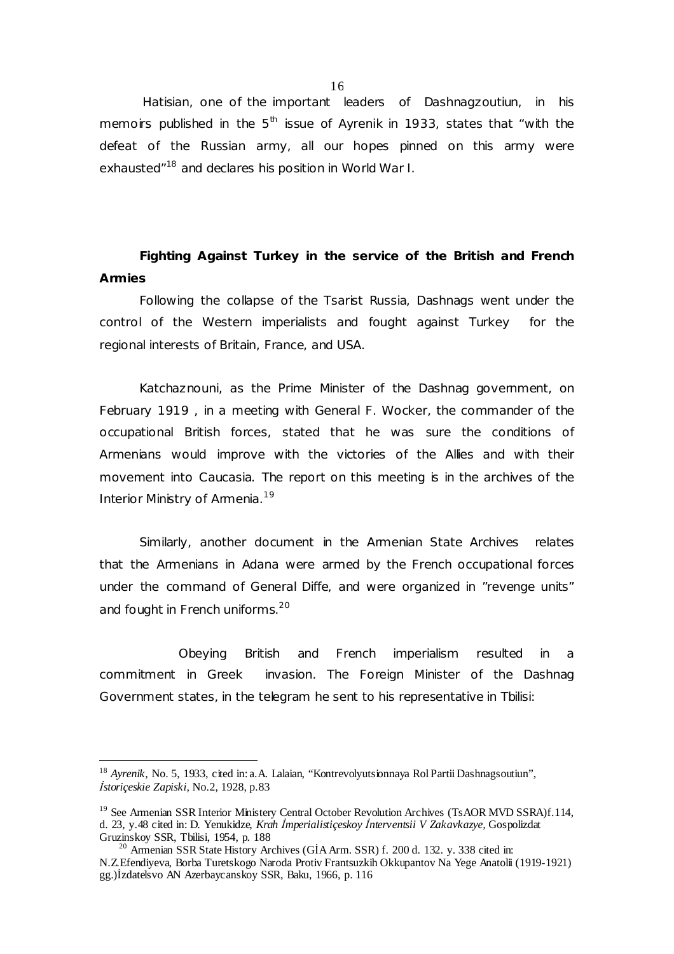Hatisian, one of the important leaders of Dashnagzoutiun, in his memoirs published in the 5<sup>th</sup> issue of *Ayrenik* in 1933, states that "with the defeat of the Russian army, all our hopes pinned on this army were exhausted"<sup>18</sup> and declares his position in World War I.

**Fighting Against Turkey in the service of the British and French Armies** 

Following the collapse of the Tsarist Russia, Dashnags went under the control of the Western imperialists and fought against Turkey for the regional interests of Britain, France, and USA.

Katchaznouni, as the Prime Minister of the Dashnag government, on February 1919 , in a meeting with General F. Wocker, the commander of the occupational British forces, stated that he was sure the conditions of Armenians would improve with the victories of the Allies and with their movement into Caucasia. The report on this meeting is in the archives of the Interior Ministry of Armenia.<sup>19</sup>

Similarly, another document in the Armenian State Archives relates that the Armenians in Adana were armed by the French occupational forces under the command of General Diffe, and were organized in "revenge units" and fought in French uniforms.<sup>20</sup>

Obeying British and French imperialism resulted in a commitment in Greek invasion. The Foreign Minister of the Dashnag Government states, in the telegram he sent to his representative in Tbilisi:

 $\overline{a}$ 

<sup>&</sup>lt;sup>18</sup> Ayrenik, No. 5, 1933, cited in: a.A. Lalaian, "Kontrevolyutsionnaya Rol Partii Dashnagsoutiun", *İstoriçeskie Zapiski,* No.2, 1928, p.83

<sup>&</sup>lt;sup>19</sup> See Armenian SSR Interior Ministery Central October Revolution Archives (TsAOR MVD SSRA)f.114, d. 23, y.48 cited in: D. Yenukidze, *Krah İmperialistiçeskoy İnterventsii V Zakavkazye,* Gospolizdat Gruzinskoy SSR, Tbilisi, 1954, p. 188

 $20$  Armenian SSR State History Archives (GIA Arm. SSR) f. 200 d. 132. y. 338 cited in:

N.Z.Efendiyeva, Borba Turetskogo Naroda Protiv Frantsuzkih Okkupantov Na Yege Anatolii (1919-1921) gg.)İzdatelsvo AN Azerbaycanskoy SSR, Baku, 1966, p. 116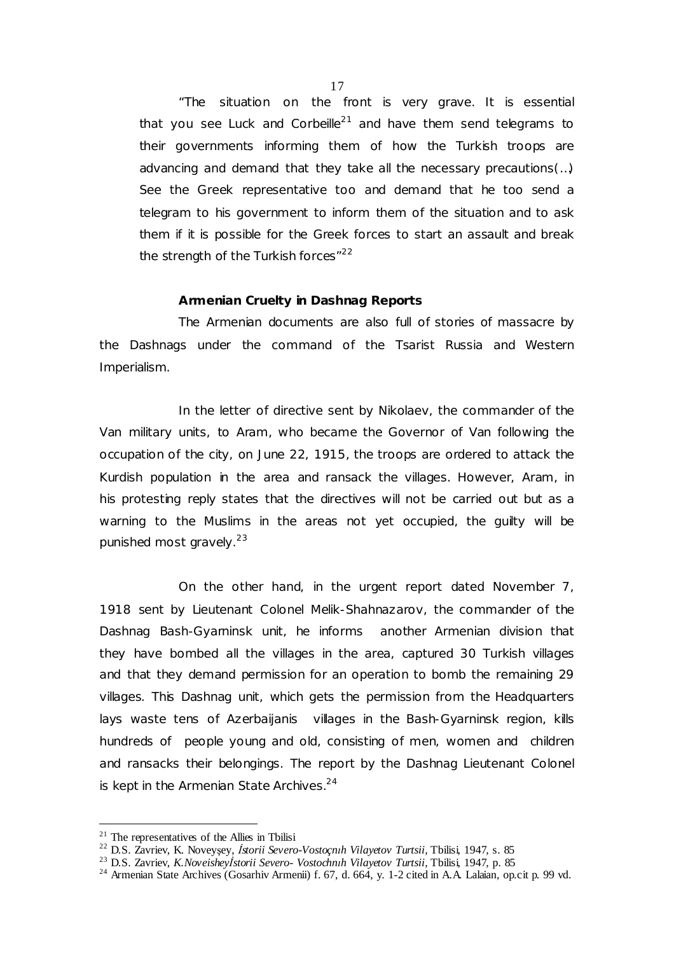"The situation on the front is very grave. It is essential that you see Luck and Corbeille<sup>21</sup> and have them send telegrams to their governments informing them of how the Turkish troops are advancing and demand that they take all the necessary precautions(…) See the Greek representative too and demand that he too send a telegram to his government to inform them of the situation and to ask them if it is possible for the Greek forces to start an assault and break the strength of the Turkish forces $12^2$ 

# **Armenian Cruelty in Dashnag Reports**

The Armenian documents are also full of stories of massacre by the Dashnags under the command of the Tsarist Russia and Western Imperialism.

In the letter of directive sent by Nikolaev, the commander of the Van military units, to Aram, who became the Governor of Van following the occupation of the city, on June 22, 1915, the troops are ordered to attack the Kurdish population in the area and ransack the villages. However, Aram, in his protesting reply states that the directives will not be carried out but as a warning to the Muslims in the areas not yet occupied, the guilty will be punished most gravely.<sup>23</sup>

On the other hand, in the urgent report dated November 7, 1918 sent by Lieutenant Colonel Melik-Shahnazarov, the commander of the Dashnag Bash-Gyarninsk unit, he informs another Armenian division that they have bombed all the villages in the area, captured 30 Turkish villages and that they demand permission for an operation to bomb the remaining 29 villages. This Dashnag unit, which gets the permission from the Headquarters lays waste tens of Azerbaijanis villages in the Bash-Gyarninsk region, kills hundreds of people young and old, consisting of men, women and children and ransacks their belongings. The report by the Dashnag Lieutenant Colonel is kept in the Armenian State Archives. $24$ 

 $\overline{a}$ 

 $21$  The representatives of the Allies in Tbilisi

<sup>22</sup> D.S. Zavriev, K. Noveyşey, *İstorii Severo-Vostoçnıh Vilayetov Turtsii,* Tbilisi, 1947, s. 85

<sup>23</sup> D.S. Zavriev, *K.Noveisheyİstorii Severo- Vostochnıh Vilayetov Turtsii,* Tbilisi, 1947, p. 85

<sup>&</sup>lt;sup>24</sup> Armenian State Archives (Gosarhiv Armenii) f. 67, d. 664, y. 1-2 cited in A.A. Lalaian, op.cit p. 99 vd.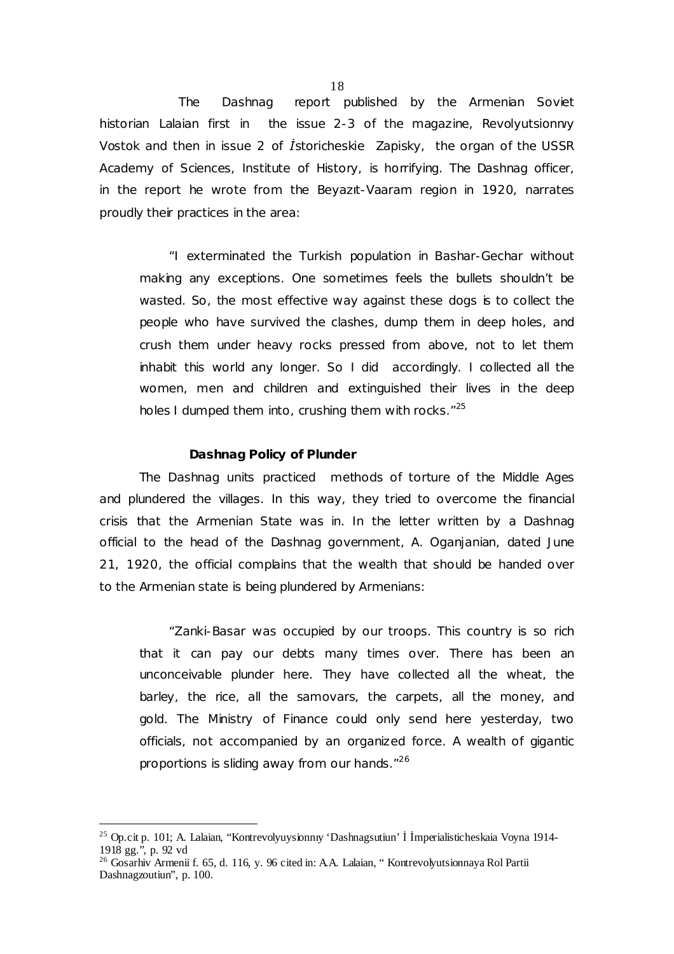The Dashnag report published by the Armenian Soviet historian Lalaian first in the issue 2-3 of the magazine, *Revolyutsionnıy Vostok* and then in issue 2 of *İstoricheskie Zapisky,* the organ of the USSR Academy of Sciences, Institute of History, is horrifying. The Dashnag officer, in the report he wrote from the Beyazıt-Vaaram region in 1920, narrates proudly their practices in the area:

"I exterminated the Turkish population in Bashar-Gechar without making any exceptions. One sometimes feels the bullets shouldn't be wasted. So, the most effective way against these dogs is to collect the people who have survived the clashes, dump them in deep holes, and crush them under heavy rocks pressed from above, not to let them inhabit this world any longer. So I did accordingly. I collected all the women, men and children and extinguished their lives in the deep holes I dumped them into, crushing them with rocks."<sup>25</sup>

### **Dashnag Policy of Plunder**

The Dashnag units practiced methods of torture of the Middle Ages and plundered the villages. In this way, they tried to overcome the financial crisis that the Armenian State was in. In the letter written by a Dashnag official to the head of the Dashnag government, A. Oganjanian, dated June 21, 1920, the official complains that the wealth that should be handed over to the Armenian state is being plundered by Armenians:

"Zanki-Basar was occupied by our troops. This country is so rich that it can pay our debts many times over. There has been an unconceivable plunder here. They have collected all the wheat, the barley, the rice, all the samovars, the carpets, all the money, and gold. The Ministry of Finance could only send here yesterday, two officials, not accompanied by an organized force. A wealth of gigantic proportions is sliding away from our hands."<sup>26</sup>

 $\overline{a}$ 

18

<sup>25</sup> Op.cit p. 101; A. Lalaian, "Kontrevolyuysionnıy 'Dashnagsutiun' İ İmperialisticheskaia Voyna 1914- 1918 gg.", p. 92 vd

<sup>26</sup> Gosarhiv Armenii f. 65, d. 116, y. 96 cited in: A.A. Lalaian, " Kontrevolyutsionnaya Rol Partii Dashnagzoutiun", p. 100.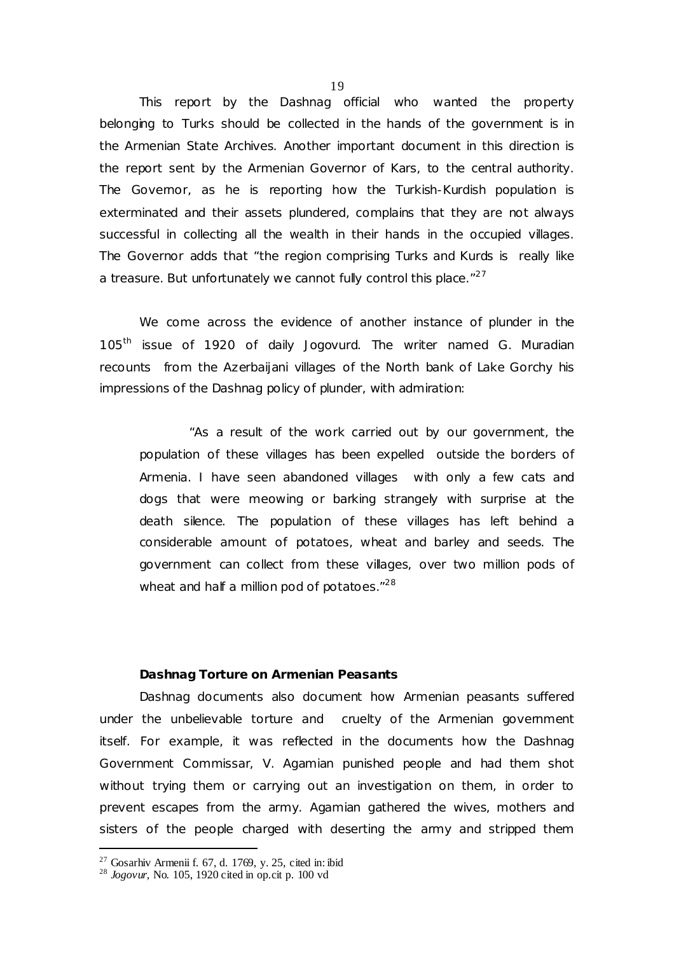This report by the Dashnag official who wanted the property belonging to Turks should be collected in the hands of the government is in the Armenian State Archives. Another important document in this direction is the report sent by the Armenian Governor of Kars, to the central authority. The Governor, as he is reporting how the Turkish-Kurdish population is exterminated and their assets plundered, complains that they are not always successful in collecting all the wealth in their hands in the occupied villages. The Governor adds that "the region comprising Turks and Kurds is really like a treasure. But unfortunately we cannot fully control this place."<sup>27</sup>

We come across the evidence of another instance of plunder in the 105th issue of 1920 of daily *Jogovurd.* The writer named G. Muradian recounts from the Azerbaijani villages of the North bank of Lake Gorchy his impressions of the Dashnag policy of plunder, with admiration:

"As a result of the work carried out by our government, the population of these villages has been expelled outside the borders of Armenia. I have seen abandoned villages with only a few cats and dogs that were meowing or barking strangely with surprise at the death silence. The population of these villages has left behind a considerable amount of potatoes, wheat and barley and seeds. The government can collect from these villages, over two million pods of wheat and half a million pod of potatoes."<sup>28</sup>

# **Dashnag Torture on Armenian Peasants**

Dashnag documents also document how Armenian peasants suffered under the unbelievable torture and cruelty of the Armenian government itself. For example, it was reflected in the documents how the Dashnag Government Commissar, V. Agamian punished people and had them shot without trying them or carrying out an investigation on them, in order to prevent escapes from the army. Agamian gathered the wives, mothers and sisters of the people charged with deserting the army and stripped them

 $\ddot{\phantom{a}}$ 

 $27$  Gosarhiv Armenii f. 67, d. 1769, y. 25, cited in: ibid

<sup>28</sup> *Jogovur*, No. 105, 1920 cited in op.cit p. 100 vd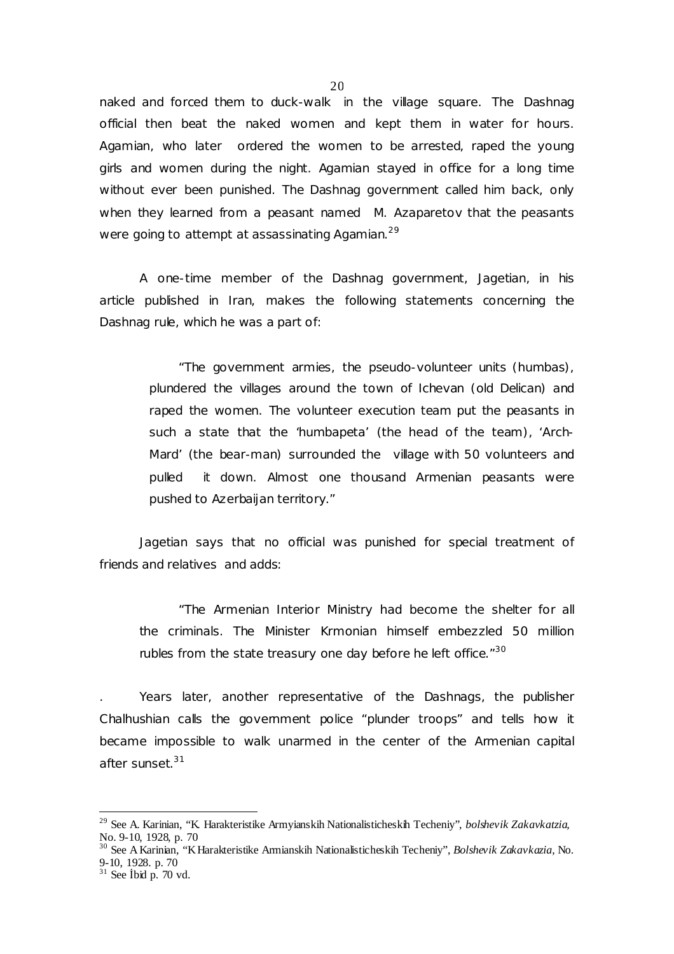naked and forced them to duck-walk in the village square. The Dashnag official then beat the naked women and kept them in water for hours. Agamian, who later ordered the women to be arrested, raped the young girls and women during the night. Agamian stayed in office for a long time without ever been punished. The Dashnag government called him back, only when they learned from a peasant named M. Azaparetov that the peasants were going to attempt at assassinating Agamian. $^{29}$ 

A one-time member of the Dashnag government, Jagetian, in his article published in Iran, makes the following statements concerning the Dashnag rule, which he was a part of:

> "The government armies, the pseudo-volunteer units (humbas), plundered the villages around the town of Ichevan (old Delican) and raped the women. The volunteer execution team put the peasants in such a state that the 'humbapeta' (the head of the team), 'Arch-Mard' (the bear-man) surrounded the village with 50 volunteers and pulled it down. Almost one thousand Armenian peasants were pushed to Azerbaijan territory."

Jagetian says that no official was punished for special treatment of friends and relatives and adds:

"The Armenian Interior Ministry had become the shelter for all the criminals. The Minister Krmonian himself embezzled 50 million rubles from the state treasury one day before he left office."<sup>30</sup>

. Years later, another representative of the Dashnags, the publisher Chalhushian calls the government police "plunder troops" and tells how it became impossible to walk unarmed in the center of the Armenian capital after sunset.<sup>31</sup>

 $\overline{a}$ 

<sup>29</sup> See A. Karinian, "K. Harakteristike Armyianskih Nationalisticheskih Techeniy", *bolshevik Zakavkatzia,*  No. 9-10, 1928, p. 70

<sup>30</sup> See AKarinian, "KHarakteristike Armianskih Nationalisticheskih Techeniy", *Bolshevik Zakavkazia*, No. 9-10, 1928. p. 70

 $31$  See Ibid p. 70 vd.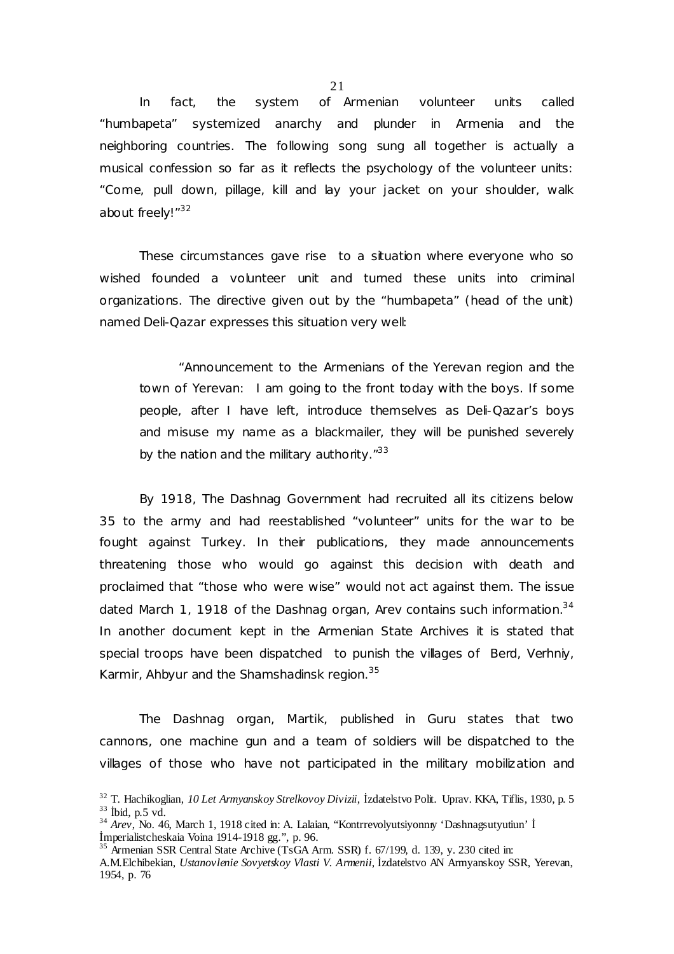In fact, the system of Armenian volunteer units called "humbapeta" systemized anarchy and plunder in Armenia and the neighboring countries. The following song sung all together is actually a musical confession so far as it reflects the psychology of the volunteer units: "Come, pull down, pillage, kill and lay your jacket on your shoulder, walk about freely!"<sup>32</sup>

These circumstances gave rise to a situation where everyone who so wished founded a volunteer unit and turned these units into criminal organizations. The directive given out by the "humbapeta" (head of the unit) named Deli-Qazar expresses this situation very well:

"Announcement to the Armenians of the Yerevan region and the town of Yerevan: I am going to the front today with the boys. If some people, after I have left, introduce themselves as Deli-Qazar's boys and misuse my name as a blackmailer, they will be punished severely by the nation and the military authority."<sup>33</sup>

By 1918, The Dashnag Government had recruited all its citizens below 35 to the army and had reestablished "volunteer" units for the war to be fought against Turkey. In their publications, they made announcements threatening those who would go against this decision with death and proclaimed that "those who were wise" would not act against them. The issue dated March 1, 1918 of the Dashnag organ, *Arev* contains such information.<sup>34</sup> In another document kept in the Armenian State Archives it is stated that special troops have been dispatched to punish the villages of Berd, Verhniy, Karmir, Ahbyur and the Shamshadinsk region.<sup>35</sup>

The Dashnag organ, *Martik,* published in Guru states that two cannons, one machine gun and a team of soldiers will be dispatched to the villages of those who have not participated in the military mobilization and

<sup>32</sup> T. Hachikoglian, *10 Let Armyanskoy Strelkovoy Divizii*, İzdatelstvo Polit. Uprav. KKA, Tiflis, 1930, p. 5  $33$  İbid, p.5 vd.

<sup>34</sup> *Arev*, No. 46, March 1, 1918 cited in: A. Lalaian, "Kontrrevolyutsiyonnıy 'Dashnagsutyutiun' İ İmperialistcheskaia Voina 1914-1918 gg.", p. 96.

 $35$  Armenian SSR Central State Archive (TsGA Arm. SSR) f. 67/199, d. 139, y. 230 cited in:

A.M.Elchibekian, *Ustanovlenie Sovyetskoy Vlasti V. Armenii,* İzdatelstvo AN Armyanskoy SSR, Yerevan, 1954, p. 76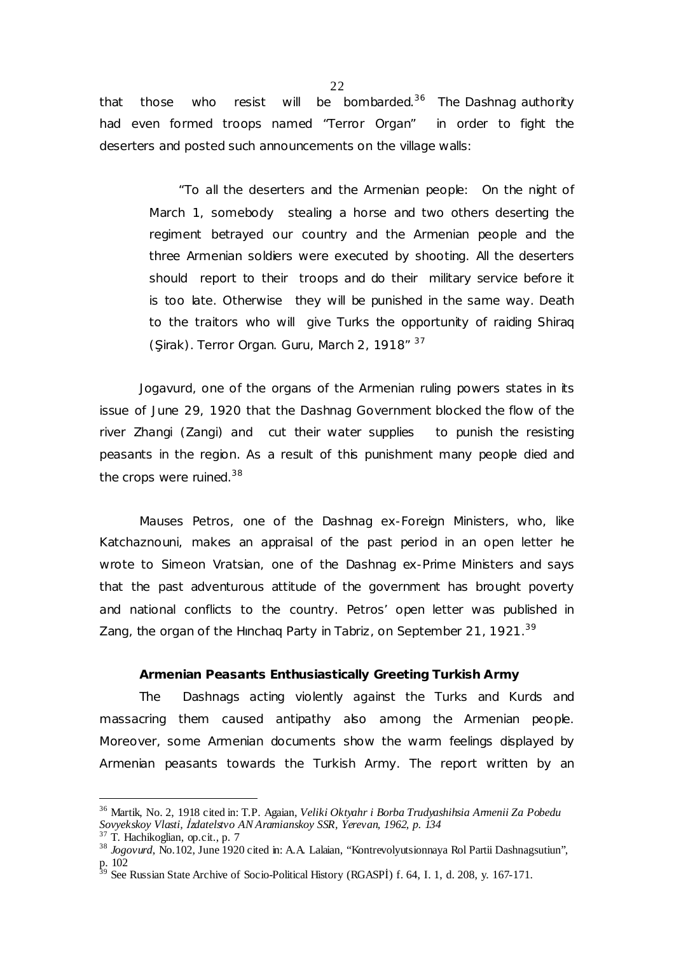that those who resist will be bombarded.<sup>36</sup> The Dashnag authority had even formed troops named "Terror Organ" in order to fight the deserters and posted such announcements on the village walls:

> "To all the deserters and the Armenian people: On the night of March 1, somebody stealing a horse and two others deserting the regiment betrayed our country and the Armenian people and the three Armenian soldiers were executed by shooting. All the deserters should report to their troops and do their military service before it is too late. Otherwise they will be punished in the same way. Death to the traitors who will give Turks the opportunity of raiding Shiraq (Sirak). Terror Organ. Guru, March 2, 1918" 37

 *Jogavurd*, one of the organs of the Armenian ruling powers states in its issue of June 29, 1920 that the Dashnag Government blocked the flow of the river Zhangi (Zangi) and cut their water supplies to punish the resisting peasants in the region. As a result of this punishment many people died and the crops were ruined.<sup>38</sup>

Mauses Petros, one of the Dashnag ex-Foreign Ministers, who, like Katchaznouni, makes an appraisal of the past period in an open letter he wrote to Simeon Vratsian, one of the Dashnag ex-Prime Ministers and says that the past adventurous attitude of the government has brought poverty and national conflicts to the country. Petros' open letter was published in Zang, the organ of the Hinchag Party in Tabriz, on September 21, 1921.<sup>39</sup>

# **Armenian Peasants Enthusiastically Greeting Turkish Army**

The Dashnags acting violently against the Turks and Kurds and massacring them caused antipathy also among the Armenian people. Moreover, some Armenian documents show the warm feelings displayed by Armenian peasants towards the Turkish Army. The report written by an

 $\ddot{\phantom{a}}$ 

<sup>36</sup> Martik, No. 2, 1918 cited in: T.P. Agaian, *Veliki Oktyahr i Borba Trudyashihsia Armenii Za Pobedu Sovyekskoy Vlasti, İzdatelstvo AN Aramianskoy SSR, Yerevan, 1962, p. 134* 

 $37$  T. Hachikoglian, op.cit., p. 7

<sup>&</sup>lt;sup>38</sup> *Jogovurd*, No.102, June 1920 cited in: A.A. Lalaian, "Kontrevolyutsionnaya Rol Partii Dashnagsutiun", p. 102

 $39$  See Russian State Archive of Socio-Political History (RGASPI) f. 64, I. 1, d. 208, y. 167-171.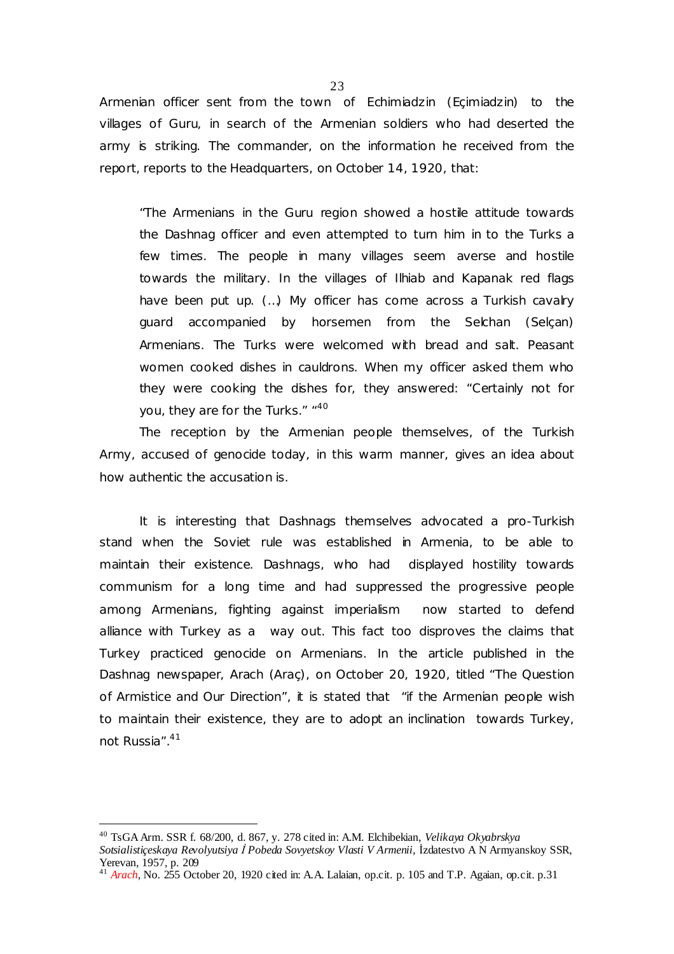Armenian officer sent from the town of Echimiadzin (Eçimiadzin) to the villages of Guru, in search of the Armenian soldiers who had deserted the army is striking. The commander, on the information he received from the report, reports to the Headquarters, on October 14, 1920, that:

"The Armenians in the Guru region showed a hostile attitude towards the Dashnag officer and even attempted to turn him in to the Turks a few times. The people in many villages seem averse and hostile towards the military. In the villages of Ilhiab and Kapanak red flags have been put up. (...) My officer has come across a Turkish cavalry guard accompanied by horsemen from the Selchan (Selçan) Armenians. The Turks were welcomed with bread and salt. Peasant women cooked dishes in cauldrons. When my officer asked them who they were cooking the dishes for, they answered: "Certainly not for you, they are for the Turks." "40

The reception by the Armenian people themselves, of the Turkish Army, accused of genocide today, in this warm manner, gives an idea about how authentic the accusation is.

It is interesting that Dashnags themselves advocated a pro-Turkish stand when the Soviet rule was established in Armenia, to be able to maintain their existence. Dashnags, who had displayed hostility towards communism for a long time and had suppressed the progressive people among Armenians, fighting against imperialism now started to defend alliance with Turkey as a way out. This fact too disproves the claims that Turkey practiced genocide on Armenians. In the article published in the Dashnag newspaper, *Arach* (Araç), on October 20, 1920, titled "The Question of Armistice and Our Direction", it is stated that "if the Armenian people wish to maintain their existence, they are to adopt an inclination towards Turkey, not Russia".<sup>41</sup>

 $\overline{a}$ 

<sup>40</sup> TsGAArm. SSR f. 68/200, d. 867, y. 278 cited in: A.M. Elchibekian, *Velikaya Okyabrskya* 

*Sotsialistiçeskaya Revolyutsiya İ Pobeda Sovyetskoy Vlasti V Armenii,* İzdatestvo A N Armyanskoy SSR, Yerevan, 1957, p. 209

<sup>41</sup> *Arach,* No. 255 October 20, 1920 cited in: A.A. Lalaian, op.cit. p. 105 and T.P. Agaian, op.cit. p.31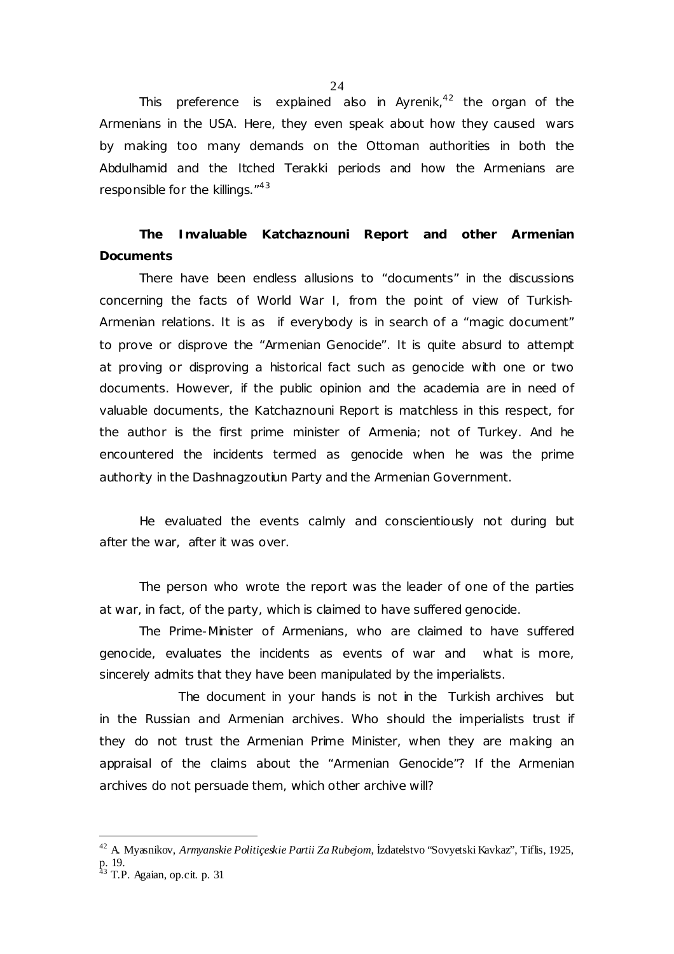This preference is explained also in *Ayrenik*, <sup>42</sup> the organ of the Armenians in the USA. Here, they even speak about how they caused wars by making too many demands on the Ottoman authorities in both the Abdulhamid and the Itched Terakki periods and how the Armenians are responsible for the killings."<sup>43</sup>

**The Invaluable Katchaznouni Report and other Armenian Documents** 

There have been endless allusions to "documents" in the discussions concerning the facts of World War I, from the point of view of Turkish-Armenian relations. It is as if everybody is in search of a "magic document" to prove or disprove the "Armenian Genocide". It is quite absurd to attempt at proving or disproving a historical fact such as genocide with one or two documents. However, if the public opinion and the academia are in need of valuable documents, the Katchaznouni Report is matchless in this respect, for the author is the first prime minister of Armenia; not of Turkey. And he encountered the incidents termed as genocide when he was the prime authority in the Dashnagzoutiun Party and the Armenian Government.

He evaluated the events calmly and conscientiously not during but after the war, after it was over.

The person who wrote the report was the leader of one of the parties at war, in fact, of the party, which is claimed to have suffered genocide.

The Prime-Minister of Armenians, who are claimed to have suffered genocide, evaluates the incidents as events of war and what is more, sincerely admits that they have been manipulated by the imperialists.

The document in your hands is not in the Turkish archives but in the Russian and Armenian archives. Who should the imperialists trust if they do not trust the Armenian Prime Minister, when they are making an appraisal of the claims about the "Armenian Genocide"? If the Armenian archives do not persuade them, which other archive will?

**-**

24

<sup>42</sup> A. Myasnikov, *Armyanskie Politiçeskie Partii ZaRubejom*, İzdatelstvo "Sovyetski Kavkaz", Tiflis, 1925, p. 19.

 $43$  T.P. Agaian, op.cit. p. 31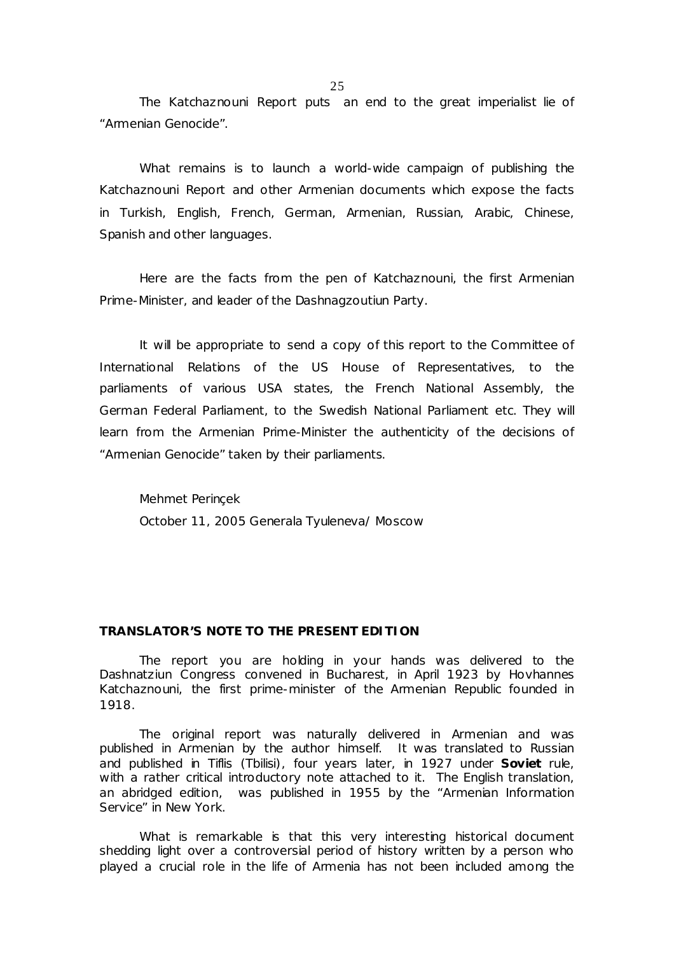The Katchaznouni Report puts an end to the great imperialist lie of "Armenian Genocide".

What remains is to launch a world-wide campaign of publishing the Katchaznouni Report and other Armenian documents which expose the facts in Turkish, English, French, German, Armenian, Russian, Arabic, Chinese, Spanish and other languages.

Here are the facts from the pen of Katchaznouni, the first Armenian Prime-Minister, and leader of the Dashnagzoutiun Party.

It will be appropriate to send a copy of this report to the Committee of International Relations of the US House of Representatives, to the parliaments of various USA states, the French National Assembly, the German Federal Parliament, to the Swedish National Parliament etc. They will learn from the Armenian Prime-Minister the authenticity of the decisions of "Armenian Genocide" taken by their parliaments.

Mehmet Perinçek October 11, 2005 Generala Tyuleneva/ Moscow

# **TRANSLATOR'S NOTE TO THE PRESENT EDITION**

The report you are holding in your hands was delivered to the Dashnatziun Congress convened in Bucharest, in April 1923 by Hovhannes Katchaznouni, the first prime-minister of the Armenian Republic founded in 1918.

The original report was naturally delivered in Armenian and was published in Armenian by the author himself. It was translated to Russian and published in Tiflis (Tbilisi), four years later, in 1927 under **Soviet** rule, with a rather critical introductory note attached to it. The English translation, an abridged edition, was published in 1955 by the "Armenian Information Service" in New York.

What is remarkable is that this very interesting historical document shedding light over a controversial period of history written by a person who played a crucial role in the life of Armenia has not been included among the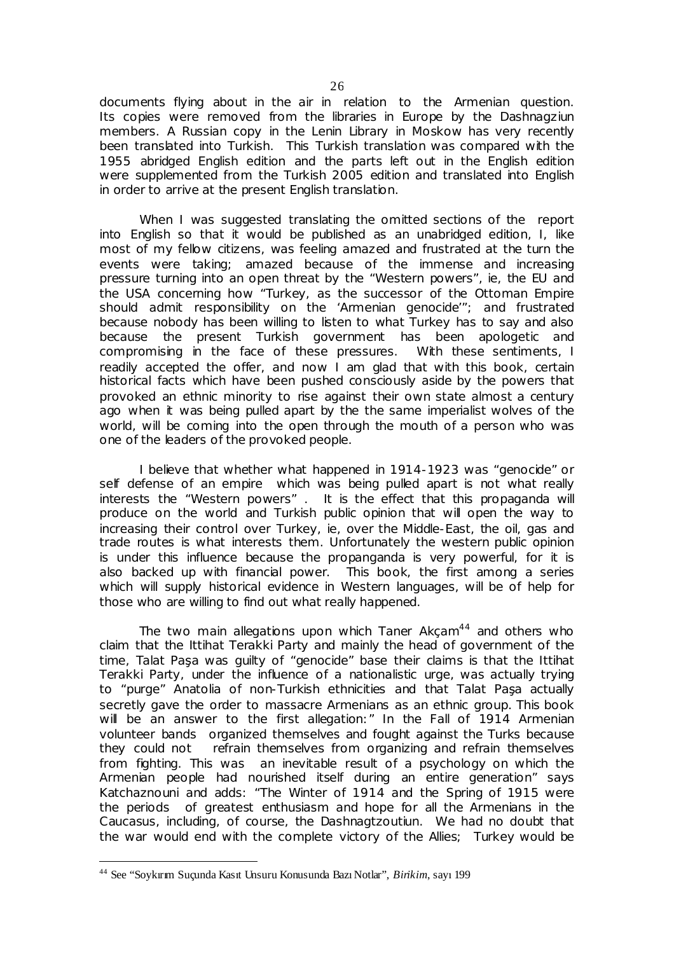documents flying about in the air in relation to the Armenian question. Its copies were removed from the libraries in Europe by the Dashnagziun members. A Russian copy in the Lenin Library in Moskow has very recently been translated into Turkish. This Turkish translation was compared with the 1955 abridged English edition and the parts left out in the English edition were supplemented from the Turkish 2005 edition and translated into English in order to arrive at the present English translation.

When I was suggested translating the omitted sections of the report into English so that it would be published as an unabridged edition, I, like most of my fellow citizens, was feeling amazed and frustrated at the turn the events were taking; amazed because of the immense and increasing pressure turning into an open threat by the "Western powers", ie, the EU and the USA concerning how "Turkey, as the successor of the Ottoman Empire should admit responsibility on the 'Armenian genocide'"; and frustrated because nobody has been willing to listen to what Turkey has to say and also because the present Turkish government has been apologetic and compromising in the face of these pressures. With these sentiments, I readily accepted the offer, and now I am glad that with this book, certain historical facts which have been pushed consciously aside by the powers that provoked an ethnic minority to rise against their own state almost a century ago when it was being pulled apart by the the same imperialist wolves of the world, will be coming into the open through the mouth of a person who was one of the leaders of the provoked people.

I believe that whether what happened in 1914-1923 was "genocide" or self defense of an empire which was being pulled apart is not what really interests the "Western powers" . It is the effect that this propaganda will produce on the world and Turkish public opinion that will open the way to increasing their control over Turkey, ie, over the Middle-East, the oil, gas and trade routes is what interests them. Unfortunately the western public opinion is under this influence because the propanganda is very powerful, for it is also backed up with financial power. This book, the first among a series which will supply historical evidence in Western languages, will be of help for those who are willing to find out what really happened.

The two main allegations upon which Taner Akcam<sup>44</sup> and others who claim that the Ittihat Terakki Party and mainly the head of government of the time, Talat Paşa was guilty of "genocide" base their claims is that the Ittihat Terakki Party, under the influence of a nationalistic urge, was actually trying to "purge" Anatolia of non-Turkish ethnicities and that Talat Paşa actually secretly gave the order to massacre Armenians as an ethnic group. This book will be an answer to the first allegation:" In the Fall of 1914 Armenian volunteer bands organized themselves and fought against the Turks because they could not refrain themselves from organizing and refrain themselves from fighting. This was an inevitable result of a psychology on which the Armenian people had nourished itself during an entire generation" says Katchaznouni and adds: "The Winter of 1914 and the Spring of 1915 were the periods of greatest enthusiasm and hope for all the Armenians in the Caucasus, including, of course, the Dashnagtzoutiun. We had no doubt that the war would end with the complete victory of the Allies; Turkey would be

 $\overline{a}$ 

<sup>44</sup> See "Soykırım Suçunda Kasıt Unsuru Konusunda Bazı Notlar", *Birikim*, sayı 199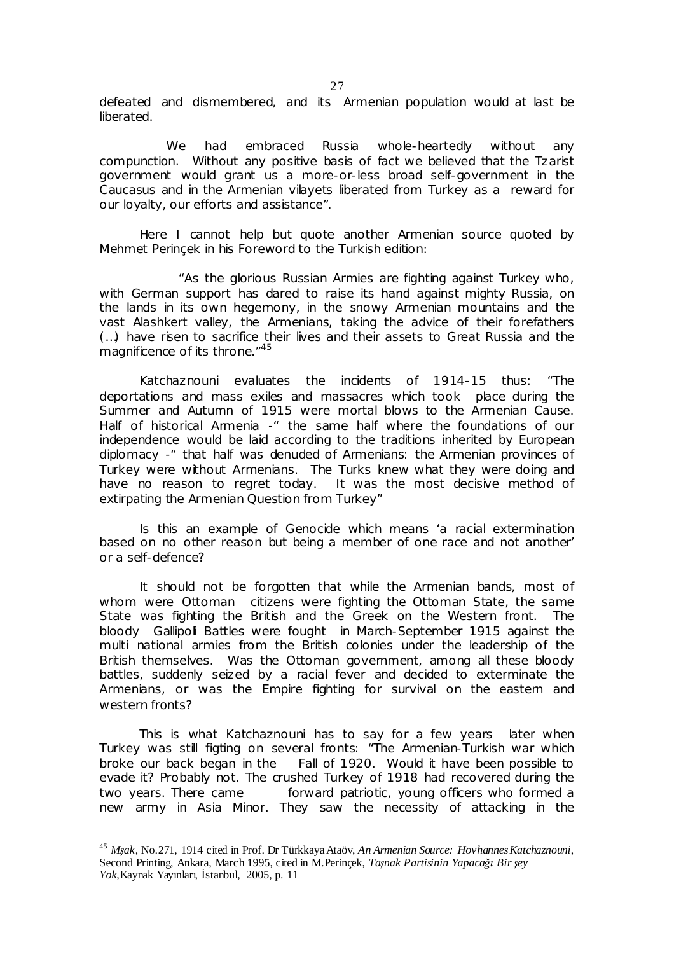defeated and dismembered, and its Armenian population would at last be liberated.

We had embraced Russia whole-heartedly without any compunction. Without any positive basis of fact we believed that the Tzarist government would grant us a more-or-less broad self-government in the Caucasus and in the Armenian vilayets liberated from Turkey as a reward for our loyalty, our efforts and assistance".

Here I cannot help but quote another Armenian source quoted by Mehmet Perinçek in his Foreword to the Turkish edition:

"As the glorious Russian Armies are fighting against Turkey who, with German support has dared to raise its hand against mighty Russia, on the lands in its own hegemony, in the snowy Armenian mountains and the vast Alashkert valley, the Armenians, taking the advice of their forefathers (…) have risen to sacrifice their lives and their assets to Great Russia and the magnificence of its throne."<sup>45</sup>

Katchaznouni evaluates the incidents of 1914-15 thus: "The deportations and mass exiles and massacres which took place during the Summer and Autumn of 1915 were mortal blows to the Armenian Cause. Half of historical Armenia -" the same half where the foundations of our independence would be laid according to the traditions inherited by European diplomacy -" that half was denuded of Armenians: the Armenian provinces of Turkey were without Armenians. The Turks knew what they were doing and have no reason to regret today. It was the most decisive method of extirpating the Armenian Question from Turkey"

Is this an example of Genocide which means 'a racial extermination based on no other reason but being a member of one race and not another' or a self-defence?

It should not be forgotten that while the Armenian bands, most of whom were Ottoman citizens were fighting the Ottoman State, the same State was fighting the British and the Greek on the Western front. The bloody Gallipoli Battles were fought in March-September 1915 against the multi national armies from the British colonies under the leadership of the British themselves. Was the Ottoman government, among all these bloody battles, suddenly seized by a racial fever and decided to exterminate the Armenians, or was the Empire fighting for survival on the eastem and western fronts?

This is what Katchaznouni has to say for a few years later when Turkey was still figting on several fronts: "The Armenian-Turkish war which broke our back began in the Fall of 1920. Would it have been possible to evade it? Probably not. The crushed Turkey of 1918 had recovered during the two years. There came forward patriotic, young officers who formed a new army in Asia Minor. They saw the necessity of attacking in the

**-**

<sup>45</sup> *Mşak*, No.271, 1914 cited in Prof. Dr TürkkayaAtaöv, *An Armenian Source: HovhannesKatchaznouni*, Second Printing, Ankara, March 1995, cited in M.Perinçek, *Taşnak Partisinin Yapacağı Bir şey Yok,*Kaynak Yayınları, İstanbul, 2005, p. 11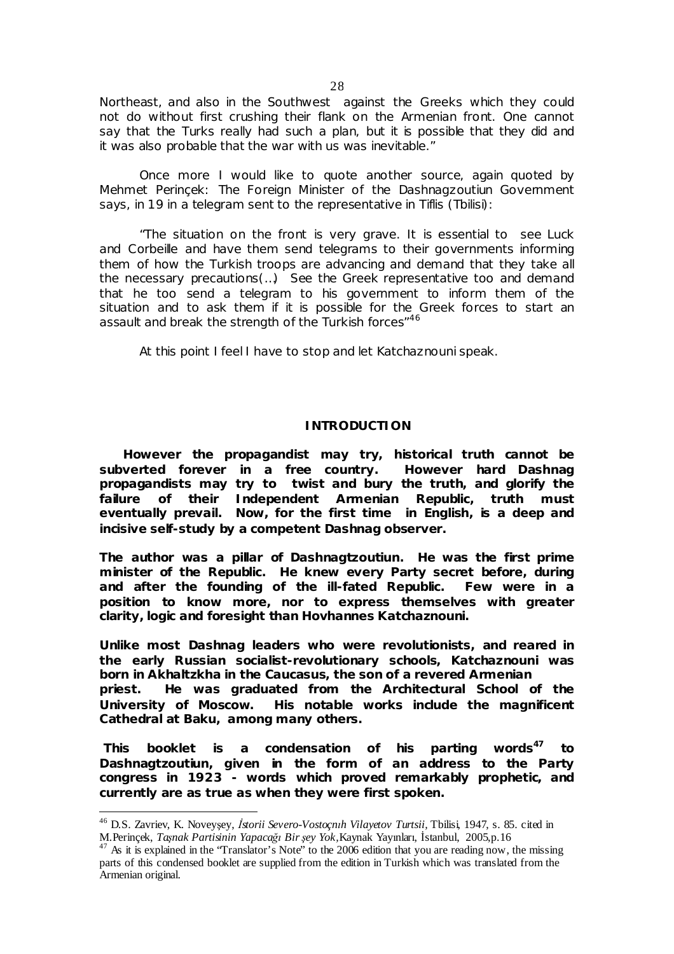Northeast, and also in the Southwest against the Greeks which they could not do without first crushing their flank on the Armenian front. One cannot say that the Turks really had such a plan, but it is possible that they did and it was also probable that the war with us was inevitable."

Once more I would like to quote another source, again quoted by Mehmet Perinçek: The Foreign Minister of the Dashnagzoutiun Government says, in 19 in a telegram sent to the representative in Tiflis (Tbilisi):

"The situation on the front is very grave. It is essential to see Luck and Corbeille and have them send telegrams to their governments informing them of how the Turkish troops are advancing and demand that they take all the necessary precautions(…) See the Greek representative too and demand that he too send a telegram to his government to inform them of the situation and to ask them if it is possible for the Greek forces to start an assault and break the strength of the Turkish forces<sup>"46</sup>

At this point I feel I have to stop and let Katchaznouni speak.

# **INTRODUCTION**

 **However the propagandist may try, historical truth cannot be subverted forever in a free country. However hard Dashnag propagandists may try to twist and bury the truth, and glorify the failure of their Independent Armenian Republic, truth must eventually prevail. Now, for the first time in English, is a deep and incisive self-study by a competent Dashnag observer.** 

**The author was a pillar of Dashnagtzoutiun. He was the first prime minister of the Republic. He knew every Party secret before, during and after the founding of the ill-fated Republic. Few were in a position to know more, nor to express themselves with greater clarity, logic and foresight than Hovhannes Katchaznouni.** 

**Unlike most Dashnag leaders who were revolutionists, and reared in the early Russian socialist-revolutionary schools, Katchaznouni was born in Akhaltzkha in the Caucasus, the son of a revered Armenian priest. He was graduated from the Architectural School of the University of Moscow. His notable works include the magnificent Cathedral at Baku, among many others.** 

**This booklet is a condensation of his parting words<sup>47</sup> to Dashnagtzoutiun, given in the form of an address to the Party congress in 1923 - words which proved remarkably prophetic, and currently are as true as when they were first spoken.** 

 $\overline{a}$ 

<sup>46</sup> D.S. Zavriev, K. Noveyşey, *İstorii Severo-Vostoçnıh Vilayetov Turtsii,* Tbilisi, 1947, s. 85. cited in M.Perinçek, *Taşnak Partisinin Yapacağı Bir şey Yok,*Kaynak Yayınları, İstanbul, 2005,p.16

<sup>&</sup>lt;sup>47</sup> As it is explained in the "Translator's Note" to the 2006 edition that you are reading now, the missing parts of this condensed booklet are supplied from the edition in Turkish which was translated from the Armenian original.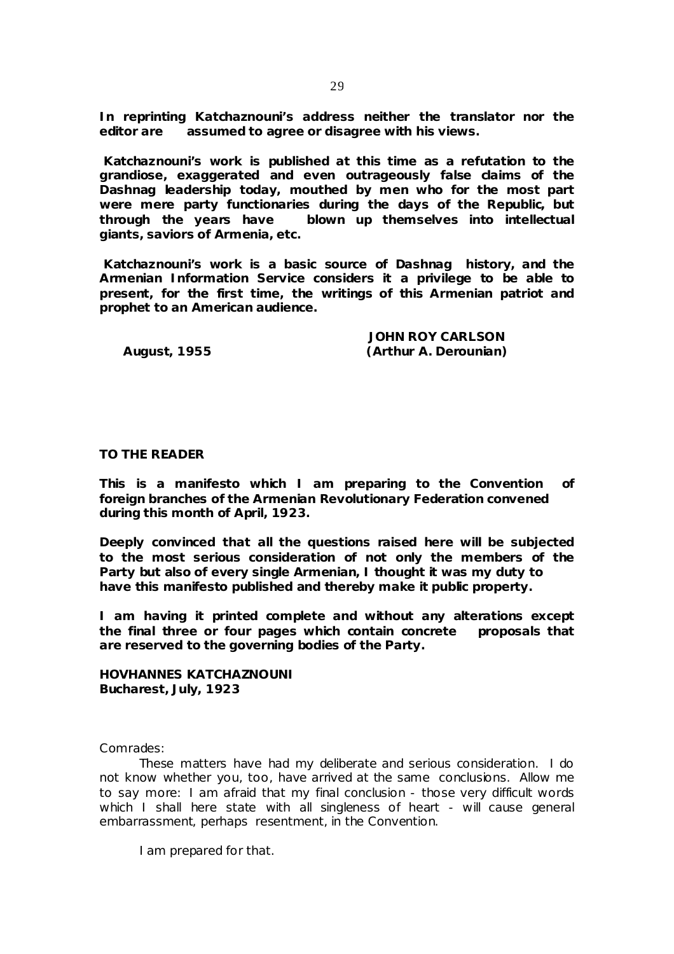**In reprinting Katchaznouni's address neither the translator nor the editor are assumed to agree or disagree with his views.** 

**Katchaznouni's work is published at this time as a refutation to the grandiose, exaggerated and even outrageously false claims of the Dashnag leadership today, mouthed by men who for the most part were mere party functionaries during the days of the Republic, but through the years have blown up themselves into intellectual giants, saviors of Armenia, etc.** 

**Katchaznouni's work is a basic source of Dashnag history, and the Armenian Information Service considers it a privilege to be able to present, for the first time, the writings of this Armenian patriot and prophet to an American audience.** 

 **JOHN ROY CARLSON August, 1955 (Arthur A. Derounian)** 

### **TO THE READER**

**This is a manifesto which I am preparing to the Convention of foreign branches of the Armenian Revolutionary Federation convened during this month of April, 1923.** 

**Deeply convinced that all the questions raised here will be subjected to the most serious consideration of not only the members of the Party but also of every single Armenian, I thought it was my duty to have this manifesto published and thereby make it public property.** 

**I am having it printed complete and without any alterations except the final three or four pages which contain concrete proposals that are reserved to the governing bodies of the Party.** 

**HOVHANNES KATCHAZNOUNI Bucharest, July, 1923** 

Comrades:

These matters have had my deliberate and serious consideration. I do not know whether you, too, have arrived at the same conclusions. Allow me to say more: I am afraid that my final conclusion - those very difficult words which I shall here state with all singleness of heart - will cause general embarrassment, perhaps resentment, in the Convention.

I am prepared for that.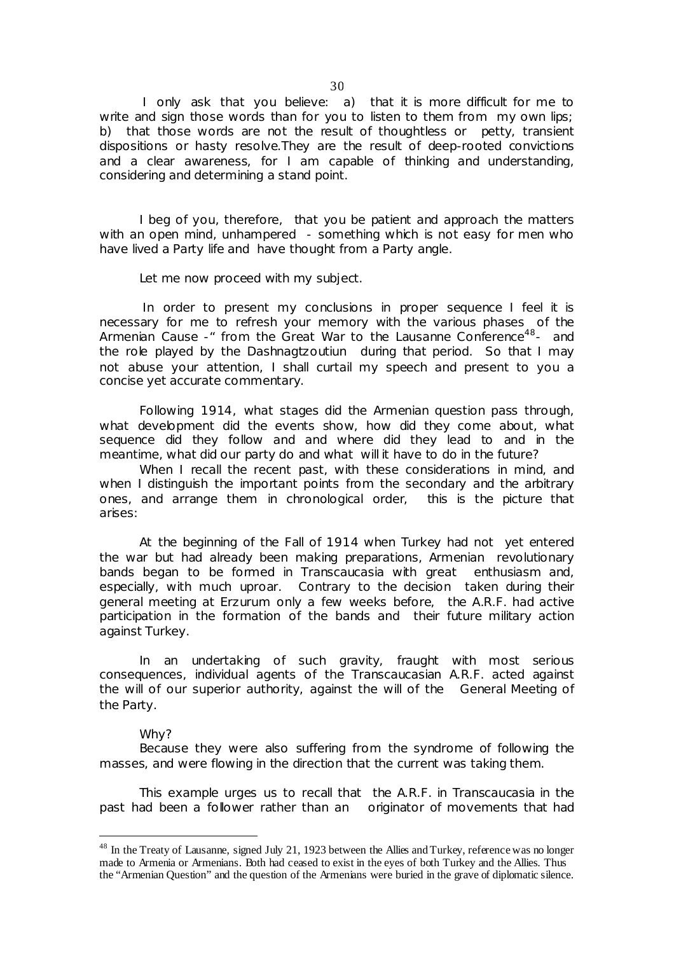I only ask that you believe: a) that it is more difficult for me to write and sign those words than for you to listen to them from my own lips; b) that those words are not the result of thoughtless or petty, transient dispositions or hasty resolve.They are the result of deep-rooted convictions and a clear awareness, for I am capable of thinking and understanding, considering and determining a stand point.

I beg of you, therefore, that you be patient and approach the matters with an open mind, unhampered - something which is not easy for men who have lived a Party life and have thought from a Party angle.

Let me now proceed with my subject.

In order to present my conclusions in proper sequence I feel it is necessary for me to refresh your memory with the various phases of the Armenian Cause - from the Great War to the Lausanne Conference<sup>48</sup>- and the role played by the Dashnagtzoutiun during that period. So that I may not abuse your attention, I shall curtail my speech and present to you a concise yet accurate commentary.

Following 1914, what stages did the Armenian question pass through, what development did the events show, how did they come about, what sequence did they follow and and where did they lead to and in the meantime, what did our party do and what will it have to do in the future?

When I recall the recent past, with these considerations in mind, and when I distinguish the important points from the secondary and the arbitrary ones, and arrange them in chronological order, this is the picture that arises:

At the beginning of the Fall of 1914 when Turkey had not yet entered the war but had already been making preparations, Armenian revolutionary bands began to be formed in Transcaucasia with great enthusiasm and, especially, with much uproar. Contrary to the decision taken during their general meeting at Erzurum only a few weeks before, the A.R.F. had active participation in the formation of the bands and their future military action against Turkey.

In an undertaking of such gravity, fraught with most serious consequences, individual agents of the Transcaucasian A.R.F. acted against the will of our superior authority, against the will of the General Meeting of the Party.

#### Why?

**-**

Because they were also suffering from the syndrome of following the masses, and were flowing in the direction that the current was taking them.

This example urges us to recall that the A.R.F. in Transcaucasia in the past had been a follower rather than an originator of movements that had

 $48$  In the Treaty of Lausanne, signed July 21, 1923 between the Allies and Turkey, reference was no longer made to Armenia or Armenians. Both had ceased to exist in the eyes of both Turkey and the Allies. Thus the "Armenian Question" and the question of the Armenians were buried in the grave of diplomatic silence.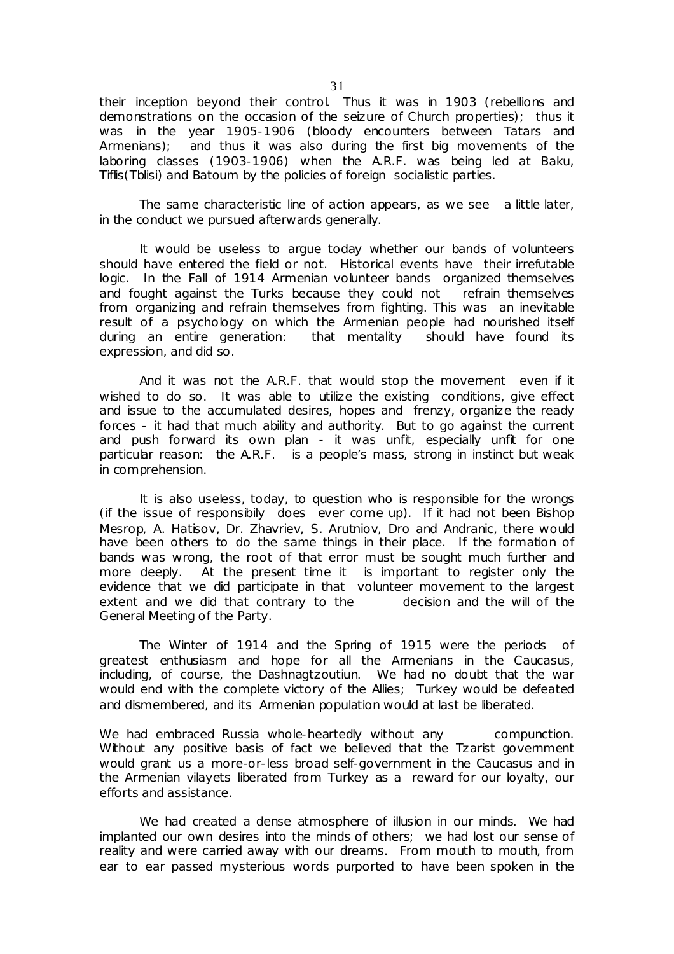their inception beyond their control. Thus it was in 1903 (rebellions and demonstrations on the occasion of the seizure of Church properties); thus it was in the year 1905-1906 (bloody encounters between Tatars and Armenians); and thus it was also during the first big movements of the laboring classes (1903-1906) when the A.R.F. was being led at Baku, Tiflis(Tblisi) and Batoum by the policies of foreign socialistic parties.

The same characteristic line of action appears, as we see a little later, in the conduct we pursued afterwards generally.

It would be useless to argue today whether our bands of volunteers should have entered the field or not. Historical events have their irrefutable logic. In the Fall of 1914 Armenian volunteer bands organized themselves and fought against the Turks because they could not refrain themselves from organizing and refrain themselves from fighting. This was an inevitable result of a psychology on which the Armenian people had nourished itself during an entire generation: that mentality should have found its expression, and did so.

And it was not the A.R.F. that would stop the movement even if it wished to do so. It was able to utilize the existing conditions, give effect and issue to the accumulated desires, hopes and frenzy, organize the ready forces - it had that much ability and authority. But to go against the current and push forward its own plan - it was unfit, especially unfit for one particular reason: the A.R.F. is a people's mass, strong in instinct but weak in comprehension.

It is also useless, today, to question who is responsible for the wrongs (if the issue of responsibily does ever come up). If it had not been Bishop Mesrop, A. Hatisov, Dr. Zhavriev, S. Arutniov, Dro and Andranic, there would have been others to do the same things in their place. If the formation of bands was wrong, the root of that error must be sought much further and more deeply. At the present time it is important to register only the evidence that we did participate in that volunteer movement to the largest extent and we did that contrary to the decision and the will of the General Meeting of the Party.

The Winter of 1914 and the Spring of 1915 were the periods of greatest enthusiasm and hope for all the Armenians in the Caucasus, including, of course, the Dashnagtzoutiun. We had no doubt that the war would end with the complete victory of the Allies; Turkey would be defeated and dismembered, and its Armenian population would at last be liberated.

We had embraced Russia whole-heartedly without any compunction. Without any positive basis of fact we believed that the Tzarist government would grant us a more-or-less broad self-government in the Caucasus and in the Armenian vilayets liberated from Turkey as a reward for our loyalty, our efforts and assistance.

We had created a dense atmosphere of illusion in our minds. We had implanted our own desires into the minds of others; we had lost our sense of reality and were carried away with our dreams. From mouth to mouth, from ear to ear passed mysterious words purported to have been spoken in the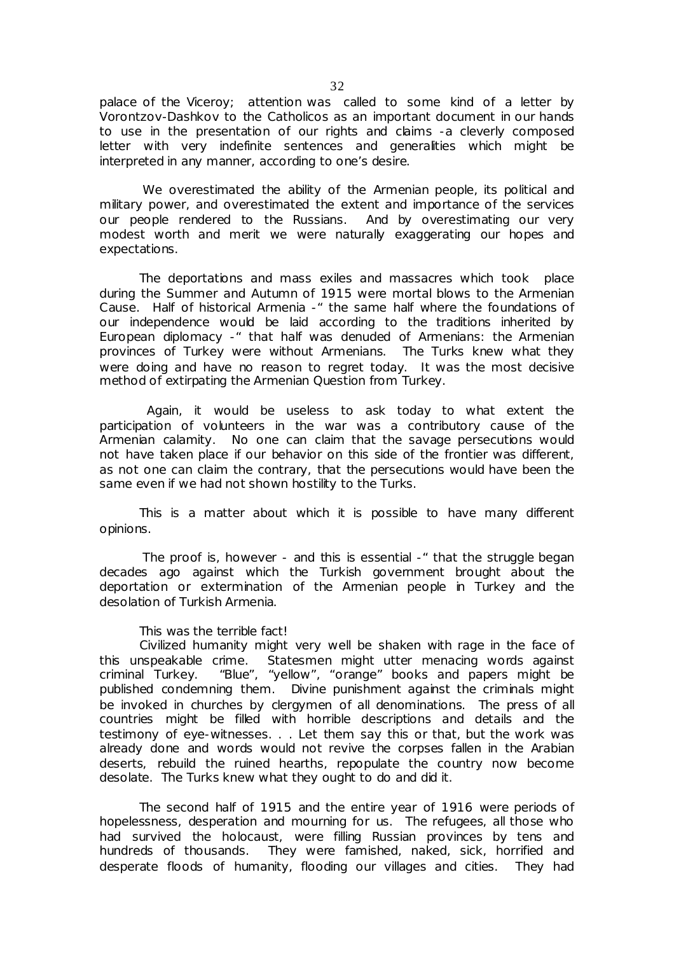palace of the Viceroy; attention was called to some kind of a letter by Vorontzov-Dashkov to the Catholicos as an important document in our hands to use in the presentation of our rights and claims -a cleverly composed letter with very indefinite sentences and generalities which might be interpreted in any manner, according to one's desire.

We overestimated the ability of the Armenian people, its political and military power, and overestimated the extent and importance of the services our people rendered to the Russians. And by overestimating our very modest worth and merit we were naturally exaggerating our hopes and expectations.

The deportations and mass exiles and massacres which took place during the Summer and Autumn of 1915 were mortal blows to the Armenian Cause. Half of historical Armenia -" the same half where the foundations of our independence would be laid according to the traditions inherited by European diplomacy -" that half was denuded of Armenians: the Armenian provinces of Turkey were without Armenians. The Turks knew what they were doing and have no reason to regret today. It was the most decisive method of extirpating the Armenian Question from Turkey.

 Again, it would be useless to ask today to what extent the participation of volunteers in the war was a contributory cause of the Armenian calamity. No one can claim that the savage persecutions would not have taken place if our behavior on this side of the frontier was different, as not one can claim the contrary, that the persecutions would have been the same even if we had not shown hostility to the Turks.

This is a matter about which it is possible to have many different opinions.

The proof is, however - and this is essential -" that the struggle began decades ago against which the Turkish government brought about the deportation or extermination of the Armenian people in Turkey and the desolation of Turkish Armenia.

This was the terrible fact!

Civilized humanity might very well be shaken with rage in the face of this unspeakable crime. Statesmen might utter menacing words against criminal Turkey. "Blue", "yellow", "orange" books and papers might be published condemning them. Divine punishment against the criminals might be invoked in churches by clergymen of all denominations. The press of all countries might be filled with horrible descriptions and details and the testimony of eye-witnesses. . . Let them say this or that, but the work was already done and words would not revive the corpses fallen in the Arabian deserts, rebuild the ruined hearths, repopulate the country now become desolate. The Turks knew what they ought to do and did it.

The second half of 1915 and the entire year of 1916 were periods of hopelessness, desperation and mourning for us. The refugees, all those who had survived the holocaust, were filling Russian provinces by tens and hundreds of thousands. They were famished, naked, sick, horrified and desperate floods of humanity, flooding our villages and cities. They had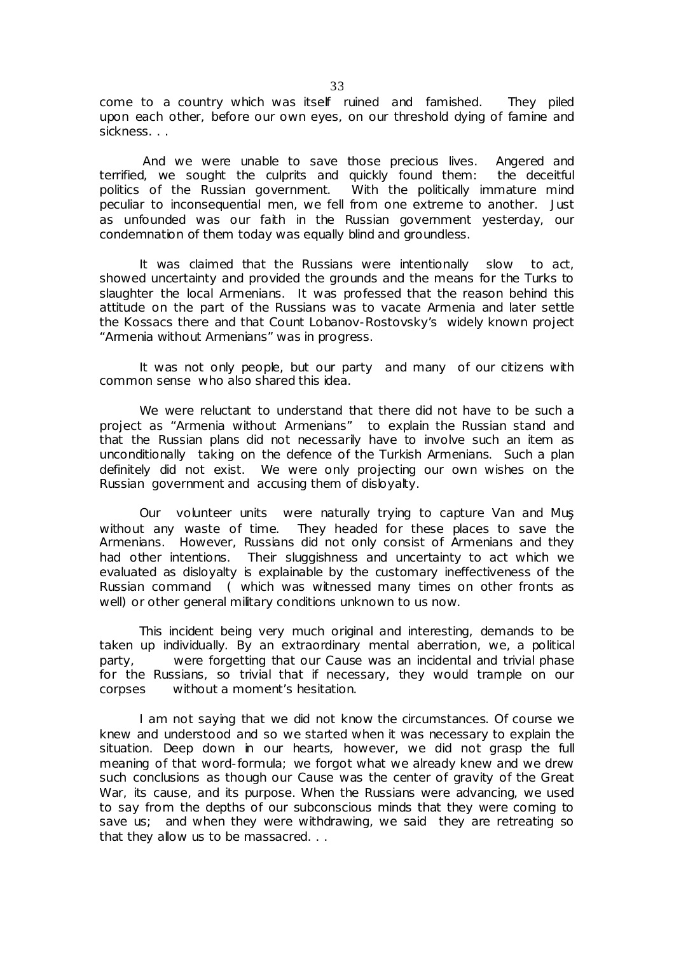come to a country which was itself ruined and famished. They piled upon each other, before our own eyes, on our threshold dying of famine and sickness. . .

And we were unable to save those precious lives. Angered and terrified, we sought the culprits and quickly found them: the deceitful politics of the Russian government. With the politically immature mind peculiar to inconsequential men, we fell from one extreme to another. Just as unfounded was our faith in the Russian government yesterday, our condemnation of them today was equally blind and groundless.

It was claimed that the Russians were intentionally slow to act, showed uncertainty and provided the grounds and the means for the Turks to slaughter the local Armenians. It was professed that the reason behind this attitude on the part of the Russians was to vacate Armenia and later settle the Kossacs there and that Count Lobanov-Rostovsky's widely known project "Armenia without Armenians" was in progress.

It was not only people, but our party and many of our citizens with common sense who also shared this idea.

We were reluctant to understand that there did not have to be such a project as "Armenia without Armenians" to explain the Russian stand and that the Russian plans did not necessarily have to involve such an item as unconditionally taking on the defence of the Turkish Armenians. Such a plan definitely did not exist. We were only projecting our own wishes on the Russian government and accusing them of disloyalty.

Our volunteer units were naturally trying to capture Van and Muş without any waste of time. They headed for these places to save the Armenians. However, Russians did not only consist of Armenians and they had other intentions. Their sluggishness and uncertainty to act which we evaluated as disloyalty is explainable by the customary ineffectiveness of the Russian command ( which was witnessed many times on other fronts as well) or other general military conditions unknown to us now.

This incident being very much original and interesting, demands to be taken up individually. By an extraordinary mental aberration, we, a political party, were forgetting that our Cause was an incidental and trivial phase for the Russians, so trivial that if necessary, they would trample on our corpses without a moment's hesitation.

I am not saying that we did not know the circumstances. Of course we knew and understood and so we started when it was necessary to explain the situation. Deep down in our hearts, however, we did not grasp the full meaning of that word-formula; we forgot what we already knew and we drew such conclusions as though our Cause was the center of gravity of the Great War, its cause, and its purpose. When the Russians were advancing, we used to say from the depths of our subconscious minds that they were coming to save us; and when they were withdrawing, we said they are retreating so that they allow us to be massacred. . .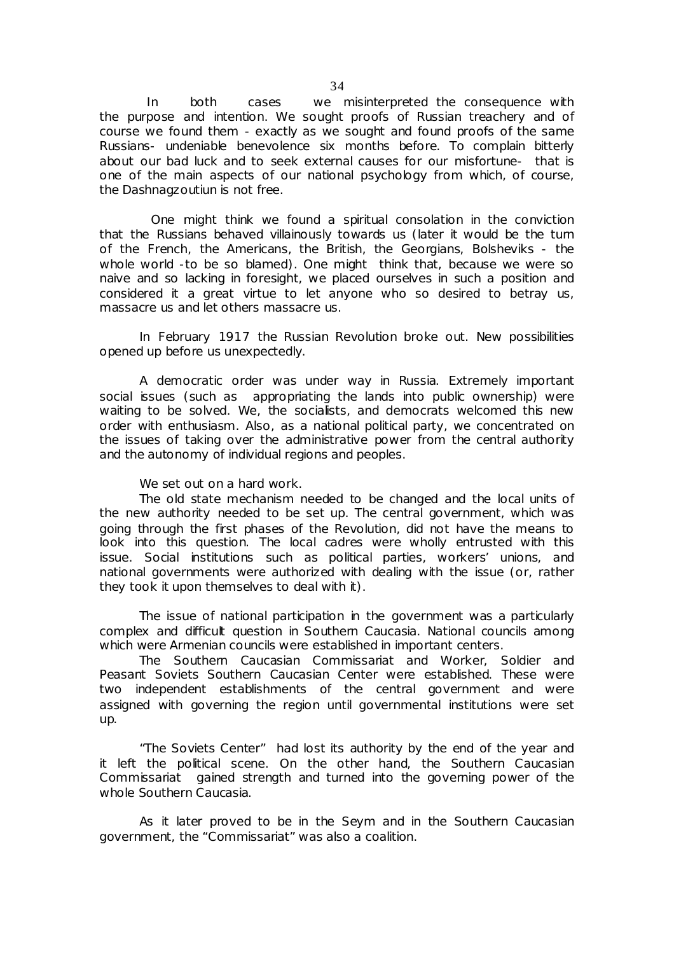In both cases we misinterpreted the consequence with the purpose and intention. We sought proofs of Russian treachery and of course we found them - exactly as we sought and found proofs of the same Russians- undeniable benevolence six months before. To complain bitterly about our bad luck and to seek external causes for our misfortune- that is one of the main aspects of our national psychology from which, of course, the Dashnagzoutiun is not free.

 One might think we found a spiritual consolation in the conviction that the Russians behaved villainously towards us (later it would be the turn of the French, the Americans, the British, the Georgians, Bolsheviks - the whole world -to be so blamed). One might think that, because we were so naive and so lacking in foresight, we placed ourselves in such a position and considered it a great virtue to let anyone who so desired to betray us, massacre us and let others massacre us.

In February 1917 the Russian Revolution broke out. New possibilities opened up before us unexpectedly.

A democratic order was under way in Russia. Extremely important social issues (such as appropriating the lands into public ownership) were waiting to be solved. We, the socialists, and democrats welcomed this new order with enthusiasm. Also, as a national political party, we concentrated on the issues of taking over the administrative power from the central authority and the autonomy of individual regions and peoples.

We set out on a hard work.

The old state mechanism needed to be changed and the local units of the new authority needed to be set up. The central government, which was going through the first phases of the Revolution, did not have the means to look into this question. The local cadres were wholly entrusted with this issue. Social institutions such as political parties, workers' unions, and national governments were authorized with dealing with the issue (or, rather they took it upon themselves to deal with it).

The issue of national participation in the government was a particularly complex and difficult question in Southern Caucasia. National councils among which were Armenian councils were established in important centers.

The Southern Caucasian Commissariat and Worker, Soldier and Peasant Soviets Southern Caucasian Center were established. These were two independent establishments of the central government and were assigned with governing the region until governmental institutions were set up.

"The Soviets Center" had lost its authority by the end of the year and it left the political scene. On the other hand, the Southern Caucasian Commissariat gained strength and turned into the governing power of the whole Southern Caucasia.

As it later proved to be in the Seym and in the Southern Caucasian government, the "Commissariat" was also a coalition.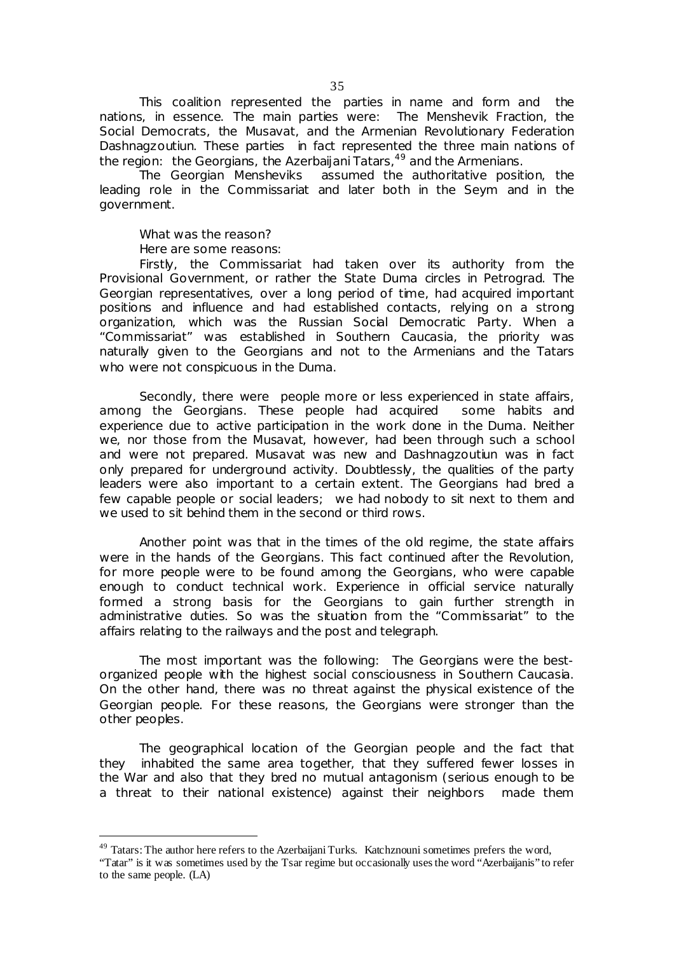This coalition represented the parties in name and form and the nations, in essence. The main parties were: The Menshevik Fraction, the Social Democrats, the Musavat, and the Armenian Revolutionary Federation Dashnagzoutiun. These parties in fact represented the three main nations of the region: the Georgians, the Azerbaijani Tatars,  $49$  and the Armenians.

The Georgian Mensheviks assumed the authoritative position, the leading role in the Commissariat and later both in the Seym and in the government.

What was the reason?

Here are some reasons:

**-**

Firstly, the Commissariat had taken over its authority from the Provisional Government, or rather the State Duma circles in Petrograd. The Georgian representatives, over a long period of time, had acquired important positions and influence and had established contacts, relying on a strong organization, which was the Russian Social Democratic Party. When a "Commissariat" was established in Southern Caucasia, the priority was naturally given to the Georgians and not to the Armenians and the Tatars who were not conspicuous in the Duma.

Secondly, there were people more or less experienced in state affairs, among the Georgians. These people had acquired some habits and experience due to active participation in the work done in the Duma. Neither we, nor those from the Musavat, however, had been through such a school and were not prepared. Musavat was new and Dashnagzoutiun was in fact only prepared for underground activity. Doubtlessly, the qualities of the party leaders were also important to a certain extent. The Georgians had bred a few capable people or social leaders; we had nobody to sit next to them and we used to sit behind them in the second or third rows.

Another point was that in the times of the old regime, the state affairs were in the hands of the Georgians. This fact continued after the Revolution, for more people were to be found among the Georgians, who were capable enough to conduct technical work. Experience in official service naturally formed a strong basis for the Georgians to gain further strength in administrative duties. So was the situation from the "Commissariat" to the affairs relating to the railways and the post and telegraph.

The most important was the following: The Georgians were the bestorganized people with the highest social consciousness in Southern Caucasia. On the other hand, there was no threat against the physical existence of the Georgian people. For these reasons, the Georgians were stronger than the other peoples.

The geographical location of the Georgian people and the fact that they inhabited the same area together, that they suffered fewer losses in the War and also that they bred no mutual antagonism (serious enough to be a threat to their national existence) against their neighbors made them

<sup>&</sup>lt;sup>49</sup> Tatars: The author here refers to the Azerbaijani Turks. Katchznouni sometimes prefers the word,

<sup>&</sup>quot;Tatar" is it was sometimes used by the Tsar regime but occasionally usesthe word "Azerbaijanis" to refer to the same people. (LA)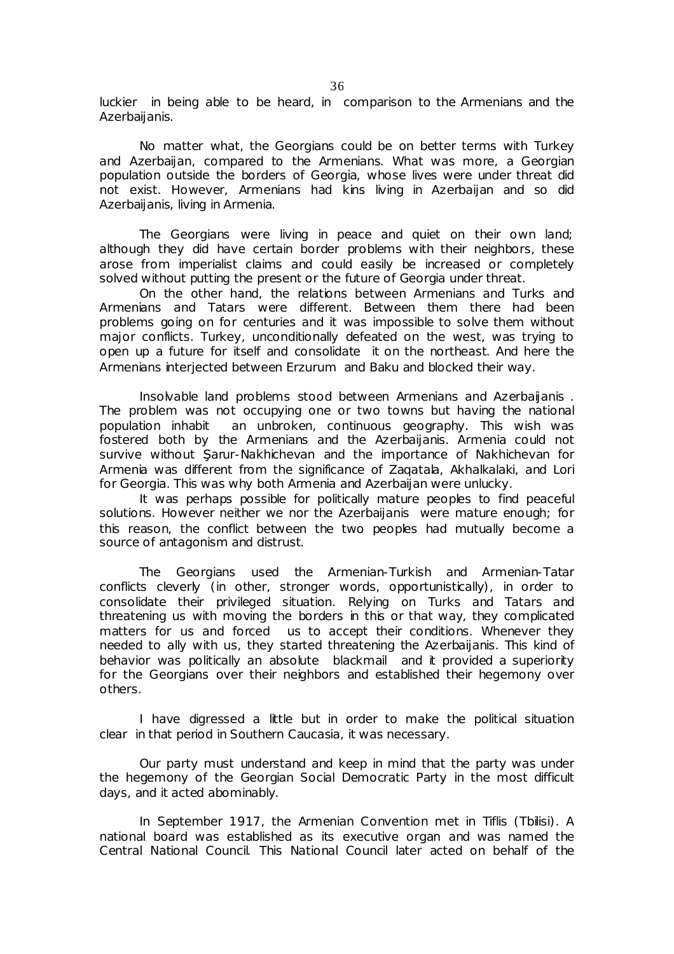luckier in being able to be heard, in comparison to the Armenians and the Azerbaijanis.

No matter what, the Georgians could be on better terms with Turkey and Azerbaijan, compared to the Armenians. What was more, a Georgian population outside the borders of Georgia, whose lives were under threat did not exist. However, Armenians had kins living in Azerbaijan and so did Azerbaijanis, living in Armenia.

The Georgians were living in peace and quiet on their own land; although they did have certain border problems with their neighbors, these arose from imperialist claims and could easily be increased or completely solved without putting the present or the future of Georgia under threat.

On the other hand, the relations between Armenians and Turks and Armenians and Tatars were different. Between them there had been problems going on for centuries and it was impossible to solve them without major conflicts. Turkey, unconditionally defeated on the west, was trying to open up a future for itself and consolidate it on the northeast. And here the Armenians interjected between Erzurum and Baku and blocked their way.

Insolvable land problems stood between Armenians and Azerbaijanis . The problem was not occupying one or two towns but having the national population inhabit an unbroken, continuous geography. This wish was fostered both by the Armenians and the Azerbaijanis. Armenia could not survive without Şarur-Nakhichevan and the importance of Nakhichevan for Armenia was different from the significance of Zagatala, Akhalkalaki, and Lori for Georgia. This was why both Armenia and Azerbaijan were unlucky.

It was perhaps possible for politically mature peoples to find peaceful solutions. However neither we nor the Azerbaijanis were mature enough; for this reason, the conflict between the two peoples had mutually become a source of antagonism and distrust.

The Georgians used the Armenian-Turkish and Armenian-Tatar conflicts cleverly (in other, stronger words, opportunistically), in order to consolidate their privileged situation. Relying on Turks and Tatars and threatening us with moving the borders in this or that way, they complicated matters for us and forced us to accept their conditions. Whenever they needed to ally with us, they started threatening the Azerbaijanis. This kind of behavior was politically an absolute blackmail and it provided a superiority for the Georgians over their neighbors and established their hegemony over others.

I have digressed a little but in order to make the political situation clear in that period in Southern Caucasia, it was necessary.

Our party must understand and keep in mind that the party was under the hegemony of the Georgian Social Democratic Party in the most difficult days, and it acted abominably.

In September 1917, the Armenian Convention met in Tiflis (Tbilisi). A national board was established as its executive organ and was named the Central National Council. This National Council later acted on behalf of the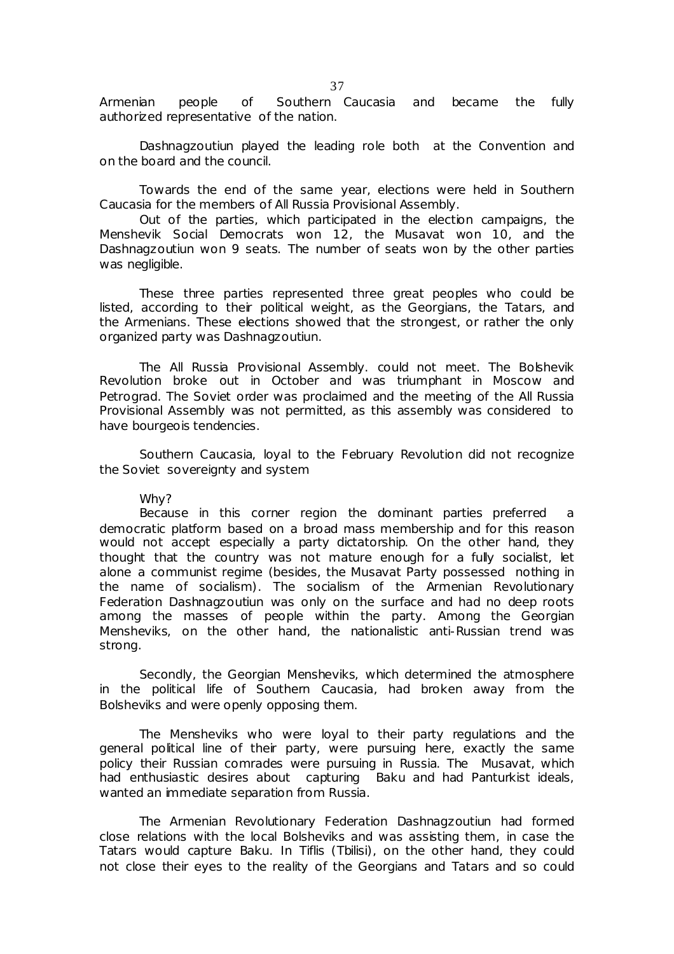Armenian people of Southern Caucasia and became the fully authorized representative of the nation.

Dashnagzoutiun played the leading role both at the Convention and on the board and the council.

Towards the end of the same year, elections were held in Southern Caucasia for the members of All Russia Provisional Assembly.

Out of the parties, which participated in the election campaigns, the Menshevik Social Democrats won 12, the Musavat won 10, and the Dashnagzoutiun won 9 seats. The number of seats won by the other parties was negligible.

These three parties represented three great peoples who could be listed, according to their political weight, as the Georgians, the Tatars, and the Armenians. These elections showed that the strongest, or rather the only organized party was Dashnagzoutiun.

The All Russia Provisional Assembly. could not meet. The Bolshevik Revolution broke out in October and was triumphant in Moscow and Petrograd. The Soviet order was proclaimed and the meeting of the All Russia Provisional Assembly was not permitted, as this assembly was considered to have bourgeois tendencies.

Southern Caucasia, loyal to the February Revolution did not recognize the Soviet sovereignty and system

#### Why?

Because in this corner region the dominant parties preferred a democratic platform based on a broad mass membership and for this reason would not accept especially a party dictatorship. On the other hand, they thought that the country was not mature enough for a fully socialist, let alone a communist regime (besides, the Musavat Party possessed nothing in the name of socialism). The socialism of the Armenian Revolutionary Federation Dashnagzoutiun was only on the surface and had no deep roots among the masses of people within the party. Among the Georgian Mensheviks, on the other hand, the nationalistic anti-Russian trend was strong.

Secondly, the Georgian Mensheviks, which determined the atmosphere in the political life of Southern Caucasia, had broken away from the Bolsheviks and were openly opposing them.

The Mensheviks who were loyal to their party regulations and the general political line of their party, were pursuing here, exactly the same policy their Russian comrades were pursuing in Russia. The Musavat, which had enthusiastic desires about capturing Baku and had Panturkist ideals, wanted an immediate separation from Russia.

The Armenian Revolutionary Federation Dashnagzoutiun had formed close relations with the local Bolsheviks and was assisting them, in case the Tatars would capture Baku. In Tiflis (Tbilisi), on the other hand, they could not close their eyes to the reality of the Georgians and Tatars and so could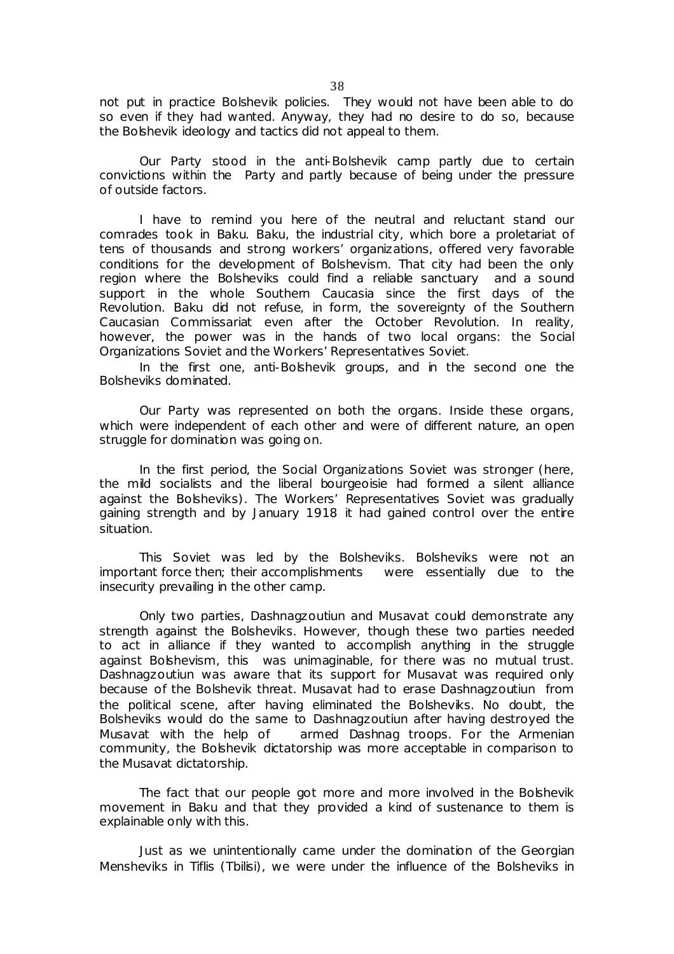not put in practice Bolshevik policies. They would not have been able to do so even if they had wanted. Anyway, they had no desire to do so, because the Bolshevik ideology and tactics did not appeal to them.

Our Party stood in the anti-Bolshevik camp partly due to certain convictions within the Party and partly because of being under the pressure of outside factors.

I have to remind you here of the neutral and reluctant stand our comrades took in Baku. Baku, the industrial city, which bore a proletariat of tens of thousands and strong workers' organizations, offered very favorable conditions for the development of Bolshevism. That city had been the only region where the Bolsheviks could find a reliable sanctuary and a sound support in the whole Southern Caucasia since the first days of the Revolution. Baku did not refuse, in form, the sovereignty of the Southern Caucasian Commissariat even after the October Revolution. In reality, however, the power was in the hands of two local organs: the Social Organizations Soviet and the Workers' Representatives Soviet.

In the first one, anti-Bolshevik groups, and in the second one the Bolsheviks dominated.

Our Party was represented on both the organs. Inside these organs, which were independent of each other and were of different nature, an open struggle for domination was going on.

In the first period, the Social Organizations Soviet was stronger (here, the mild socialists and the liberal bourgeoisie had formed a silent alliance against the Bolsheviks). The Workers' Representatives Soviet was gradually gaining strength and by January 1918 it had gained control over the entire situation.

This Soviet was led by the Bolsheviks. Bolsheviks were not an important force then; their accomplishments were essentially due to the insecurity prevailing in the other camp.

Only two parties, Dashnagzoutiun and Musavat could demonstrate any strength against the Bolsheviks. However, though these two parties needed to act in alliance if they wanted to accomplish anything in the struggle against Bolshevism, this was unimaginable, for there was no mutual trust. Dashnagzoutiun was aware that its support for Musavat was required only because of the Bolshevik threat. Musavat had to erase Dashnagzoutiun from the political scene, after having eliminated the Bolsheviks. No doubt, the Bolsheviks would do the same to Dashnagzoutiun after having destroyed the Musavat with the help of armed Dashnag troops. For the Armenian community, the Bolshevik dictatorship was more acceptable in comparison to the Musavat dictatorship.

The fact that our people got more and more involved in the Bolshevik movement in Baku and that they provided a kind of sustenance to them is explainable only with this.

Just as we unintentionally came under the domination of the Georgian Mensheviks in Tiflis (Tbilisi), we were under the influence of the Bolsheviks in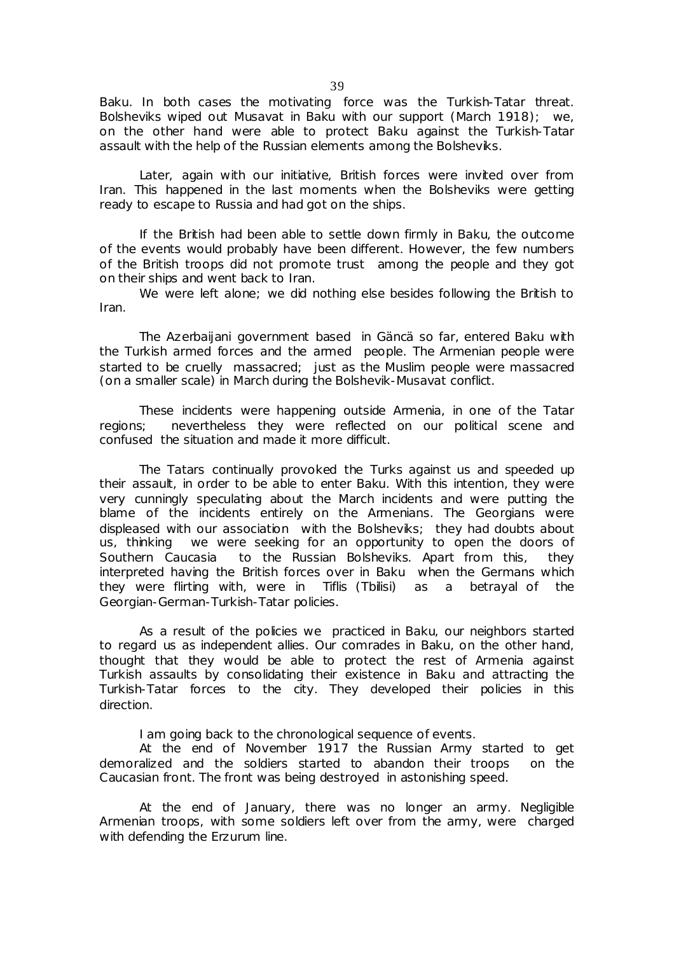Baku. In both cases the motivating force was the Turkish-Tatar threat. Bolsheviks wiped out Musavat in Baku with our support (March 1918); we, on the other hand were able to protect Baku against the Turkish-Tatar assault with the help of the Russian elements among the Bolsheviks.

Later, again with our initiative, British forces were invited over from Iran. This happened in the last moments when the Bolsheviks were getting ready to escape to Russia and had got on the ships.

If the British had been able to settle down firmly in Baku, the outcome of the events would probably have been different. However, the few numbers of the British troops did not promote trust among the people and they got on their ships and went back to Iran.

We were left alone; we did nothing else besides following the British to Iran.

The Azerbaijani government based in Gäncä so far, entered Baku with the Turkish armed forces and the armed people. The Armenian people were started to be cruelly massacred; just as the Muslim people were massacred (on a smaller scale) in March during the Bolshevik-Musavat conflict.

These incidents were happening outside Armenia, in one of the Tatar regions; nevertheless they were reflected on our political scene and confused the situation and made it more difficult.

The Tatars continually provoked the Turks against us and speeded up their assault, in order to be able to enter Baku. With this intention, they were very cunningly speculating about the March incidents and were putting the blame of the incidents entirely on the Armenians. The Georgians were displeased with our association with the Bolsheviks; they had doubts about us, thinking we were seeking for an opportunity to open the doors of Southern Caucasia to the Russian Bolsheviks. Apart from this, they interpreted having the British forces over in Baku when the Germans which they were flirting with, were in Tiflis (Tbilisi) as a betrayal of the Georgian-German-Turkish-Tatar policies.

As a result of the policies we practiced in Baku, our neighbors started to regard us as independent allies. Our comrades in Baku, on the other hand, thought that they would be able to protect the rest of Armenia against Turkish assaults by consolidating their existence in Baku and attracting the Turkish-Tatar forces to the city. They developed their policies in this direction.

I am going back to the chronological sequence of events.

At the end of November 1917 the Russian Army started to get demoralized and the soldiers started to abandon their troops on the Caucasian front. The front was being destroyed in astonishing speed.

At the end of January, there was no longer an army. Negligible Armenian troops, with some soldiers left over from the army, were charged with defending the Erzurum line.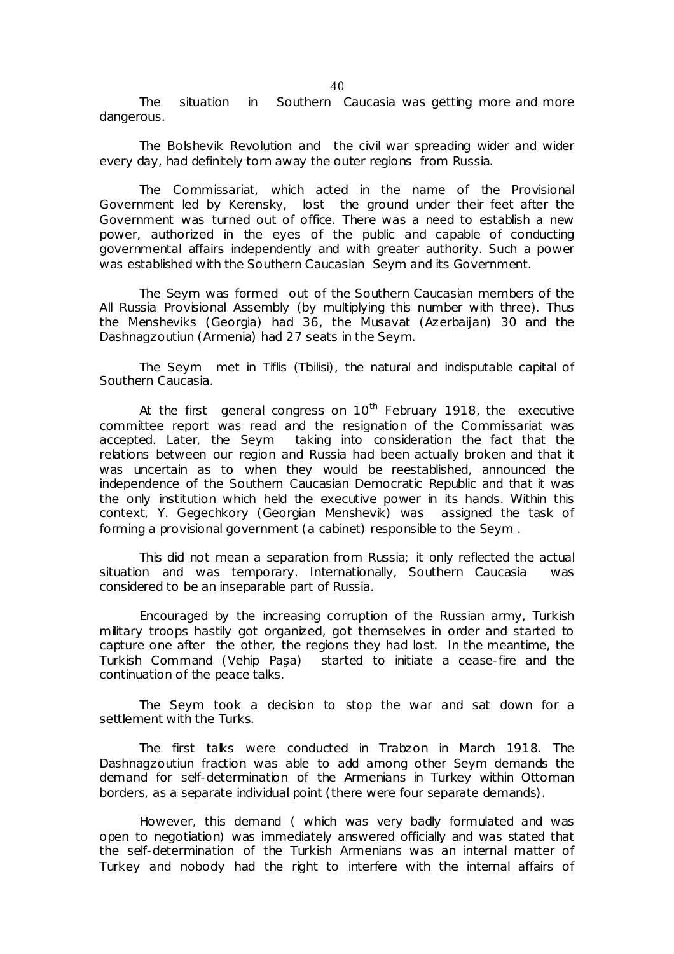The situation in Southern Caucasia was getting more and more dangerous.

The Bolshevik Revolution and the civil war spreading wider and wider every day, had definitely torn away the outer regions from Russia.

The Commissariat, which acted in the name of the Provisional Government led by Kerensky, lost the ground under their feet after the Government was turned out of office. There was a need to establish a new power, authorized in the eyes of the public and capable of conducting governmental affairs independently and with greater authority. Such a power was established with the Southern Caucasian Seym and its Government.

The Seym was formed out of the Southern Caucasian members of the All Russia Provisional Assembly (by multiplying this number with three). Thus the Mensheviks (Georgia) had 36, the Musavat (Azerbaijan) 30 and the Dashnagzoutiun (Armenia) had 27 seats in the Seym.

The Seym met in Tiflis (Tbilisi), the natural and indisputable capital of Southern Caucasia.

At the first general congress on  $10^{th}$  February 1918, the executive committee report was read and the resignation of the Commissariat was accepted. Later, the Seym taking into consideration the fact that the relations between our region and Russia had been actually broken and that it was uncertain as to when they would be reestablished, announced the independence of the Southern Caucasian Democratic Republic and that it was the only institution which held the executive power in its hands. Within this context, Y. Gegechkory (Georgian Menshevik) was assigned the task of forming a provisional government (a cabinet) responsible to the Seym .

This did not mean a separation from Russia; it only reflected the actual situation and was temporary. Internationally, Southern Caucasia was considered to be an inseparable part of Russia.

Encouraged by the increasing corruption of the Russian army, Turkish military troops hastily got organized, got themselves in order and started to capture one after the other, the regions they had lost. In the meantime, the Turkish Command (Vehip Paşa) started to initiate a cease-fire and the continuation of the peace talks.

The Seym took a decision to stop the war and sat down for a settlement with the Turks.

The first talks were conducted in Trabzon in March 1918. The Dashnagzoutiun fraction was able to add among other Seym demands the demand for self-determination of the Armenians in Turkey within Ottoman borders, as a separate individual point (there were four separate demands).

However, this demand ( which was very badly formulated and was open to negotiation) was immediately answered officially and was stated that the self-determination of the Turkish Armenians was an internal matter of Turkey and nobody had the right to interfere with the internal affairs of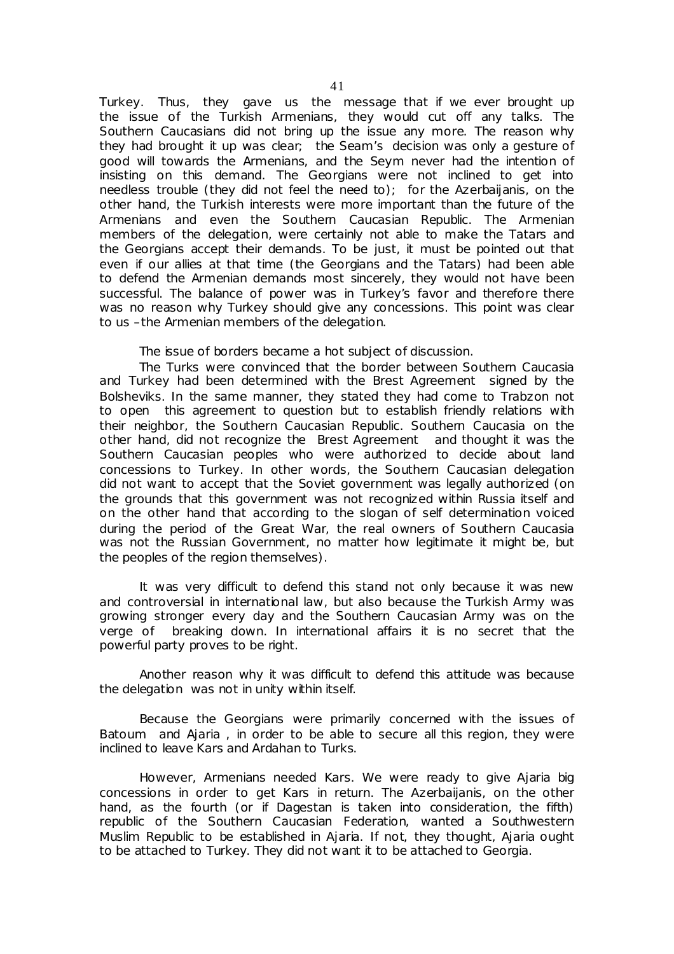Turkey. Thus, they gave us the message that if we ever brought up the issue of the Turkish Armenians, they would cut off any talks. The Southern Caucasians did not bring up the issue any more. The reason why they had brought it up was clear; the Seam's decision was only a gesture of good will towards the Armenians, and the Seym never had the intention of insisting on this demand. The Georgians were not inclined to get into needless trouble (they did not feel the need to); for the Azerbaijanis, on the other hand, the Turkish interests were more important than the future of the Armenians and even the Southern Caucasian Republic. The Armenian members of the delegation, were certainly not able to make the Tatars and the Georgians accept their demands. To be just, it must be pointed out that even if our allies at that time (the Georgians and the Tatars) had been able to defend the Armenian demands most sincerely, they would not have been successful. The balance of power was in Turkey's favor and therefore there was no reason why Turkey should give any concessions. This point was clear to us –the Armenian members of the delegation.

The issue of borders became a hot subject of discussion.

The Turks were convinced that the border between Southern Caucasia and Turkey had been determined with the Brest Agreement signed by the Bolsheviks. In the same manner, they stated they had come to Trabzon not to open this agreement to question but to establish friendly relations with their neighbor, the Southern Caucasian Republic. Southern Caucasia on the other hand, did not recognize the Brest Agreement and thought it was the Southern Caucasian peoples who were authorized to decide about land concessions to Turkey. In other words, the Southern Caucasian delegation did not want to accept that the Soviet government was legally authorized (on the grounds that this government was not recognized within Russia itself and on the other hand that according to the slogan of self determination voiced during the period of the Great War, the real owners of Southern Caucasia was not the Russian Government, no matter how legitimate it might be, but the peoples of the region themselves).

It was very difficult to defend this stand not only because it was new and controversial in international law, but also because the Turkish Army was growing stronger every day and the Southern Caucasian Army was on the verge of breaking down. In international affairs it is no secret that the powerful party proves to be right.

Another reason why it was difficult to defend this attitude was because the delegation was not in unity within itself.

Because the Georgians were primarily concerned with the issues of Batoum and Ajaria , in order to be able to secure all this region, they were inclined to leave Kars and Ardahan to Turks.

However, Armenians needed Kars. We were ready to give Ajaria big concessions in order to get Kars in return. The Azerbaijanis, on the other hand, as the fourth (or if Dagestan is taken into consideration, the fifth) republic of the Southern Caucasian Federation, wanted a Southwestern Muslim Republic to be established in Ajaria. If not, they thought, Ajaria ought to be attached to Turkey. They did not want it to be attached to Georgia.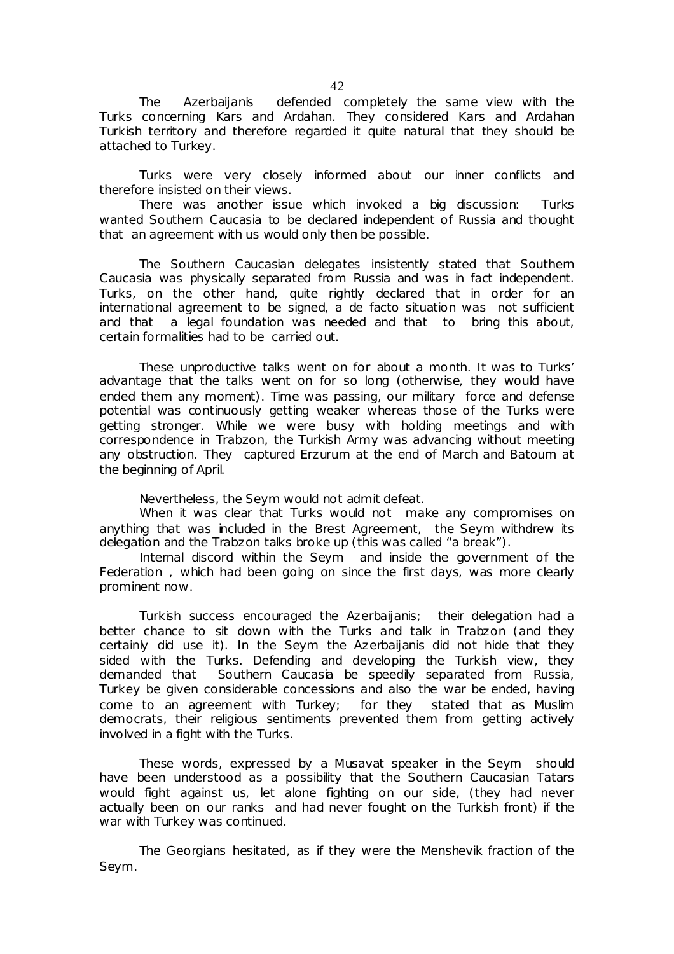The Azerbaijanis defended completely the same view with the Turks concerning Kars and Ardahan. They considered Kars and Ardahan Turkish territory and therefore regarded it quite natural that they should be attached to Turkey.

Turks were very closely informed about our inner conflicts and therefore insisted on their views.

There was another issue which invoked a big discussion: Turks wanted Southern Caucasia to be declared independent of Russia and thought that an agreement with us would only then be possible.

The Southern Caucasian delegates insistently stated that Southern Caucasia was physically separated from Russia and was in fact independent. Turks, on the other hand, quite rightly declared that in order for an international agreement to be signed, a de facto situation was not sufficient and that a legal foundation was needed and that to bring this about, certain formalities had to be carried out.

These unproductive talks went on for about a month. It was to Turks' advantage that the talks went on for so long (otherwise, they would have ended them any moment). Time was passing, our military force and defense potential was continuously getting weaker whereas those of the Turks were getting stronger. While we were busy with holding meetings and with correspondence in Trabzon, the Turkish Army was advancing without meeting any obstruction. They captured Erzurum at the end of March and Batoum at the beginning of April.

Nevertheless, the Seym would not admit defeat.

When it was clear that Turks would not make any compromises on anything that was included in the Brest Agreement, the Seym withdrew its delegation and the Trabzon talks broke up (this was called "a break").

Internal discord within the Seym and inside the government of the Federation, which had been going on since the first days, was more clearly prominent now.

Turkish success encouraged the Azerbaijanis; their delegation had a better chance to sit down with the Turks and talk in Trabzon (and they certainly did use it). In the Seym the Azerbaijanis did not hide that they sided with the Turks. Defending and developing the Turkish view, they demanded that Southern Caucasia be speedily separated from Russia, Turkey be given considerable concessions and also the war be ended, having come to an agreement with Turkey; for they stated that as Muslim democrats, their religious sentiments prevented them from getting actively involved in a fight with the Turks.

These words, expressed by a Musavat speaker in the Seym should have been understood as a possibility that the Southern Caucasian Tatars would fight against us, let alone fighting on our side, (they had never actually been on our ranks and had never fought on the Turkish front) if the war with Turkey was continued.

The Georgians hesitated, as if they were the Menshevik fraction of the Seym.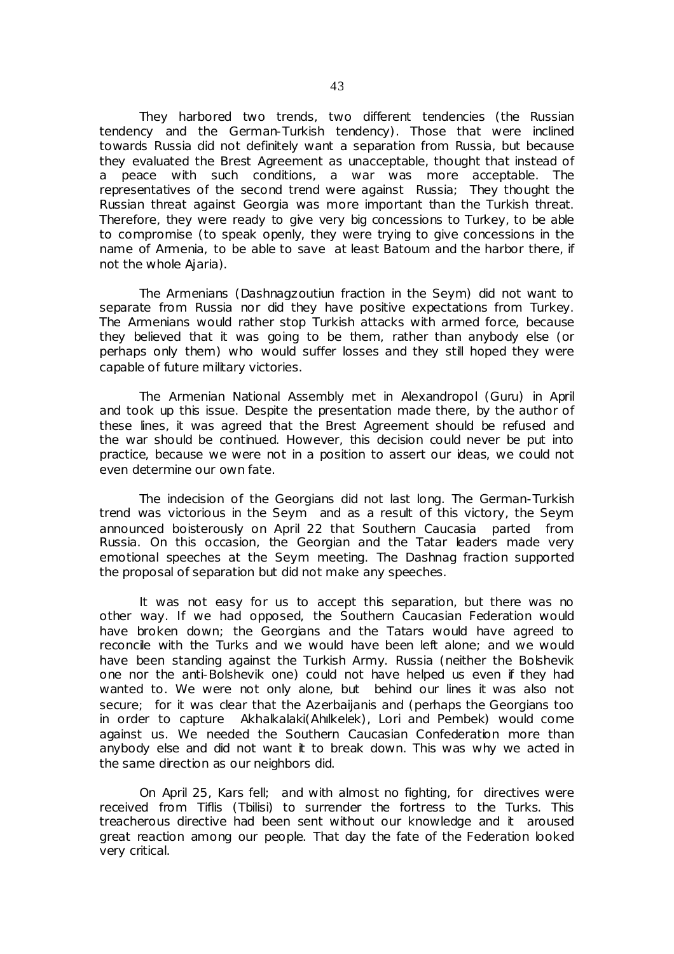They harbored two trends, two different tendencies (the Russian tendency and the German-Turkish tendency). Those that were inclined towards Russia did not definitely want a separation from Russia, but because they evaluated the Brest Agreement as unacceptable, thought that instead of a peace with such conditions, a war was more acceptable. The representatives of the second trend were against Russia; They thought the Russian threat against Georgia was more important than the Turkish threat. Therefore, they were ready to give very big concessions to Turkey, to be able to compromise (to speak openly, they were trying to give concessions in the name of Armenia, to be able to save at least Batoum and the harbor there, if not the whole Ajaria).

The Armenians (Dashnagzoutiun fraction in the Seym) did not want to separate from Russia nor did they have positive expectations from Turkey. The Armenians would rather stop Turkish attacks with armed force, because they believed that it was going to be them, rather than anybody else (or perhaps only them) who would suffer losses and they still hoped they were capable of future military victories.

The Armenian National Assembly met in Alexandropol (Guru) in April and took up this issue. Despite the presentation made there, by the author of these lines, it was agreed that the Brest Agreement should be refused and the war should be continued. However, this decision could never be put into practice, because we were not in a position to assert our ideas, we could not even determine our own fate.

The indecision of the Georgians did not last long. The German-Turkish trend was victorious in the Seym and as a result of this victory, the Seym announced boisterously on April 22 that Southern Caucasia parted from Russia. On this occasion, the Georgian and the Tatar leaders made very emotional speeches at the Seym meeting. The Dashnag fraction supported the proposal of separation but did not make any speeches.

It was not easy for us to accept this separation, but there was no other way. If we had opposed, the Southern Caucasian Federation would have broken down; the Georgians and the Tatars would have agreed to reconcile with the Turks and we would have been left alone; and we would have been standing against the Turkish Army. Russia (neither the Bolshevik one nor the anti-Bolshevik one) could not have helped us even if they had wanted to. We were not only alone, but behind our lines it was also not secure; for it was clear that the Azerbaijanis and (perhaps the Georgians too in order to capture Akhalkalaki(Ahılkelek), Lori and Pembek) would come against us. We needed the Southern Caucasian Confederation more than anybody else and did not want it to break down. This was why we acted in the same direction as our neighbors did.

On April 25, Kars fell; and with almost no fighting, for directives were received from Tiflis (Tbilisi) to surrender the fortress to the Turks. This treacherous directive had been sent without our knowledge and it aroused great reaction among our people. That day the fate of the Federation looked very critical.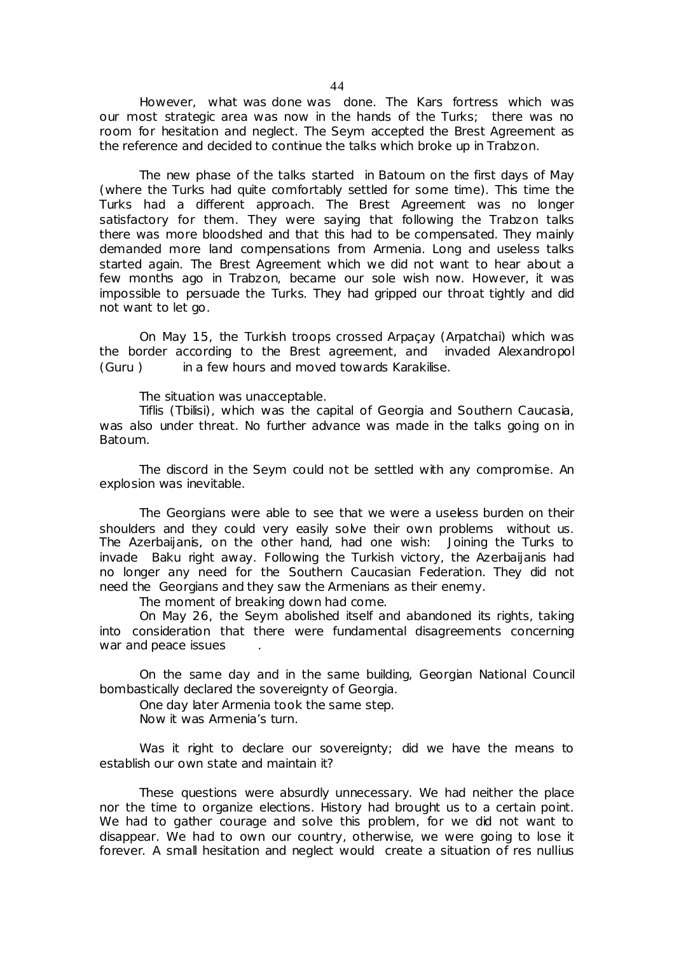However, what was done was done. The Kars fortress which was our most strategic area was now in the hands of the Turks; there was no room for hesitation and neglect. The Seym accepted the Brest Agreement as the reference and decided to continue the talks which broke up in Trabzon.

The new phase of the talks started in Batoum on the first days of May (where the Turks had quite comfortably settled for some time). This time the Turks had a different approach. The Brest Agreement was no longer satisfactory for them. They were saying that following the Trabzon talks there was more bloodshed and that this had to be compensated. They mainly demanded more land compensations from Armenia. Long and useless talks started again. The Brest Agreement which we did not want to hear about a few months ago in Trabzon, became our sole wish now. However, it was impossible to persuade the Turks. They had gripped our throat tightly and did not want to let go.

On May 15, the Turkish troops crossed Arpaçay (Arpatchai) which was the border according to the Brest agreement, and invaded Alexandropol (Guru ) in a few hours and moved towards Karakilise.

The situation was unacceptable.

Tiflis (Tbilisi), which was the capital of Georgia and Southern Caucasia, was also under threat. No further advance was made in the talks going on in Batoum.

The discord in the Seym could not be settled with any compromise. An explosion was inevitable.

The Georgians were able to see that we were a useless burden on their shoulders and they could very easily solve their own problems without us. The Azerbaijanis, on the other hand, had one wish: Joining the Turks to invade Baku right away. Following the Turkish victory, the Azerbaijanis had no longer any need for the Southern Caucasian Federation. They did not need the Georgians and they saw the Armenians as their enemy.

The moment of breaking down had come.

On May 26, the Seym abolished itself and abandoned its rights, taking into consideration that there were fundamental disagreements concerning war and peace issues

On the same day and in the same building, Georgian National Council bombastically declared the sovereignty of Georgia.

One day later Armenia took the same step.

Now it was Armenia's turn.

Was it right to declare our sovereignty; did we have the means to establish our own state and maintain it?

These questions were absurdly unnecessary. We had neither the place nor the time to organize elections. History had brought us to a certain point. We had to gather courage and solve this problem, for we did not want to disappear. We had to own our country, otherwise, we were going to lose it forever. A small hesitation and neglect would create a situation of *res nullius*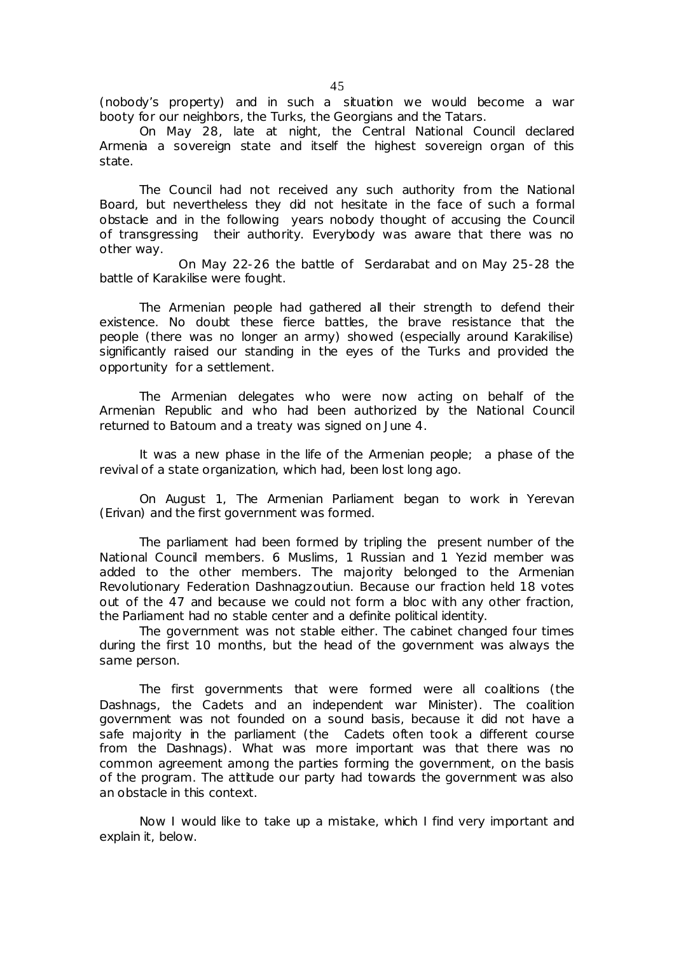(nobody's property) and in such a situation we would become a war booty for our neighbors, the Turks, the Georgians and the Tatars.

On May 28, late at night, the Central National Council declared Armenia a sovereign state and itself the highest sovereign organ of this state.

The Council had not received any such authority from the National Board, but nevertheless they did not hesitate in the face of such a formal obstacle and in the following years nobody thought of accusing the Council of transgressing their authority. Everybody was aware that there was no other way.

On May 22-26 the battle of Serdarabat and on May 25-28 the battle of Karakilise were fought.

The Armenian people had gathered all their strength to defend their existence. No doubt these fierce battles, the brave resistance that the people (there was no longer an army) showed (especially around Karakilise) significantly raised our standing in the eyes of the Turks and provided the opportunity for a settlement.

The Armenian delegates who were now acting on behalf of the Armenian Republic and who had been authorized by the National Council returned to Batoum and a treaty was signed on June 4.

It was a new phase in the life of the Armenian people; a phase of the revival of a state organization, which had, been lost long ago.

On August 1, The Armenian Parliament began to work in Yerevan (Erivan) and the first government was formed.

The parliament had been formed by tripling the present number of the National Council members. 6 Muslims, 1 Russian and 1 Yezid member was added to the other members. The majority belonged to the Armenian Revolutionary Federation Dashnagzoutiun. Because our fraction held 18 votes out of the 47 and because we could not form a bloc with any other fraction, the Parliament had no stable center and a definite political identity.

The government was not stable either. The cabinet changed four times during the first 10 months, but the head of the government was always the same person.

The first governments that were formed were all coalitions (the Dashnags, the Cadets and an independent war Minister). The coalition government was not founded on a sound basis, because it did not have a safe majority in the parliament (the Cadets often took a different course from the Dashnags). What was more important was that there was no common agreement among the parties forming the government, on the basis of the program. The attitude our party had towards the government was also an obstacle in this context.

Now I would like to take up a mistake, which I find very important and explain it, below.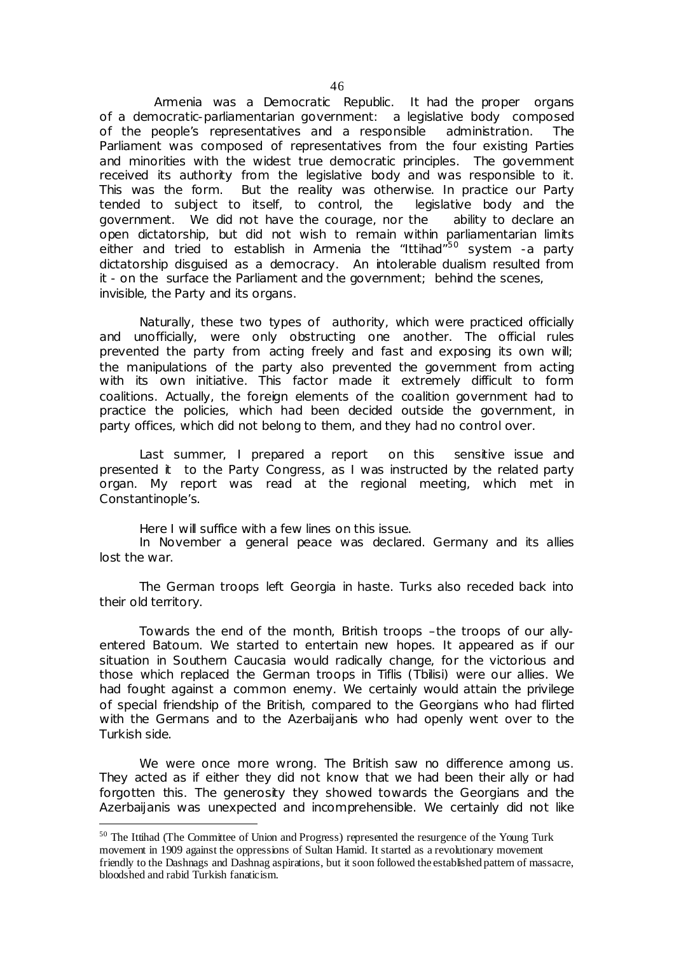Armenia was a Democratic Republic. It had the proper organs of a democratic-parliamentarian government: a legislative body composed of the people's representatives and a responsible administration. The Parliament was composed of representatives from the four existing Parties and minorities with the widest true democratic principles. The government received its authority from the legislative body and was responsible to it. This was the form. But the reality was otherwise. In practice our Party tended to subject to itself, to control, the legislative body and the government. We did not have the courage, nor the ability to declare an open dictatorship, but did not wish to remain within parliamentarian limits either and tried to establish in Armenia the "Ittihad"<sup>50</sup> system -a party dictatorship disguised as a democracy. An intolerable dualism resulted from it - on the surface the Parliament and the government; behind the scenes, invisible, the Party and its organs.

Naturally, these two types of authority, which were practiced officially and unofficially, were only obstructing one another. The official rules prevented the party from acting freely and fast and exposing its own will; the manipulations of the party also prevented the government from acting with its own initiative. This factor made it extremely difficult to form coalitions. Actually, the foreign elements of the coalition government had to practice the policies, which had been decided outside the government, in party offices, which did not belong to them, and they had no control over.

Last summer, I prepared a report on this sensitive issue and presented it to the Party Congress, as I was instructed by the related party organ. My report was read at the regional meeting, which met in Constantinople's.

Here I will suffice with a few lines on this issue.

 $\overline{a}$ 

In November a general peace was declared. Germany and its allies lost the war.

The German troops left Georgia in haste. Turks also receded back into their old territory.

Towards the end of the month, British troops –the troops of our allyentered Batoum. We started to entertain new hopes. It appeared as if our situation in Southern Caucasia would radically change, for the victorious and those which replaced the German troops in Tiflis (Tbilisi) were our allies. We had fought against a common enemy. We certainly would attain the privilege of special friendship of the British, compared to the Georgians who had flirted with the Germans and to the Azerbaijanis who had openly went over to the Turkish side.

We were once more wrong. The British saw no difference among us. They acted as if either they did not know that we had been their ally or had forgotten this. The generosity they showed towards the Georgians and the Azerbaijanis was unexpected and incomprehensible. We certainly did not like

<sup>&</sup>lt;sup>50</sup> The Ittihad (The Committee of Union and Progress) represented the resurgence of the Young Turk movement in 1909 against the oppressions of Sultan Hamid. It started as a revolutionary movement friendly to the Dashnags and Dashnag aspirations, but it soon followed the established pattern of massacre, bloodshed and rabid Turkish fanaticism.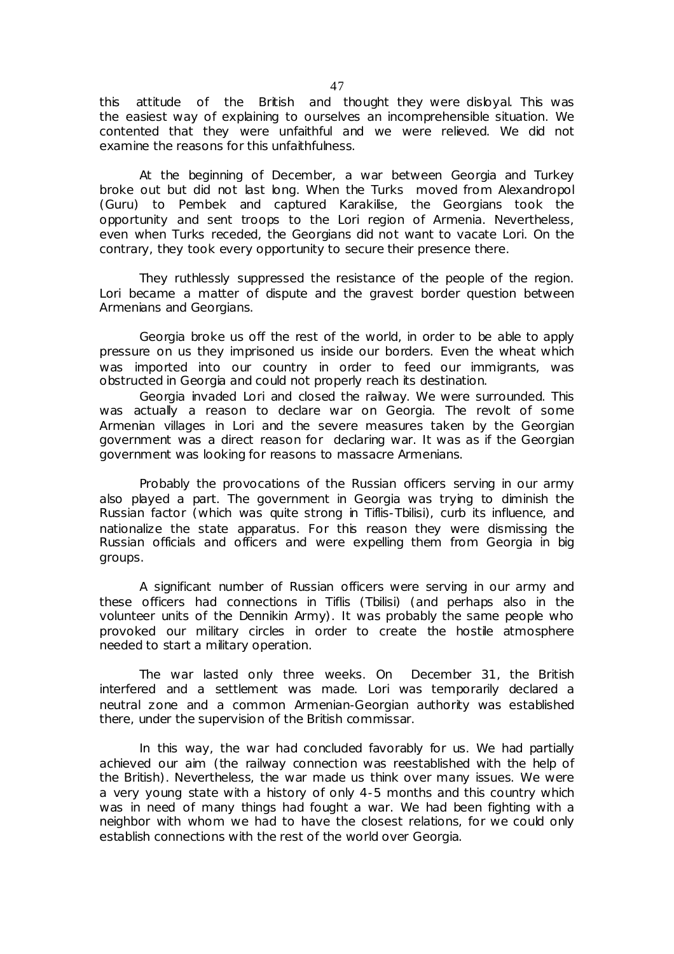this attitude of the British and thought they were disloyal. This was the easiest way of explaining to ourselves an incomprehensible situation. We contented that they were unfaithful and we were relieved. We did not examine the reasons for this unfaithfulness.

At the beginning of December, a war between Georgia and Turkey broke out but did not last long. When the Turks moved from Alexandropol (Guru) to Pembek and captured Karakilise, the Georgians took the opportunity and sent troops to the Lori region of Armenia. Nevertheless, even when Turks receded, the Georgians did not want to vacate Lori. On the contrary, they took every opportunity to secure their presence there.

They ruthlessly suppressed the resistance of the people of the region. Lori became a matter of dispute and the gravest border question between Armenians and Georgians.

Georgia broke us off the rest of the world, in order to be able to apply pressure on us they imprisoned us inside our borders. Even the wheat which was imported into our country in order to feed our immigrants, was obstructed in Georgia and could not properly reach its destination.

Georgia invaded Lori and closed the railway. We were surrounded. This was actually a reason to declare war on Georgia. The revolt of some Armenian villages in Lori and the severe measures taken by the Georgian government was a direct reason for declaring war. It was as if the Georgian government was looking for reasons to massacre Armenians.

Probably the provocations of the Russian officers serving in our army also played a part. The government in Georgia was trying to diminish the Russian factor (which was quite strong in Tiflis-Tbilisi), curb its influence, and nationalize the state apparatus. For this reason they were dismissing the Russian officials and officers and were expelling them from Georgia in big groups.

A significant number of Russian officers were serving in our army and these officers had connections in Tiflis (Tbilisi) (and perhaps also in the volunteer units of the Dennikin Army). It was probably the same people who provoked our military circles in order to create the hostile atmosphere needed to start a military operation.

The war lasted only three weeks. On December 31, the British interfered and a settlement was made. Lori was temporarily declared a neutral zone and a common Armenian-Georgian authority was established there, under the supervision of the British commissar.

In this way, the war had concluded favorably for us. We had partially achieved our aim (the railway connection was reestablished with the help of the British). Nevertheless, the war made us think over many issues. We were a very young state with a history of only 4-5 months and this country which was in need of many things had fought a war. We had been fighting with a neighbor with whom we had to have the closest relations, for we could only establish connections with the rest of the world over Georgia.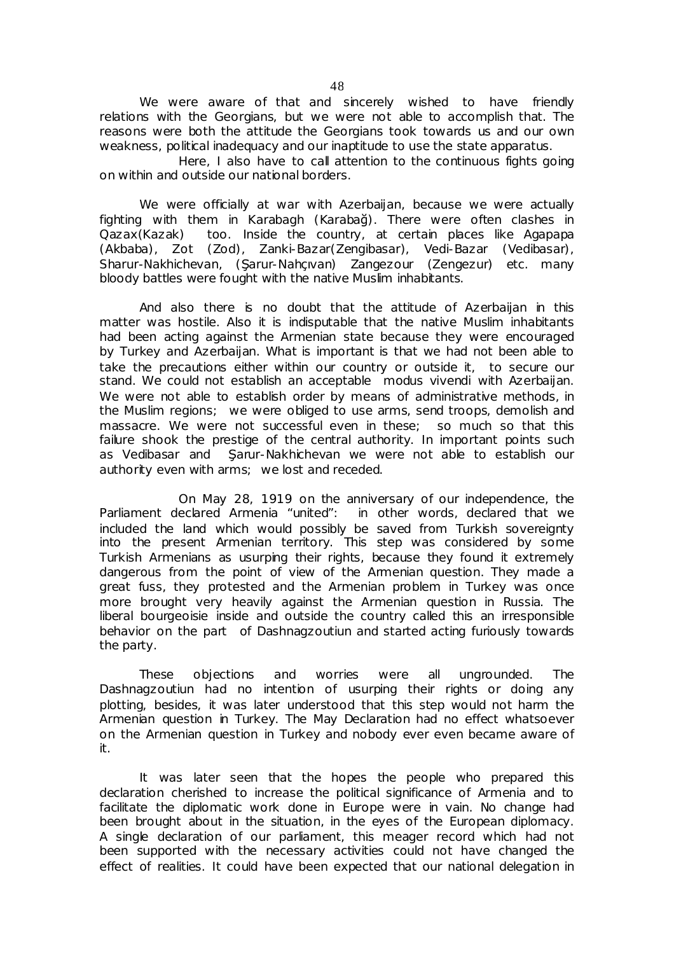We were aware of that and sincerely wished to have friendly relations with the Georgians, but we were not able to accomplish that. The reasons were both the attitude the Georgians took towards us and our own weakness, political inadequacy and our inaptitude to use the state apparatus.

Here, I also have to call attention to the continuous fights going on within and outside our national borders.

We were officially at war with Azerbaijan, because we were actually fighting with them in Karabagh (Karabağ). There were often clashes in Qazax(Kazak) too. Inside the country, at certain places like Agapapa (Akbaba), Zot (Zod), Zanki-Bazar(Zengibasar), Vedi-Bazar (Vedibasar), Sharur-Nakhichevan, (Şarur-Nahçıvan) Zangezour (Zengezur) etc. many bloody battles were fought with the native Muslim inhabitants.

And also there is no doubt that the attitude of Azerbaijan in this matter was hostile. Also it is indisputable that the native Muslim inhabitants had been acting against the Armenian state because they were encouraged by Turkey and Azerbaijan. What is important is that we had not been able to take the precautions either within our country or outside it, to secure our stand. We could not establish an acceptable *modus vivendi* with Azerbaijan. We were not able to establish order by means of administrative methods, in the Muslim regions; we were obliged to use arms, send troops, demolish and massacre. We were not successful even in these; so much so that this failure shook the prestige of the central authority. In important points such as Vedibasar and Şarur-Nakhichevan we were not able to establish our authority even with arms; we lost and receded.

On May 28, 1919 on the anniversary of our independence, the Parliament declared Armenia "united": in other words, declared that we included the land which would possibly be saved from Turkish sovereignty into the present Armenian territory. This step was considered by some Turkish Armenians as usurping their rights, because they found it extremely dangerous from the point of view of the Armenian question. They made a great fuss, they protested and the Armenian problem in Turkey was once more brought very heavily against the Armenian question in Russia. The liberal bourgeoisie inside and outside the country called this an irresponsible behavior on the part of Dashnagzoutiun and started acting furiously towards the party.

These objections and worries were all ungrounded. The Dashnagzoutiun had no intention of usurping their rights or doing any plotting, besides, it was later understood that this step would not harm the Armenian question in Turkey. The May Declaration had no effect whatsoever on the Armenian question in Turkey and nobody ever even became aware of it.

It was later seen that the hopes the people who prepared this declaration cherished to increase the political significance of Armenia and to facilitate the diplomatic work done in Europe were in vain. No change had been brought about in the situation, in the eyes of the European diplomacy. A single declaration of our parliament, this meager record which had not been supported with the necessary activities could not have changed the effect of realities. It could have been expected that our national delegation in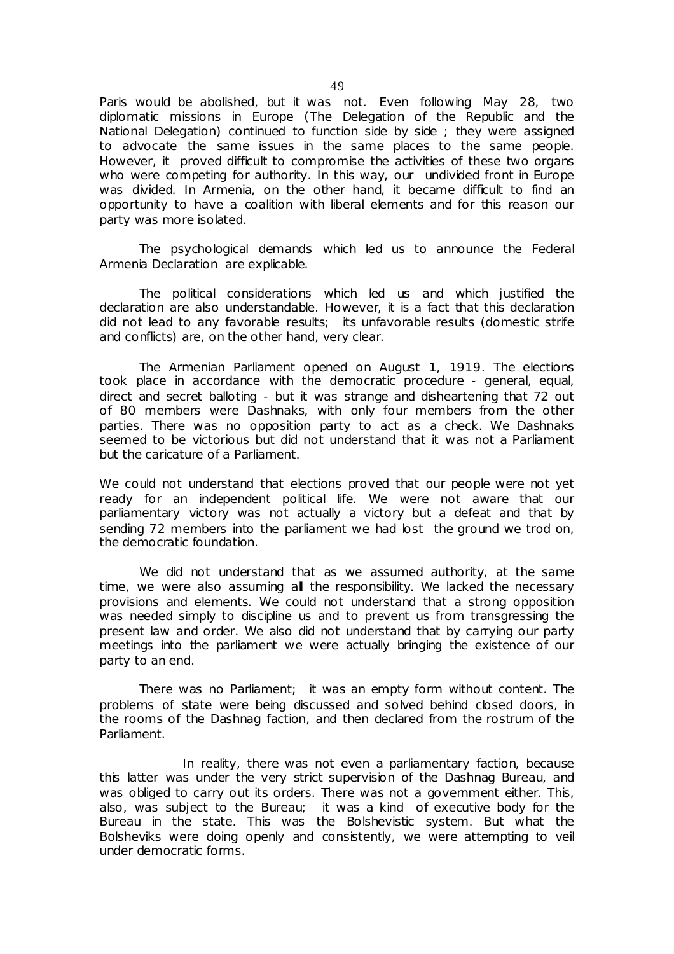Paris would be abolished, but it was not. Even following May 28, two diplomatic missions in Europe (The Delegation of the Republic and the National Delegation) continued to function side by side ; they were assigned to advocate the same issues in the same places to the same people. However, it proved difficult to compromise the activities of these two organs who were competing for authority. In this way, our undivided front in Europe was divided. In Armenia, on the other hand, it became difficult to find an opportunity to have a coalition with liberal elements and for this reason our party was more isolated.

The psychological demands which led us to announce the Federal Armenia Declaration are explicable.

The political considerations which led us and which justified the declaration are also understandable. However, it is a fact that this declaration did not lead to any favorable results; its unfavorable results (domestic strife and conflicts) are, on the other hand, very clear.

The Armenian Parliament opened on August 1, 1919. The elections took place in accordance with the democratic procedure - general, equal, direct and secret balloting - but it was strange and disheartening that 72 out of 80 members were Dashnaks, with only four members from the other parties. There was no opposition party to act as a check. We Dashnaks seemed to be victorious but did not understand that it was not a Parliament but the caricature of a Parliament.

We could not understand that elections proved that our people were not yet ready for an independent political life. We were not aware that our parliamentary victory was not actually a victory but a defeat and that by sending 72 members into the parliament we had lost the ground we trod on, the democratic foundation.

We did not understand that as we assumed authority, at the same time, we were also assuming all the responsibility. We lacked the necessary provisions and elements. We could not understand that a strong opposition was needed simply to discipline us and to prevent us from transgressing the present law and order. We also did not understand that by carrying our party meetings into the parliament we were actually bringing the existence of our party to an end.

There was no Parliament; it was an empty form without content. The problems of state were being discussed and solved behind closed doors, in the rooms of the Dashnag faction, and then declared from the rostrum of the Parliament.

 In reality, there was not even a parliamentary faction, because this latter was under the very strict supervision of the Dashnag Bureau, and was obliged to carry out its orders. There was not a government either. This, also, was subject to the Bureau; it was a kind of executive body for the Bureau in the state. This was the Bolshevistic system. But what the Bolsheviks were doing openly and consistently, we were attempting to veil under democratic forms.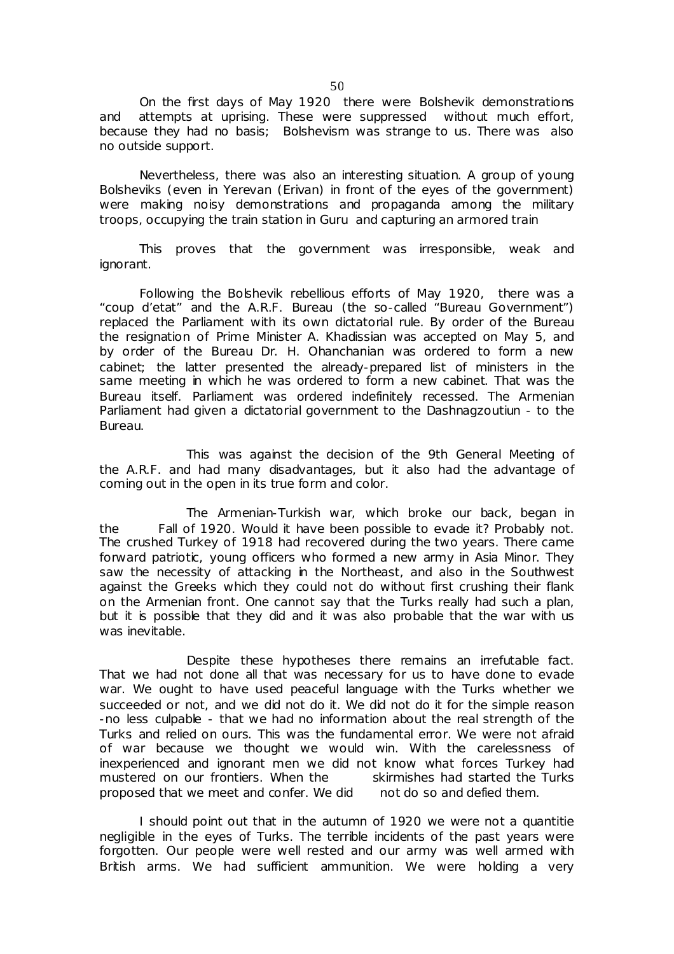On the first days of May 1920 there were Bolshevik demonstrations and attempts at uprising. These were suppressed without much effort, because they had no basis; Bolshevism was strange to us. There was also no outside support.

Nevertheless, there was also an interesting situation. A group of young Bolsheviks (even in Yerevan (Erivan) in front of the eyes of the government) were making noisy demonstrations and propaganda among the military troops, occupying the train station in Guru and capturing an armored train

This proves that the government was irresponsible, weak and ignorant.

Following the Bolshevik rebellious efforts of May 1920, there was a "coup d'etat" and the A.R.F. Bureau (the so-called "Bureau Government") replaced the Parliament with its own dictatorial rule. By order of the Bureau the resignation of Prime Minister A. Khadissian was accepted on May 5, and by order of the Bureau Dr. H. Ohanchanian was ordered to form a new cabinet; the latter presented the already-prepared list of ministers in the same meeting in which he was ordered to form a new cabinet. That was the Bureau itself. Parliament was ordered indefinitely recessed. The Armenian Parliament had given a dictatorial government to the Dashnagzoutiun - to the Bureau.

This was against the decision of the 9th General Meeting of the A.R.F. and had many disadvantages, but it also had the advantage of coming out in the open in its true form and color.

 The Armenian-Turkish war, which broke our back, began in the Fall of 1920. Would it have been possible to evade it? Probably not. The crushed Turkey of 1918 had recovered during the two years. There came forward patriotic, young officers who formed a new army in Asia Minor. They saw the necessity of attacking in the Northeast, and also in the Southwest against the Greeks which they could not do without first crushing their flank on the Armenian front. One cannot say that the Turks really had such a plan, but it is possible that they did and it was also probable that the war with us was inevitable.

Despite these hypotheses there remains an irrefutable fact. That we had not done all that was necessary for us to have done to evade war. We ought to have used peaceful language with the Turks whether we succeeded or not, and we did not do it. We did not do it for the simple reason -no less culpable - that we had no information about the real strength of the Turks and relied on ours. This was the fundamental error. We were not afraid of war because we thought we would win. With the carelessness of inexperienced and ignorant men we did not know what forces Turkey had mustered on our frontiers. When the skirmishes had started the Turks proposed that we meet and confer. We did not do so and defied them.

I should point out that in the autumn of 1920 we were not a *quantitie negligible* in the eyes of Turks. The terrible incidents of the past years were forgotten. Our people were well rested and our army was well armed with British arms. We had sufficient ammunition. We were holding a very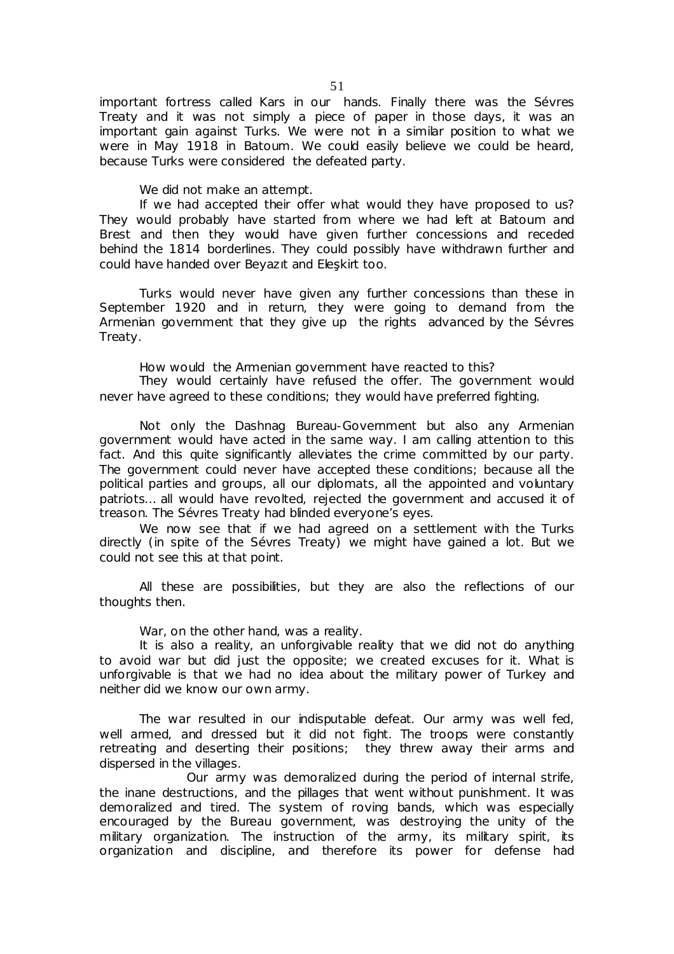important fortress called Kars in our hands. Finally there was the Sévres Treaty and it was not simply a piece of paper in those days, it was an important gain against Turks. We were not in a similar position to what we were in May 1918 in Batoum. We could easily believe we could be heard, because Turks were considered the defeated party.

We did not make an attempt.

If we had accepted their offer what would they have proposed to us? They would probably have started from where we had left at Batoum and Brest and then they would have given further concessions and receded behind the 1814 borderlines. They could possibly have withdrawn further and could have handed over Beyazıt and Eleşkirt too.

Turks would never have given any further concessions than these in September 1920 and in return, they were going to demand from the Armenian government that they give up the rights advanced by the Sévres Treaty.

How would the Armenian government have reacted to this?

They would certainly have refused the offer. The government would never have agreed to these conditions; they would have preferred fighting.

Not only the Dashnag Bureau-Government but also any Armenian government would have acted in the same way. I am calling attention to this fact. And this quite significantly alleviates the crime committed by our party. The government could never have accepted these conditions; because all the political parties and groups, all our diplomats, all the appointed and voluntary patriots… all would have revolted, rejected the government and accused it of treason. The Sévres Treaty had blinded everyone's eyes.

We now see that if we had agreed on a settlement with the Turks directly (in spite of the Sévres Treaty) we might have gained a lot. But we could not see this at that point.

All these are possibilities, but they are also the reflections of our thoughts then.

War, on the other hand, was a reality.

It is also a reality, an unforgivable reality that we did not do anything to avoid war but did just the opposite; we created excuses for it. What is unforgivable is that we had no idea about the military power of Turkey and neither did we know our own army.

The war resulted in our indisputable defeat. Our army was well fed, well armed, and dressed but it did not fight. The troops were constantly retreating and deserting their positions; they threw away their arms and dispersed in the villages.

 Our army was demoralized during the period of internal strife, the inane destructions, and the pillages that went without punishment. It was demoralized and tired. The system of roving bands, which was especially encouraged by the Bureau government, was destroying the unity of the military organization. The instruction of the army, its military spirit, its organization and discipline, and therefore its power for defense had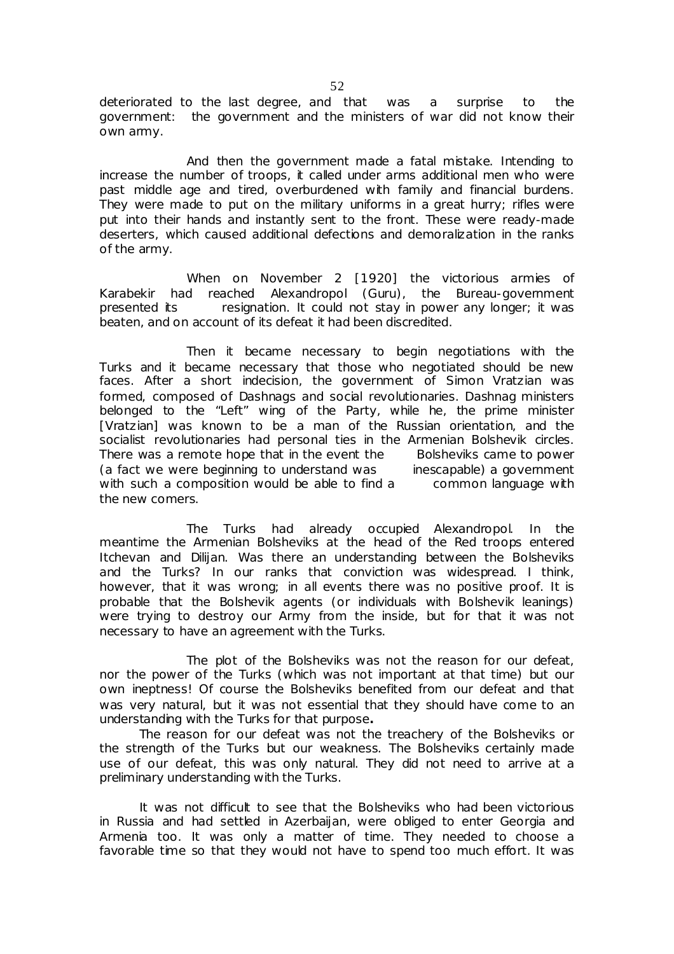deteriorated to the last degree, and that was a surprise to the government: the government and the ministers of war did not know their own army.

 And then the government made a fatal mistake. Intending to increase the number of troops, it called under arms additional men who were past middle age and tired, overburdened with family and financial burdens. They were made to put on the military uniforms in a great hurry; rifles were put into their hands and instantly sent to the front. These were ready-made deserters, which caused additional defections and demoralization in the ranks of the army.

 When on November 2 [1920] the victorious armies of Karabekir had reached Alexandropol (Guru), the Bureau-government presented its resignation. It could not stay in power any longer; it was beaten, and on account of its defeat it had been discredited.

 Then it became necessary to begin negotiations with the Turks and it became necessary that those who negotiated should be new faces. After a short indecision, the government of Simon Vratzian was formed, composed of Dashnags and social revolutionaries. Dashnag ministers belonged to the "Left" wing of the Party, while he, the prime minister [Vratzian] was known to be a man of the Russian orientation, and the socialist revolutionaries had personal ties in the Armenian Bolshevik circles. There was a remote hope that in the event the Bolsheviks came to power (a fact we were beginning to understand was inescapable) a government with such a composition would be able to find a common language with the new comers.

 The Turks had already occupied Alexandropol. In the meantime the Armenian Bolsheviks at the head of the Red troops entered Itchevan and Dilijan. Was there an understanding between the Bolsheviks and the Turks? In our ranks that conviction was widespread. I think, however, that it was wrong; in all events there was no positive proof. It is probable that the Bolshevik agents (or individuals with Bolshevik leanings) were trying to destroy our Army from the inside, but for that it was not necessary to have an agreement with the Turks.

 The plot of the Bolsheviks was not the reason for our defeat, nor the power of the Turks (which was not important at that time) but our own ineptness! Of course the Bolsheviks benefited from our defeat and that was very natural, but it was not essential that they should have come to an understanding with the Turks for that purpose**.** 

The reason for our defeat was not the treachery of the Bolsheviks or the strength of the Turks but our weakness. The Bolsheviks certainly made use of our defeat, this was only natural. They did not need to arrive at a preliminary understanding with the Turks.

It was not difficult to see that the Bolsheviks who had been victorious in Russia and had settled in Azerbaijan, were obliged to enter Georgia and Armenia too. It was only a matter of time. They needed to choose a favorable time so that they would not have to spend too much effort. It was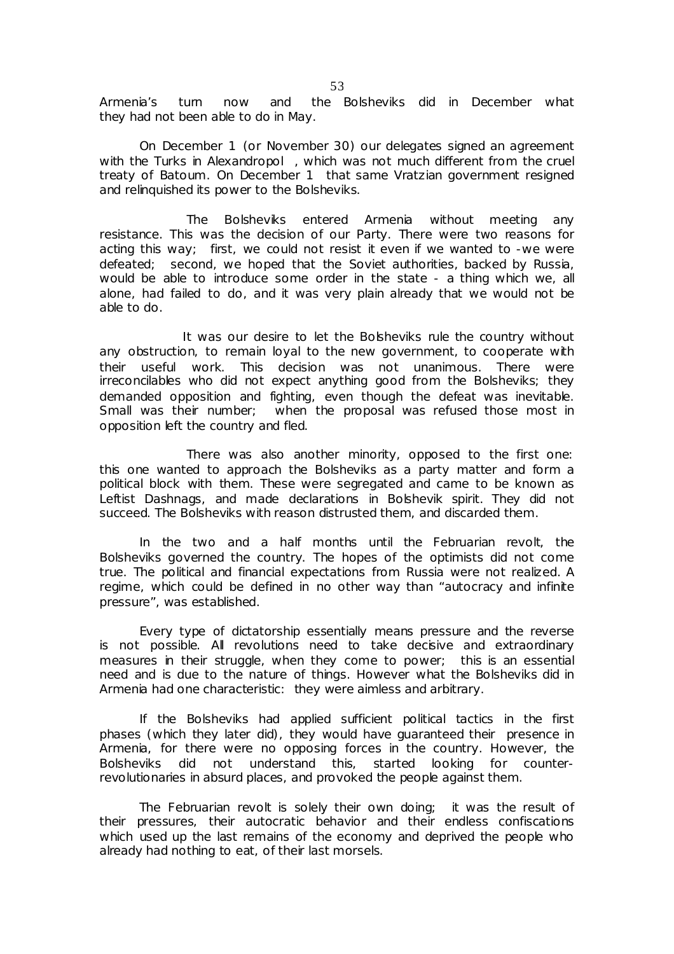Armenia's turn now and the Bolsheviks did in December what they had not been able to do in May.

On December 1 (or November 30) our delegates signed an agreement with the Turks in Alexandropol, which was not much different from the cruel treaty of Batoum. On December 1 that same Vratzian government resigned and relinquished its power to the Bolsheviks.

 The Bolsheviks entered Armenia without meeting any resistance. This was the decision of our Party. There were two reasons for acting this way; first, we could not resist it even if we wanted to -we were defeated; second, we hoped that the Soviet authorities, backed by Russia, would be able to introduce some order in the state - a thing which we, all alone, had failed to do, and it was very plain already that we would not be able to do.

It was our desire to let the Bolsheviks rule the country without any obstruction, to remain loyal to the new government, to cooperate with their useful work. This decision was not unanimous. There were irreconcilables who did not expect anything good from the Bolsheviks; they demanded opposition and fighting, even though the defeat was inevitable. Small was their number; when the proposal was refused those most in opposition left the country and fled.

 There was also another minority, opposed to the first one: this one wanted to approach the Bolsheviks as a party matter and form a political block with them. These were segregated and came to be known as Leftist Dashnags, and made declarations in Bolshevik spirit. They did not succeed. The Bolsheviks with reason distrusted them, and discarded them.

In the two and a half months until the Februarian revolt, the Bolsheviks governed the country. The hopes of the optimists did not come true. The political and financial expectations from Russia were not realized. A regime, which could be defined in no other way than "autocracy and infinite pressure", was established.

Every type of dictatorship essentially means pressure and the reverse is not possible. All revolutions need to take decisive and extraordinary measures in their struggle, when they come to power; this is an essential need and is due to the nature of things. However what the Bolsheviks did in Armenia had one characteristic: they were aimless and arbitrary.

If the Bolsheviks had applied sufficient political tactics in the first phases (which they later did), they would have guaranteed their presence in Armenia, for there were no opposing forces in the country. However, the Bolsheviks did not understand this, started looking for counterrevolutionaries in absurd places, and provoked the people against them.

The Februarian revolt is solely their own doing; it was the result of their pressures, their autocratic behavior and their endless confiscations which used up the last remains of the economy and deprived the people who already had nothing to eat, of their last morsels.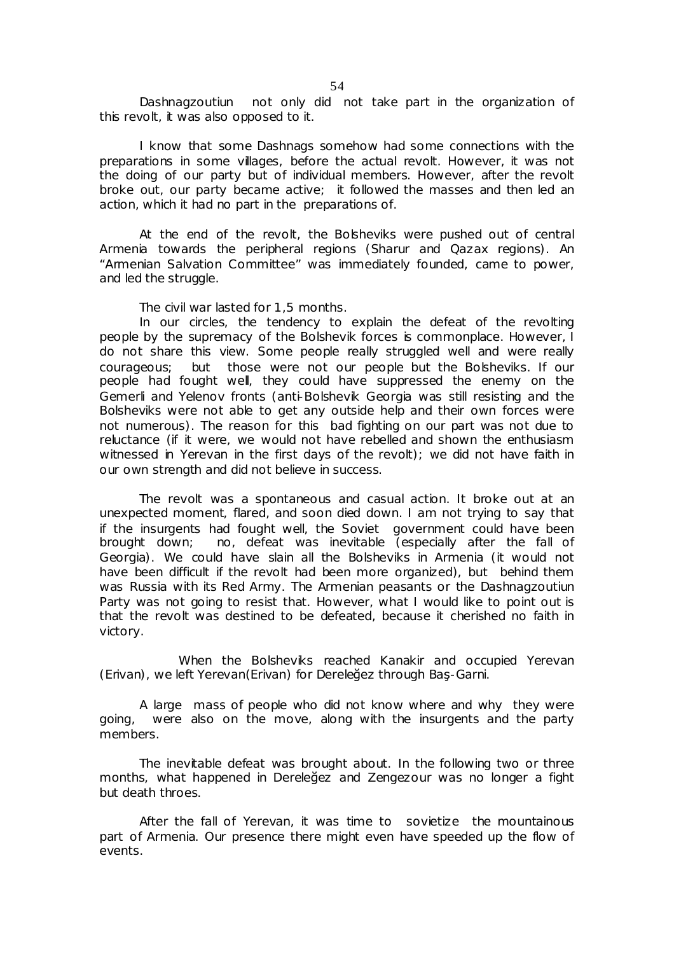Dashnagzoutiun not only did not take part in the organization of this revolt, it was also opposed to it.

I know that some Dashnags somehow had some connections with the preparations in some villages, before the actual revolt. However, it was not the doing of our party but of individual members. However, after the revolt broke out, our party became active; it followed the masses and then led an action, which it had no part in the preparations of.

At the end of the revolt, the Bolsheviks were pushed out of central Armenia towards the peripheral regions (Sharur and Qazax regions). An "Armenian Salvation Committee" was immediately founded, came to power, and led the struggle.

The civil war lasted for 1,5 months.

In our circles, the tendency to explain the defeat of the revolting people by the supremacy of the Bolshevik forces is commonplace. However, I do not share this view. Some people really struggled well and were really courageous; but those were not our people but the Bolsheviks. If our people had fought well, they could have suppressed the enemy on the Gemerli and Yelenov fronts (anti-Bolshevik Georgia was still resisting and the Bolsheviks were not able to get any outside help and their own forces were not numerous). The reason for this bad fighting on our part was not due to reluctance (if it were, we would not have rebelled and shown the enthusiasm witnessed in Yerevan in the first days of the revolt); we did not have faith in our own strength and did not believe in success.

The revolt was a spontaneous and casual action. It broke out at an unexpected moment, flared, and soon died down. I am not trying to say that if the insurgents had fought well, the Soviet government could have been brought down; no, defeat was inevitable (especially after the fall of Georgia). We could have slain all the Bolsheviks in Armenia (it would not have been difficult if the revolt had been more organized), but behind them was Russia with its Red Army. The Armenian peasants or the Dashnagzoutiun Party was not going to resist that. However, what I would like to point out is that the revolt was destined to be defeated, because it cherished no faith in victory.

When the Bolsheviks reached Kanakir and occupied Yerevan (Erivan), we left Yerevan(Erivan) for Dereleğez through Baş-Garni.

A large mass of people who did not know where and why they were going, were also on the move, along with the insurgents and the party members.

The inevitable defeat was brought about. In the following two or three months, what happened in Dereleğez and Zengezour was no longer a fight but death throes.

After the fall of Yerevan, it was time to sovietize the mountainous part of Armenia. Our presence there might even have speeded up the flow of events.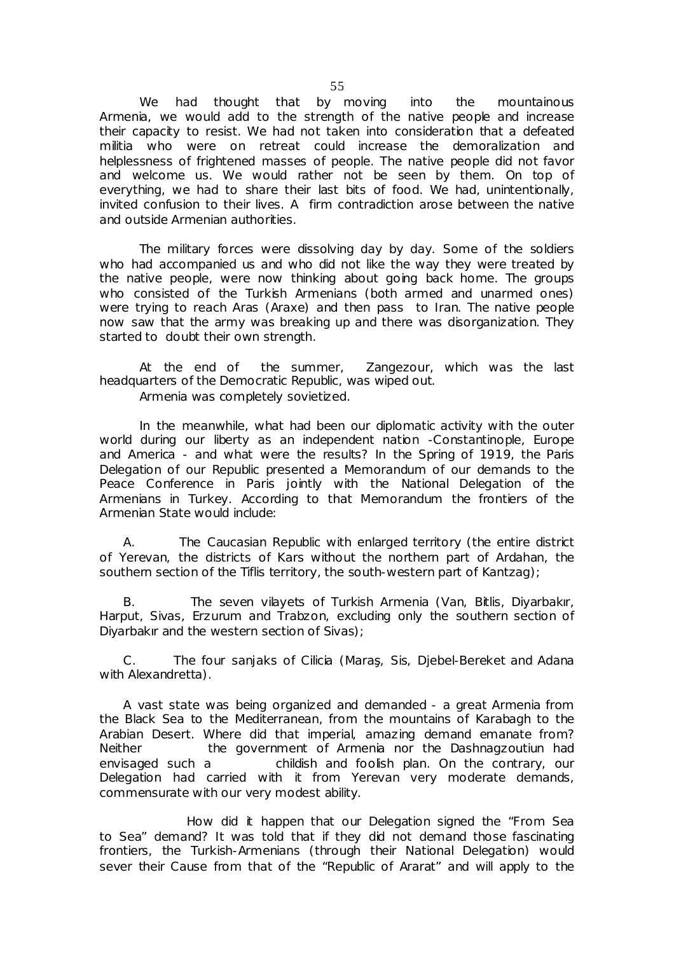We had thought that by moving into the mountainous Armenia, we would add to the strength of the native people and increase their capacity to resist. We had not taken into consideration that a defeated militia who were on retreat could increase the demoralization and helplessness of frightened masses of people. The native people did not favor and welcome us. We would rather not be seen by them. On top of everything, we had to share their last bits of food. We had, unintentionally, invited confusion to their lives. A firm contradiction arose between the native and outside Armenian authorities.

The military forces were dissolving day by day. Some of the soldiers who had accompanied us and who did not like the way they were treated by the native people, were now thinking about going back home. The groups who consisted of the Turkish Armenians (both armed and unarmed ones) were trying to reach Aras (Araxe) and then pass to Iran. The native people now saw that the army was breaking up and there was disorganization. They started to doubt their own strength.

At the end of the summer, Zangezour, which was the last headquarters of the Democratic Republic, was wiped out.

Armenia was completely sovietized.

In the meanwhile, what had been our diplomatic activity with the outer world during our liberty as an independent nation -Constantinople, Europe and America - and what were the results? In the Spring of 1919, the Paris Delegation of our Republic presented a Memorandum of our demands to the Peace Conference in Paris jointly with the National Delegation of the Armenians in Turkey. According to that Memorandum the frontiers of the Armenian State would include:

 A. The Caucasian Republic with enlarged territory (the entire district of Yerevan, the districts of Kars without the northern part of Ardahan, the southern section of the Tiflis territory, the south-western part of Kantzag);

 B. The seven vilayets of Turkish Armenia (Van, Bitlis, Diyarbakır, Harput, Sivas, Erzurum and Trabzon, excluding only the southern section of Diyarbakır and the western section of Sivas);

 C. The four sanjaks of Cilicia (Maraş, Sis, Djebel-Bereket and Adana with Alexandretta).

 A vast state was being organized and demanded - a great Armenia from the Black Sea to the Mediterranean, from the mountains of Karabagh to the Arabian Desert. Where did that imperial, amazing demand emanate from? Neither the government of Armenia nor the Dashnagzoutiun had envisaged such a childish and foolish plan. On the contrary, our Delegation had carried with it from Yerevan very moderate demands, commensurate with our very modest ability.

 How did it happen that our Delegation signed the "From Sea to Sea" demand? It was told that if they did not demand those fascinating frontiers, the Turkish-Armenians (through their National Delegation) would sever their Cause from that of the "Republic of Ararat" and will apply to the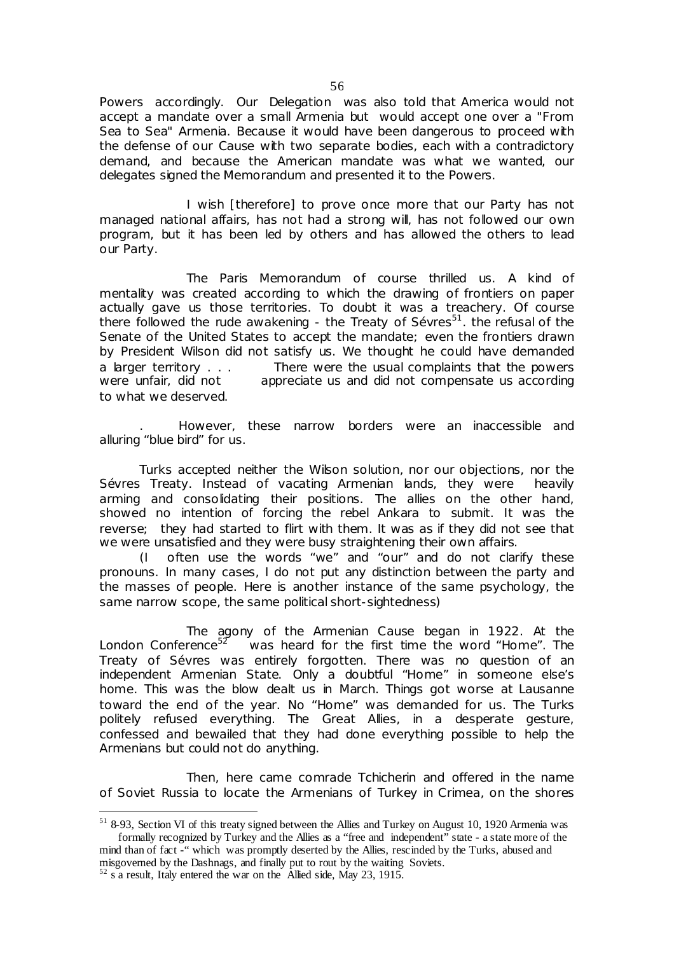Powers accordingly. Our Delegation was also told that America would not accept a mandate over a small Armenia but would accept one over a "From Sea to Sea" Armenia. Because it would have been dangerous to proceed with the defense of our Cause with two separate bodies, each with a contradictory demand, and because the American mandate was what we wanted, our delegates signed the Memorandum and presented it to the Powers.

 I wish [therefore] to prove once more that our Party has not managed national affairs, has not had a strong will, has not followed our own program, but it has been led by others and has allowed the others to lead our Party.

 The Paris Memorandum of course thrilled us. A kind of mentality was created according to which the drawing of frontiers on paper actually gave us those territories. To doubt it was a treachery. Of course there followed the rude awakening - the Treaty of Sévres<sup>51</sup>. the refusal of the Senate of the United States to accept the mandate; even the frontiers drawn by President Wilson did not satisfy us. We thought he could have demanded a larger territory . . . There were the usual complaints that the powers were unfair, did not appreciate us and did not compensate us according to what we deserved.

. However, these narrow borders were an inaccessible and alluring "blue bird" for us.

Turks accepted neither the Wilson solution, nor our objections, nor the Sévres Treaty. Instead of vacating Armenian lands, they were heavily arming and consolidating their positions. The allies on the other hand, showed no intention of forcing the rebel Ankara to submit. It was the reverse; they had started to flirt with them. It was as if they did not see that we were unsatisfied and they were busy straightening their own affairs.

(I often use the words "we" and "our" and do not clarify these pronouns. In many cases, I do not put any distinction between the party and the masses of people. Here is another instance of the same psychology, the same narrow scope, the same political short-sightedness)

 The agony of the Armenian Cause began in 1922. At the London Conference<sup>52</sup> was heard for the first time the word "Home". The Treaty of Sévres was entirely forgotten. There was no question of an independent Armenian State. Only a doubtful "Home" in someone else's home. This was the blow dealt us in March. Things got worse at Lausanne toward the end of the year. No "Home" was demanded for us. The Turks politely refused everything. The Great Allies, in a desperate gesture, confessed and bewailed that they had done everything possible to help the Armenians but could not do anything.

 Then, here came comrade Tchicherin and offered in the name of Soviet Russia to locate the Armenians of Turkey in Crimea, on the shores

 $\overline{a}$ 

<sup>&</sup>lt;sup>51</sup> 8-93, Section VI of this treaty signed between the Allies and Turkey on August 10, 1920 Armenia was formally recognized by Turkey and the Allies as a "free and independent" state - a state more of the mind than of fact -" which was promptly deserted by the Allies, rescinded by the Turks, abused and misgoverned by the Dashnags, and finally put to rout by the waiting Soviets.

 $52$  s a result, Italy entered the war on the Allied side, May 23, 1915.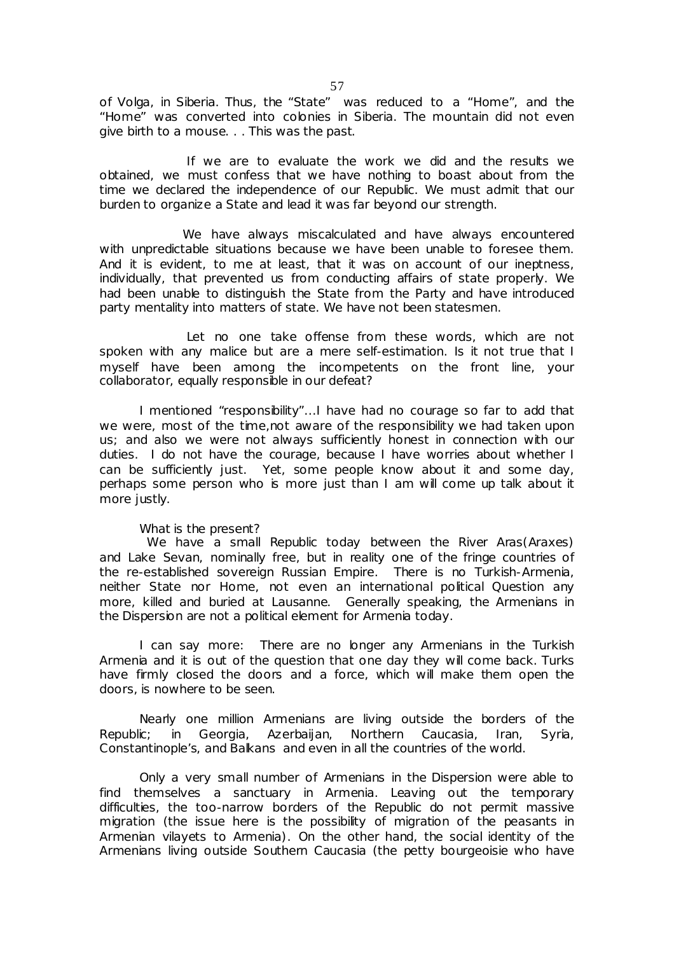of Volga, in Siberia. Thus, the "State" was reduced to a "Home", and the "Home" was converted into colonies in Siberia. The mountain did not even give birth to a mouse. . . This was the past.

 If we are to evaluate the work we did and the results we obtained, we must confess that we have nothing to boast about from the time we declared the independence of our Republic. We must admit that our burden to organize a State and lead it was far beyond our strength.

We have always miscalculated and have always encountered with unpredictable situations because we have been unable to foresee them. And it is evident, to me at least, that it was on account of our ineptness, individually, that prevented us from conducting affairs of state properly. We had been unable to distinguish the State from the Party and have introduced party mentality into matters of state. We have not been statesmen.

 Let no one take offense from these words, which are not spoken with any malice but are a mere self-estimation. Is it not true that I myself have been among the incompetents on the front line, your collaborator, equally responsible in our defeat?

I mentioned "responsibility"...I have had no courage so far to add that we were, most of the time,not aware of the responsibility we had taken upon us; and also we were not always sufficiently honest in connection with our duties. I do not have the courage, because I have worries about whether I can be sufficiently just. Yet, some people know about it and some day, perhaps some person who is more just than I am will come up talk about it more justly.

#### What is the present?

We have a small Republic today between the River Aras(Araxes) and Lake Sevan, nominally free, but in reality one of the fringe countries of the re-established sovereign Russian Empire. There is no Turkish-Armenia, neither State nor Home, not even an international political Question any more, killed and buried at Lausanne. Generally speaking, the Armenians in the Dispersion are not a political element for Armenia today.

I can say more: There are no longer any Armenians in the Turkish Armenia and it is out of the question that one day they will come back. Turks have firmly closed the doors and a force, which will make them open the doors, is nowhere to be seen.

Nearly one million Armenians are living outside the borders of the Republic; in Georgia, Azerbaijan, Northern Caucasia, Iran, Syria, Constantinople's, and Balkans and even in all the countries of the world.

Only a very small number of Armenians in the Dispersion were able to find themselves a sanctuary in Armenia. Leaving out the temporary difficulties, the too-narrow borders of the Republic do not permit massive migration (the issue here is the possibility of migration of the peasants in Armenian vilayets to Armenia). On the other hand, the social identity of the Armenians living outside Southern Caucasia (the petty bourgeoisie who have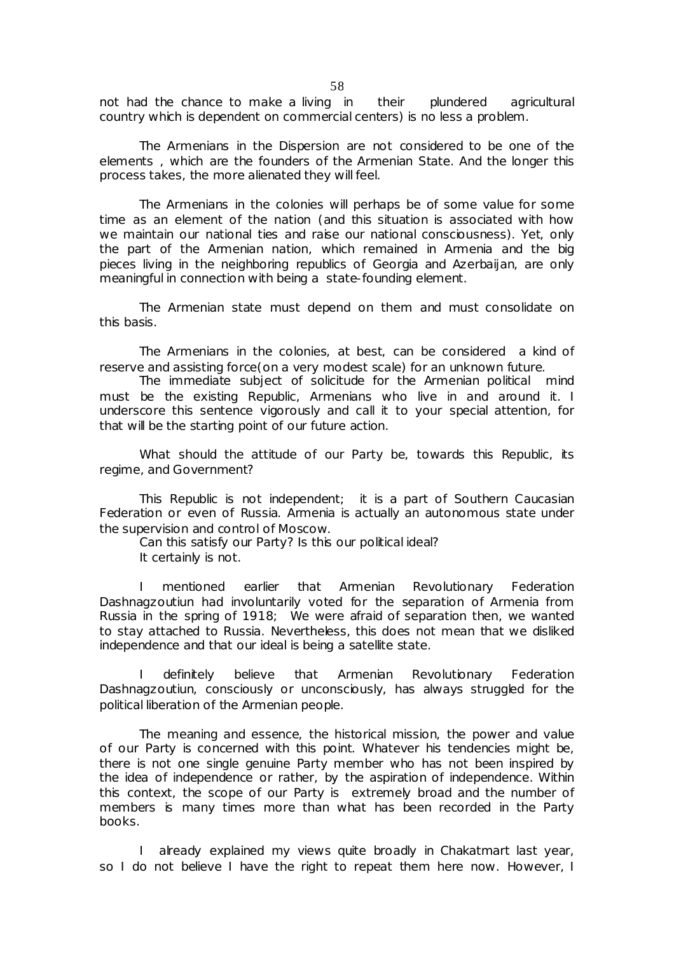not had the chance to make a living in their plundered agricultural country which is dependent on commercial centers) is no less a problem.

The Armenians in the Dispersion are not considered to be one of the elements , which are the founders of the Armenian State. And the longer this process takes, the more alienated they will feel.

The Armenians in the colonies will perhaps be of some value for some time as an element of the *nation* (and this situation is associated with how we maintain our national ties and raise our national consciousness). Yet, only the part of the Armenian nation, which remained in Armenia and the big pieces living in the neighboring republics of Georgia and Azerbaijan, are only meaningful in connection with being a state-founding element.

The Armenian state must depend on them and must consolidate on this basis.

The Armenians in the colonies, at best, can be considered a kind of reserve and assisting force(on a very modest scale) for an unknown future.

The immediate subject of solicitude for the Armenian political mind must be the existing Republic, Armenians who live in and around it. I underscore this sentence vigorously and call it to your special attention, for that will be the starting point of our future action.

What should the attitude of our Party be, towards this Republic, its regime, and Government?

This Republic is not independent; it is a part of Southern Caucasian Federation or even of Russia. Armenia is actually an autonomous state under the supervision and control of Moscow.

Can this satisfy our Party? Is this our political ideal? It certainly is not.

I mentioned earlier that Armenian Revolutionary Federation Dashnagzoutiun had involuntarily voted for the separation of Armenia from Russia in the spring of 1918; We were afraid of separation then, we wanted to stay attached to Russia. Nevertheless, this does not mean that we disliked independence and that our ideal is being a satellite state.

I definitely believe that Armenian Revolutionary Federation Dashnagzoutiun, consciously or unconsciously, has always struggled for the political liberation of the Armenian people.

The meaning and essence, the historical mission, the power and value of our Party is concerned with this point. Whatever his tendencies might be, there is not one single genuine Party member who has not been inspired by the idea of independence or rather, by the aspiration of independence. Within this context, the scope of our Party is extremely broad and the number of members is many times more than what has been recorded in the Party books.

I already explained my views quite broadly in *Chakatmart* last year, so I do not believe I have the right to repeat them here now. However, I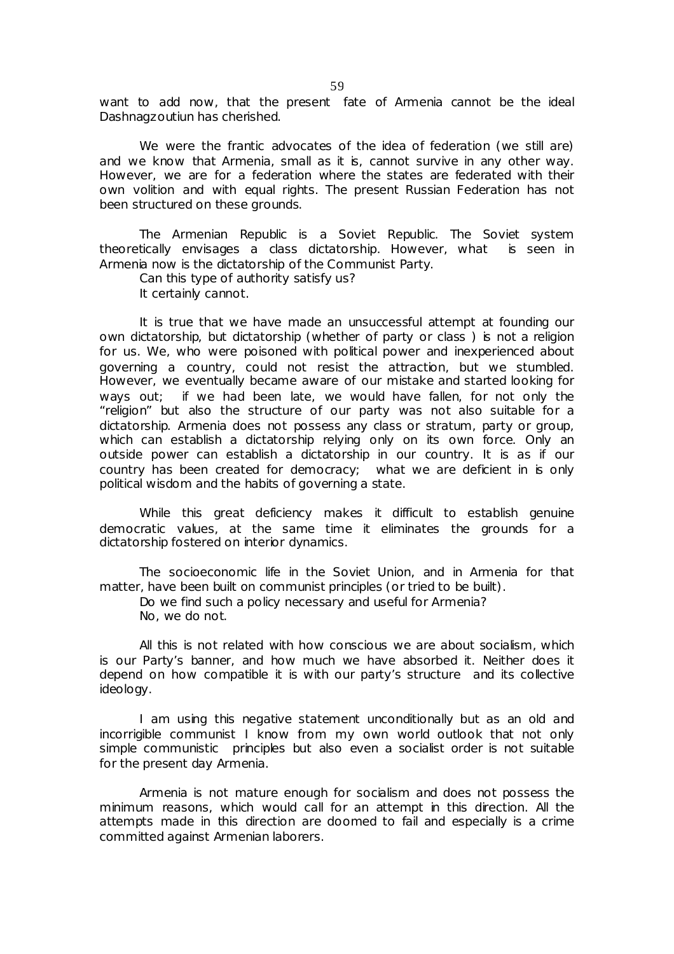want to add now, that the present fate of Armenia cannot be the ideal Dashnagzoutiun has cherished.

We were the frantic advocates of the idea of federation (we still are) and we know that Armenia, small as it is, cannot survive in any other way. However, we are for a federation where the states are federated with their own volition and with equal rights. The present Russian Federation has not been structured on these grounds.

The Armenian Republic is a Soviet Republic. The Soviet system theoretically envisages a class dictatorship. However, what is seen in Armenia now is the dictatorship of the Communist Party.

Can this type of authority satisfy us?

It certainly cannot.

It is true that we have made an unsuccessful attempt at founding our own dictatorship, but dictatorship (whether of party or class ) is not a religion for us. We, who were poisoned with political power and inexperienced about governing a country, could not resist the attraction, but we stumbled. However, we eventually became aware of our mistake and started looking for ways out; if we had been late, we would have fallen, for not only the "religion" but also the structure of our party was not also suitable for a dictatorship. Armenia does not possess any class or stratum, party or group, which can establish a dictatorship relying only on its own force. Only an outside power can establish a dictatorship in our country. It is as if our country has been created for democracy; what we are deficient in is only political wisdom and the habits of governing a state.

While this great deficiency makes it difficult to establish genuine democratic values, at the same time it eliminates the grounds for a dictatorship fostered on interior dynamics.

The socioeconomic life in the Soviet Union, and in Armenia for that matter, have been built on communist principles (or tried to be built).

Do we find such a policy necessary and useful for Armenia? No, we do not.

All this is not related with how conscious we are about socialism, which is our Party's banner, and how much we have absorbed it. Neither does it depend on how compatible it is with our party's structure and its collective ideology.

I am using this negative statement unconditionally but as an old and incorrigible communist I know from my own world outlook that not only simple communistic principles but also even a socialist order is not suitable for the present day Armenia.

Armenia is not mature enough for socialism and does not possess the minimum reasons, which would call for an attempt in this direction. All the attempts made in this direction are doomed to fail and especially is a crime committed against Armenian laborers.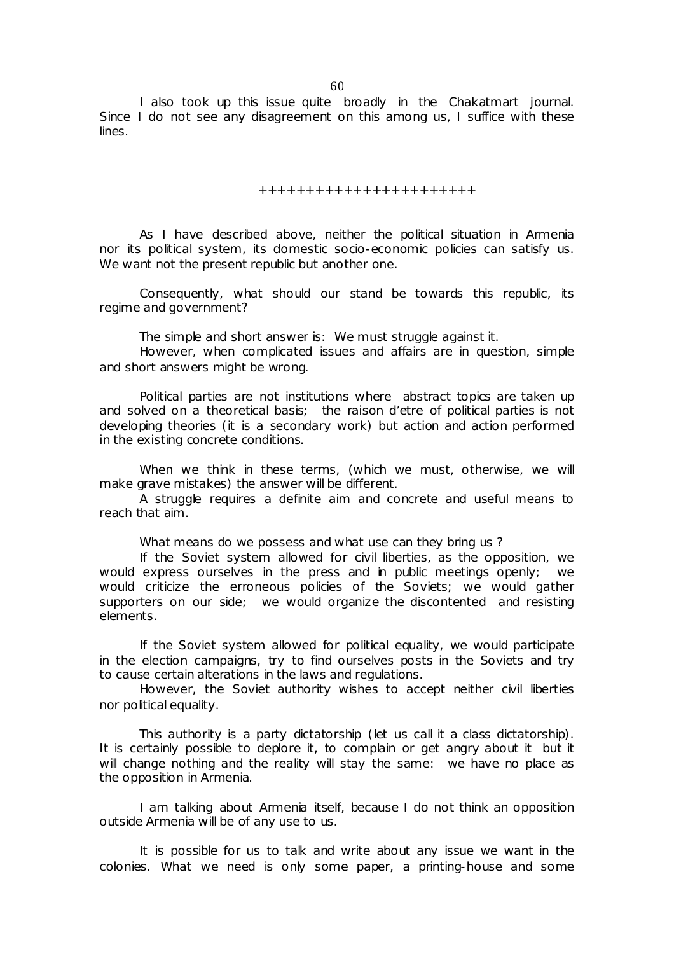I also took up this issue quite broadly in the Chakatmart journal. Since I do not see any disagreement on this among us, I suffice with these lines.

+++++++++++++++++++++++

As I have described above, neither the political situation in Armenia nor its political system, its domestic socio-economic policies can satisfy us. We want not the present republic but another one.

Consequently, what should our stand be towards this republic, its regime and government?

The simple and short answer is: We must struggle against it.

However, when complicated issues and affairs are in question, simple and short answers might be wrong.

Political parties are not institutions where abstract topics are taken up and solved on a theoretical basis; the *raison d'etre* of political parties is not developing theories (it is a secondary work) but *action* and action performed *in the existing concrete conditions*.

When we think in these terms, (which we must, otherwise, we will make grave mistakes) the answer will be different.

A struggle requires a definite aim and concrete and useful means to reach that aim.

What means do we possess and what use can they bring us?

If the Soviet system allowed for civil liberties, as the opposition, we would express ourselves in the press and in public meetings openly; we would criticize the erroneous policies of the Soviets; we would gather supporters on our side; we would organize the discontented and resisting elements.

If the Soviet system allowed for political equality, we would participate in the election campaigns, try to find ourselves posts in the Soviets and try to cause certain alterations in the laws and regulations.

However, the Soviet authority wishes to accept neither civil liberties nor political equality.

This authority is a party dictatorship (let us call it a class dictatorship). It is certainly possible to deplore it, to complain or get angry about it but it will change nothing and the reality will stay the same: we have no place as the opposition in Armenia.

I am talking about Armenia itself, because I do not think an opposition outside Armenia will be of any use to us.

It is possible for us to talk and write about any issue we want in the colonies. What we need is only some paper, a printing-house and some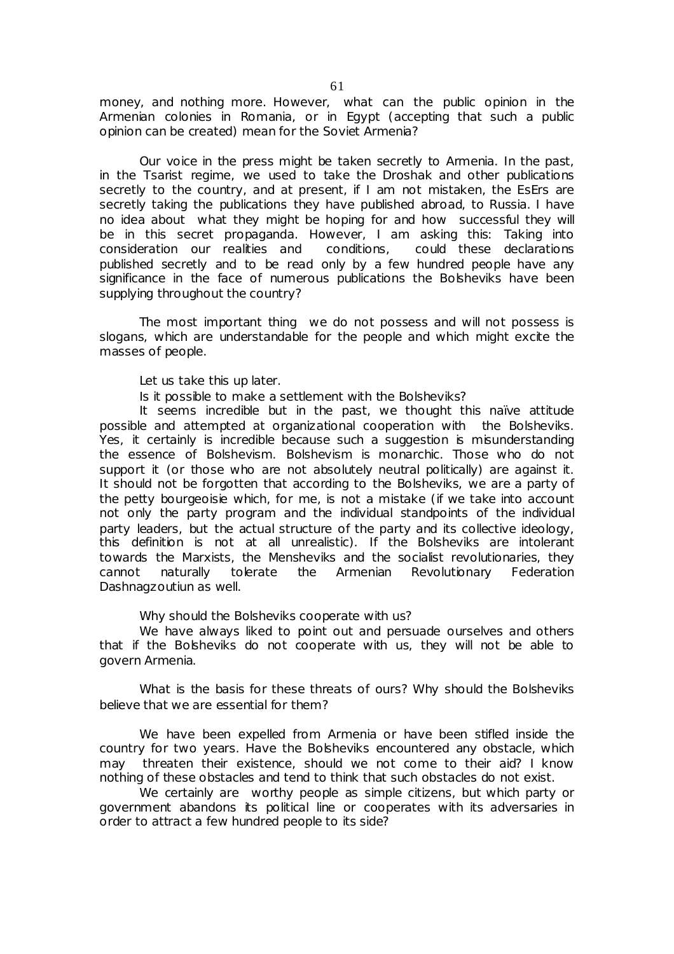money, and nothing more. However, what can the public opinion in the Armenian colonies in Romania, or in Egypt (accepting that such a public opinion can be created) mean for the Soviet Armenia?

Our voice in the press might be taken secretly to Armenia. In the past, in the Tsarist regime, we used to take the Droshak and other publications secretly to the country, and at present, if I am not mistaken, the EsErs are secretly taking the publications they have published abroad, to Russia. I have no idea about what they might be hoping for and how successful they will be in this secret propaganda. However, I am asking this: Taking into consideration our realities and conditions, could these declarations published secretly and to be read only by a few hundred people have any significance in the face of numerous publications the Bolsheviks have been supplying throughout the country?

The most important thing we do not possess and will not possess is slogans, which are understandable for the people and which might excite the masses of people.

Let us take this up later.

Is it possible to make a settlement with the Bolsheviks?

It seems incredible but in the past, we thought this naïve attitude possible and attempted at organizational cooperation with the Bolsheviks. Yes, it certainly is incredible because such a suggestion is misunderstanding the essence of Bolshevism. Bolshevism is monarchic. Those who do not support it (or those who are not absolutely neutral politically) are against it. It should not be forgotten that according to the Bolsheviks, we are a party of the petty bourgeoisie which, for me, is not a mistake (if we take into account not only the party program and the individual standpoints of the individual party leaders, but the actual structure of the party and its collective ideology, this definition is not at all unrealistic). If the Bolsheviks are intolerant towards the Marxists, the Mensheviks and the socialist revolutionaries, they cannot naturally tolerate the Armenian Revolutionary Federation Dashnagzoutiun as well.

Why should the Bolsheviks cooperate with us?

We have always liked to point out and persuade ourselves and others that if the Bolsheviks do not cooperate with us, they will not be able to govern Armenia.

What is the basis for these threats of ours? Why should the Bolsheviks believe that we are essential for them?

We have been expelled from Armenia or have been stifled inside the country for two years. Have the Bolsheviks encountered any obstacle, which may threaten their existence, should we not come to their aid? I know nothing of these obstacles and tend to think that such obstacles do not exist.

We certainly are worthy people as simple citizens, but which party or government abandons its political line or cooperates with its adversaries in order to attract a few hundred people to its side?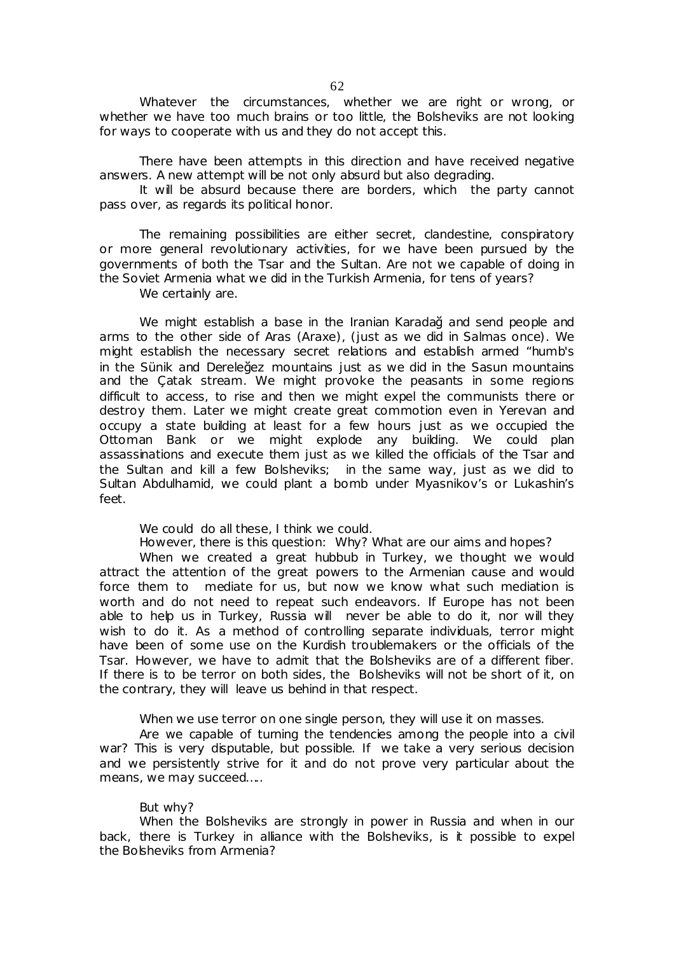Whatever the circumstances, whether we are right or wrong, or whether we have too much brains or too little, the Bolsheviks are not looking for ways to cooperate with us and they do not accept this.

There have been attempts in this direction and have received negative answers. A new attempt will be not only absurd but also degrading.

It will be absurd because there are borders, which the party cannot pass over, as regards its political honor.

The remaining possibilities are either secret, clandestine, conspiratory or more general revolutionary activities, for we have been pursued by the governments of both the Tsar and the Sultan. Are not we capable of doing in the Soviet Armenia what we did in the Turkish Armenia, for tens of years?

We certainly are.

We might establish a base in the Iranian Karadağ and send people and arms to the other side of Aras (Araxe), (just as we did in Salmas once). We might establish the necessary secret relations and establish armed "humb's in the Sünik and Dereleğez mountains just as we did in the Sasun mountains and the Çatak stream. We might provoke the peasants in some regions difficult to access, to rise and then we might expel the communists there or destroy them. Later we might create great commotion even in Yerevan and occupy a state building at least for a few hours just as we occupied the Ottoman Bank or we might explode any building. We could plan assassinations and execute them just as we killed the officials of the Tsar and the Sultan and kill a few Bolsheviks; in the same way, just as we did to Sultan Abdulhamid, we could plant a bomb under Myasnikov's or Lukashin's feet.

We could do all these. I think we could.

However, there is this question: Why? What are our aims and hopes?

When we created a great hubbub in Turkey, we thought we would attract the attention of the great powers to the Armenian cause and would force them to mediate for us, but now we know what such mediation is worth and do not need to repeat such endeavors. If Europe has not been able to help us in Turkey, Russia will never be able to do it, nor will they wish to do it. As a method of controlling separate individuals, terror might have been of some use on the Kurdish troublemakers or the officials of the Tsar. However, we have to admit that the Bolsheviks are of a different fiber. If there is to be terror on both sides, the Bolsheviks will not be short of it, on the contrary, they will leave us behind in that respect.

When we use terror on one single person, they will use it on masses.

Are we capable of turning the tendencies among the people into a civil war? This is very disputable, but possible. If we take a very serious decision and we persistently strive for it and do not prove very particular about the means, we may succeed....

#### But why?

When the Bolsheviks are strongly in power in Russia and when in our back, there is Turkey in alliance with the Bolsheviks, is it possible to expel the Bolsheviks from Armenia?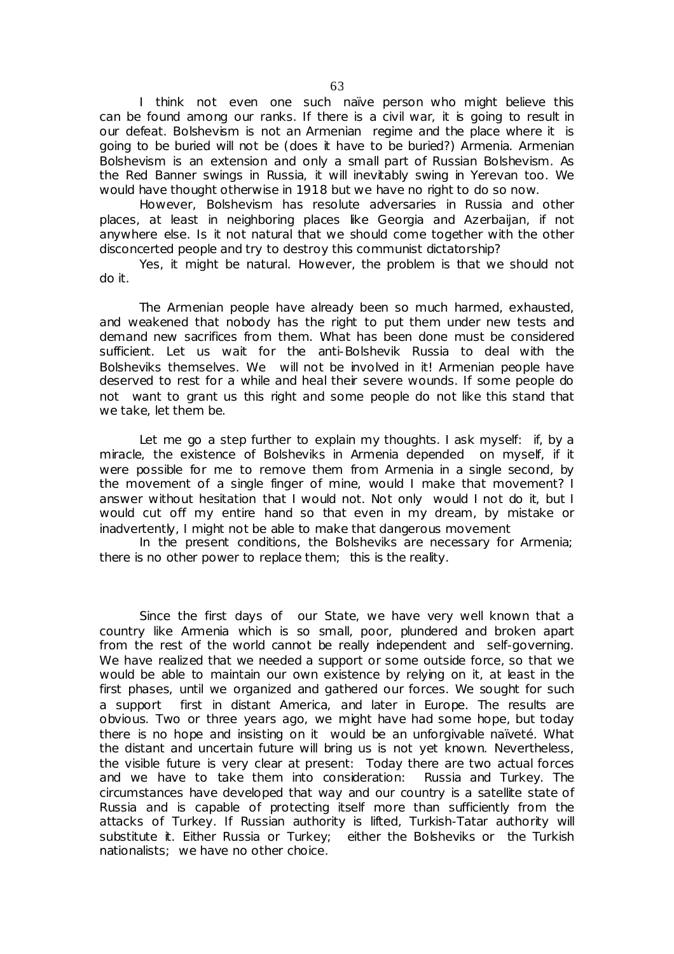I think not even one such naïve person who might believe this can be found among our ranks. If there is a civil war, it is going to result in our defeat. Bolshevism is not an Armenian regime and the place where it is going to be buried will not be (does it have to be buried?) Armenia. Armenian Bolshevism is an extension and only a small part of Russian Bolshevism. As the Red Banner swings in Russia, it will inevitably swing in Yerevan too. We would have thought otherwise in 1918 but we have no right to do so now.

However, Bolshevism has resolute adversaries in Russia and other places, at least in neighboring places like Georgia and Azerbaijan, if not anywhere else. Is it not natural that we should come together with the other disconcerted people and try to destroy this communist dictatorship?

Yes, it might be natural. However, the problem is that we should not do it.

The Armenian people have already been so much harmed, exhausted, and weakened that nobody has the right to put them under new tests and demand new sacrifices from them. What has been done must be considered sufficient. Let us wait for the anti-Bolshevik Russia to deal with the Bolsheviks themselves. We will not be involved in it! Armenian people have deserved to rest for a while and heal their severe wounds. If some people do not want to grant us this right and some people do not like this stand that we take, let them be.

Let me go a step further to explain my thoughts. I ask myself: if, by a miracle, the existence of Bolsheviks in Armenia depended on myself, if it were possible for me to remove them from Armenia in a single second, by the movement of a single finger of mine, would I make that movement? I answer without hesitation that I would not. Not only would I not do it, but I would cut off my entire hand so that even in my dream, by mistake or inadvertently, I might not be able to make that dangerous movement

In the present conditions, the Bolsheviks are necessary for Armenia; there is no other power to replace them; this is the reality.

Since the first days of our State, we have very well known that a country like Armenia which is so small, poor, plundered and broken apart from the rest of the world cannot be really independent and self-governing. We have realized that we needed a support or some outside force, so that we would be able to maintain our own existence by relying on it, at least in the first phases, until we organized and gathered our forces. We sought for such a support first in distant America, and later in Europe. The results are obvious. Two or three years ago, we might have had some hope, but today there is no hope and insisting on it would be an unforgivable naïveté. What the distant and uncertain future will bring us is not yet known. Nevertheless, the visible future is very clear at present: Today there are two actual forces and we have to take them into consideration: Russia and Turkey. The circumstances have developed that way and our country is a satellite state of Russia and is capable of protecting itself more than sufficiently from the attacks of Turkey. If Russian authority is lifted, Turkish-Tatar authority will substitute it. Either Russia or Turkey; either the Bolsheviks or the Turkish nationalists; we have no other choice.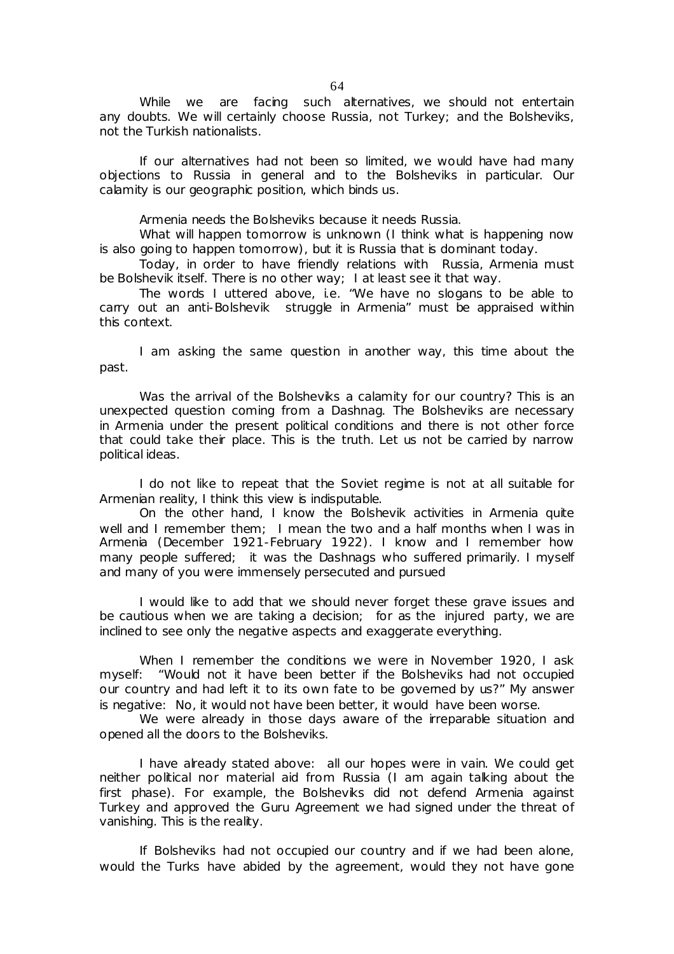While we are facing such alternatives, we should not entertain any doubts. We will certainly choose Russia, not Turkey; and the Bolsheviks, not the Turkish nationalists.

If our alternatives had not been so limited, we would have had many objections to Russia in general and to the Bolsheviks in particular. Our calamity is our geographic position, which binds us.

Armenia needs the Bolsheviks because it needs Russia.

What will happen tomorrow is unknown (I think what is happening now is also going to happen tomorrow), but it is Russia that is dominant today.

Today, in order to have friendly relations with Russia, Armenia must be Bolshevik itself. There is no other way; I at least see it that way.

The words I uttered above, i.e. "We have no slogans to be able to carry out an anti-Bolshevik struggle in Armenia" must be appraised within this context.

I am asking the same question in another way, this time about the past.

Was the arrival of the Bolsheviks a calamity for our country? This is an unexpected question coming from a Dashnag. The Bolsheviks are necessary in Armenia under the present political conditions and there is not other force that could take their place. This is the truth. Let us not be carried by narrow political ideas.

I do not like to repeat that the Soviet regime is not at all suitable for Armenian reality, I think this view is indisputable.

On the other hand, I know the Bolshevik activities in Armenia quite well and I remember them; I mean the two and a half months when I was in Armenia (December 1921-February 1922). I know and I remember how many people suffered; it was the Dashnags who suffered primarily. I myself and many of you were immensely persecuted and pursued

I would like to add that we should never forget these grave issues and be cautious when we are taking a decision; for as the injured party, we are inclined to see only the negative aspects and exaggerate everything.

When I remember the conditions we were in November 1920, I ask myself: "Would not it have been better if the Bolsheviks had not occupied our country and had left it to its own fate to be governed by us?" My answer is negative: No, it would not have been better, it would have been worse.

We were already in those days aware of the irreparable situation and opened all the doors to the Bolsheviks.

I have already stated above: all our hopes were in vain. We could get neither political nor material aid from Russia (I am again talking about the first phase). For example, the Bolsheviks did not defend Armenia against Turkey and approved the Guru Agreement we had signed under the threat of vanishing. This is the reality.

If Bolsheviks had not occupied our country and if we had been alone, would the Turks have abided by the agreement, would they not have gone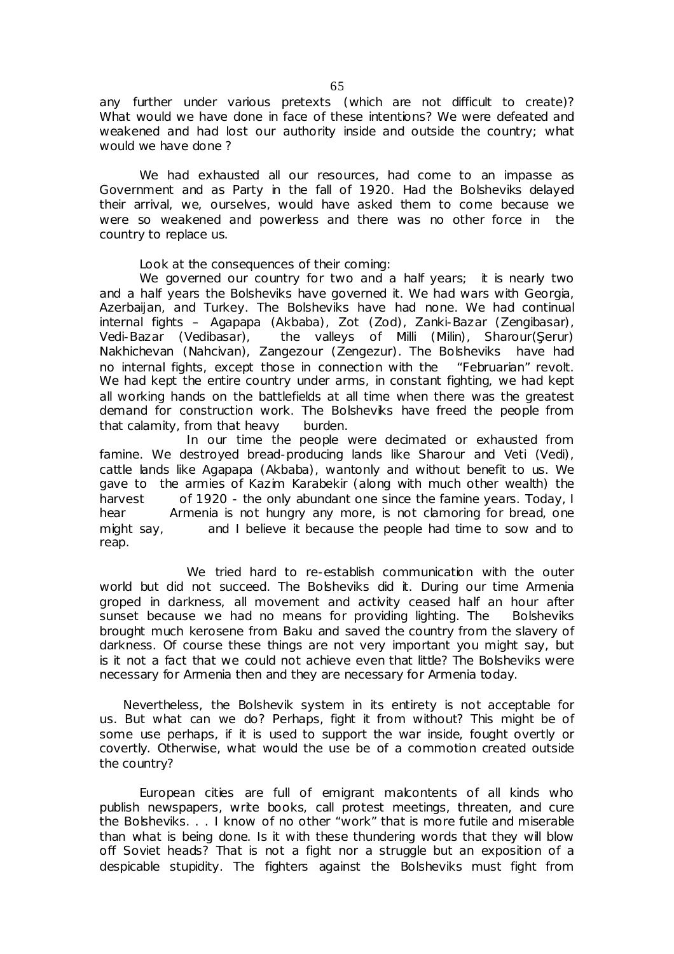any further under various pretexts (which are not difficult to create)? What would we have done in face of these intentions? We were defeated and weakened and had lost our authority inside and outside the country; what would we have done ?

We had exhausted all our resources, had come to an impasse as Government and as Party in the fall of 1920. Had the Bolsheviks delayed their arrival, we, ourselves, would have asked them to come because we were so weakened and powerless and there was no other force in the country to replace us.

Look at the consequences of their coming:

We governed our country for two and a half years; it is nearly two and a half years the Bolsheviks have governed it. We had wars with Georgia, Azerbaijan, and Turkey. The Bolsheviks have had none. We had continual internal fights – Agapapa (Akbaba), Zot (Zod), Zanki-Bazar (Zengibasar),<br>Vedi-Bazar (Vedibasar), the valleys of Milli (Milin), Sharour(Şerur) the valleys of Milli (Milin), Sharour(Şerur) Nakhichevan (Nahcivan), Zangezour (Zengezur). The Bolsheviks have had no internal fights, except those in connection with the "Februarian" revolt. We had kept the entire country under arms, in constant fighting, we had kept all working hands on the battlefields at all time when there was the greatest demand for construction work. The Bolsheviks have freed the people from that calamity, from that heavy burden.

 In our time the people were decimated or exhausted from famine. We destroyed bread-producing lands like Sharour and Veti (Vedi), cattle lands like Agapapa (Akbaba), wantonly and without benefit to us. We gave to the armies of Kazim Karabekir (along with much other wealth) the harvest of 1920 - the only abundant one since the famine years. Today, I hear Armenia is not hungry any more, is not clamoring for bread, one might say, and I believe it because the people had time to sow and to reap.

We tried hard to re-establish communication with the outer world but did not succeed. The Bolsheviks did it. During our time Armenia groped in darkness, all movement and activity ceased half an hour after sunset because we had no means for providing lighting. The Bolsheviks brought much kerosene from Baku and saved the country from the slavery of darkness. Of course these things are not very important you might say, but is it not a fact that we could not achieve even that little? The Bolsheviks were necessary for Armenia then and they are necessary for Armenia today.

 Nevertheless, the Bolshevik system in its entirety is not acceptable for us. But what can we do? Perhaps, fight it from without? This might be of some use perhaps, if it is used to support the war inside, fought overtly or covertly. Otherwise, what would the use be of a commotion created outside the country?

European cities are full of emigrant malcontents of all kinds who publish newspapers, write books, call protest meetings, threaten, and cure the Bolsheviks. . . I know of no other "work" that is more futile and miserable than what is being done. Is it with these thundering words that they will blow off Soviet heads? That is not a fight nor a struggle but an exposition of a despicable stupidity. The fighters against the Bolsheviks must fight from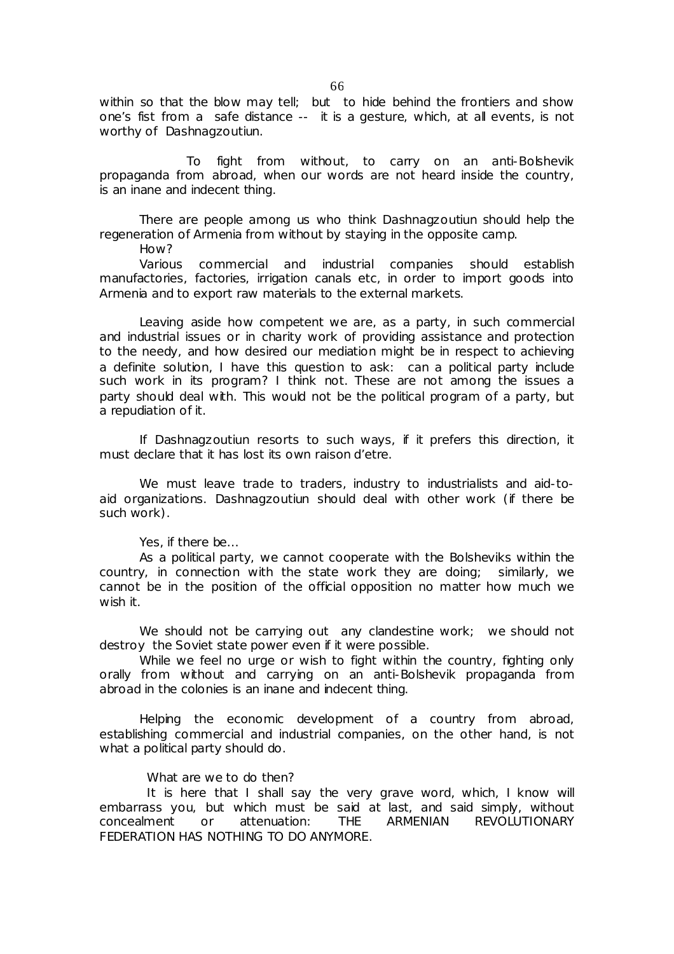within so that the blow may tell; but to hide behind the frontiers and show one's fist from a safe distance -- it is a gesture, which, at all events, is not worthy of Dashnagzoutiun.

To fight from without, to carry on an anti-Bolshevik propaganda from abroad, when our words are not heard inside the country, is an inane and indecent thing.

There are people among us who think Dashnagzoutiun should help the regeneration of Armenia from without by staying in the opposite camp.

How?

Various commercial and industrial companies should establish manufactories, factories, irrigation canals etc, in order to import goods into Armenia and to export raw materials to the external markets.

Leaving aside how competent we are, as a party, in such commercial and industrial issues or in charity work of providing assistance and protection to the needy, and how desired our mediation might be in respect to achieving a definite solution, I have this question to ask: can a political party include such work in its program? I think not. These are not among the issues a party should deal with. This would not be the political program of a party, but a repudiation of it.

If Dashnagzoutiun resorts to such ways, if it prefers this direction, it must declare that it has lost its own *raison d'etre.* 

We must leave trade to traders, industry to industrialists and aid-toaid organizations. Dashnagzoutiun should deal with other work (if there be such work).

Yes, if there be…

As a political party, we cannot cooperate with the Bolsheviks within the country, in connection with the state work they are doing; similarly, we cannot be in the position of the official opposition no matter how much we wish it.

We should not be carrying out any clandestine work; we should not destroy the Soviet state power even if it were possible.

While we feel no urge or wish to fight within the country, fighting only orally from without and carrying on an anti-Bolshevik propaganda from abroad in the colonies is an inane and indecent thing.

Helping the economic development of a country from abroad, establishing commercial and industrial companies, on the other hand, is not what a political party should do.

### What are we to do then?

It is here that I shall say the very grave word, which, I know will embarrass you, but which must be said at last, and said simply, without concealment or attenuation: THE ARMENIAN REVOLUTIONARY FEDERATION HAS NOTHING TO DO ANYMORE.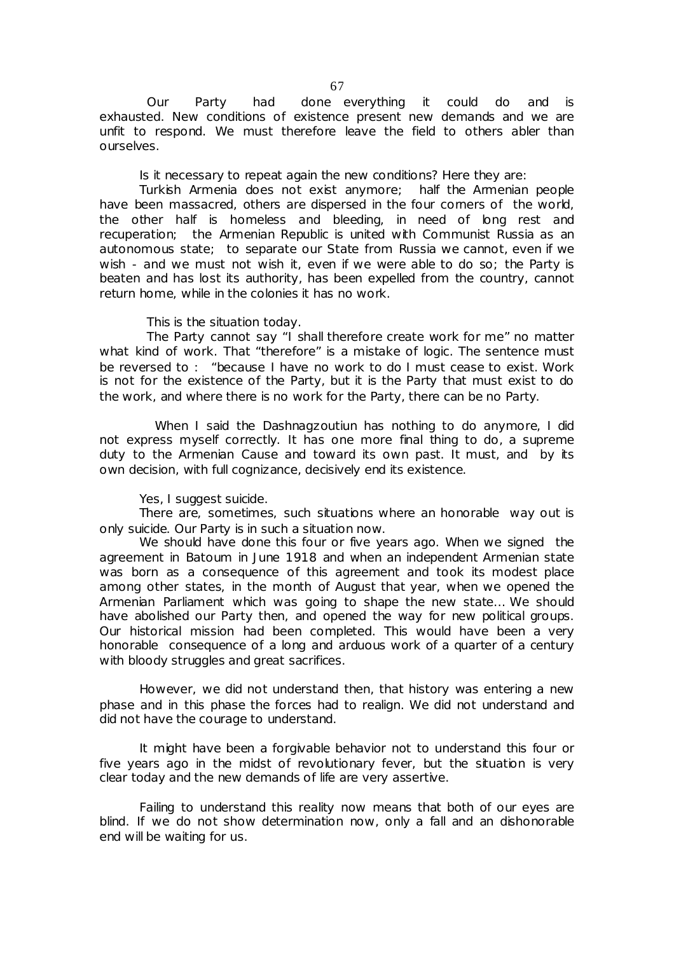Our Party had done everything it could do and is exhausted. New conditions of existence present new demands and we are unfit to respond. We must therefore leave the field to others abler than ourselves.

Is it necessary to repeat again the new conditions? Here they are:

Turkish Armenia does not exist anymore; half the Armenian people have been massacred, others are dispersed in the four comers of the world, the other half is homeless and bleeding, in need of long rest and recuperation; the Armenian Republic is united with Communist Russia as an autonomous state; to separate our State from Russia we cannot, even if we wish - and we must not wish it, even if we were able to do so; the Party is beaten and has lost its authority, has been expelled from the country, cannot return home, while in the colonies it has no work.

This is the situation today.

The Party cannot say "I shall therefore create work for me" no matter what kind of work. That "therefore" is a mistake of logic. The sentence must be reversed to : "because I have no work to do I must cease to exist. Work is not for the existence of the Party, but it is the Party that must exist to do the work, and where there is no work for the Party, there can be no Party.

 When I said the Dashnagzoutiun has nothing to do anymore, I did not express myself correctly. It has one more final thing to do, a supreme duty to the Armenian Cause and toward its own past. It must, and by its own decision, with full cognizance, decisively end its existence.

Yes, I suggest suicide.

There are, sometimes, such situations where an honorable way out is only suicide. Our Party is in such a situation now.

We should have done this four or five years ago. When we signed the agreement in Batoum in June 1918 and when an independent Armenian state was born as a consequence of this agreement and took its modest place among other states, in the month of August that year, when we opened the Armenian Parliament which was going to shape the new state… We should have abolished our Party then, and opened the way for new political groups. Our historical mission had been completed. This would have been a very honorable consequence of a long and arduous work of a quarter of a century with bloody struggles and great sacrifices.

However, we did not understand then, that history was entering a new phase and in this phase the forces had to realign. We did not understand and did not have the courage to understand.

It might have been a forgivable behavior not to understand this four or five years ago in the midst of revolutionary fever, but the situation is very clear today and the new demands of life are very assertive.

Failing to understand this reality now means that both of our eyes are blind. If we do not show determination now, only a fall and an dishonorable end will be waiting for us.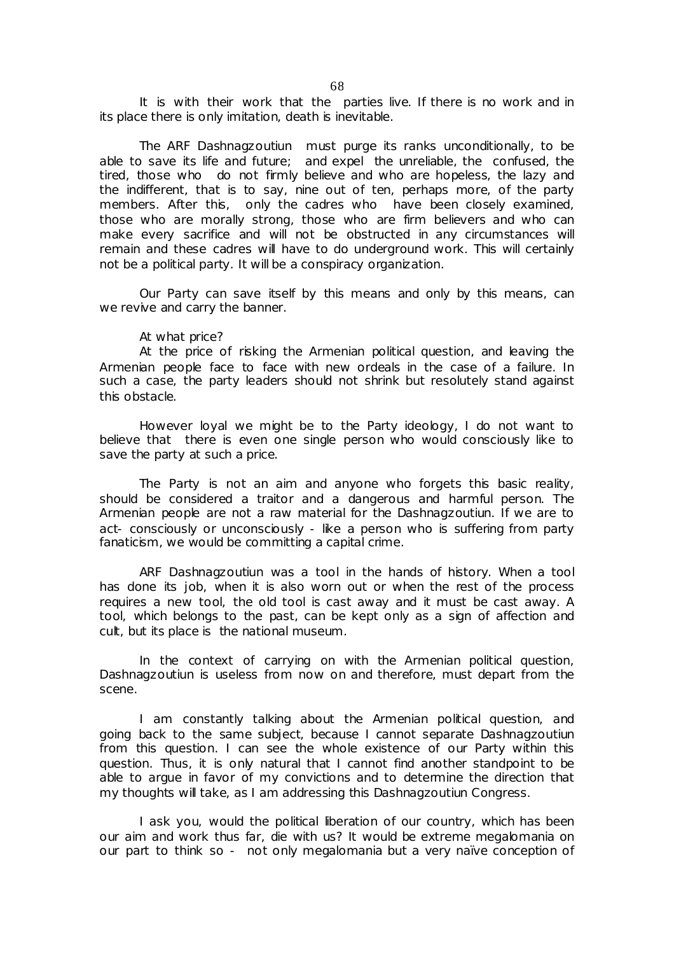It is with their work that the parties live. If there is no work and in its place there is only imitation, death is inevitable.

The ARF Dashnagzoutiun must purge its ranks unconditionally, to be able to save its life and future; and expel the unreliable, the confused, the tired, those who do not firmly believe and who are hopeless, the lazy and the indifferent, that is to say, nine out of ten, perhaps more, of the party members. After this, only the cadres who have been closely examined, those who are morally strong, those who are firm believers and who can make every sacrifice and will not be obstructed in any circumstances will remain and these cadres will have to do underground work. This will certainly not be a political party. It will be a conspiracy organization.

Our Party can save itself by this means and only by this means, can we revive and carry the banner.

#### At what price?

At the price of risking the Armenian political question, and leaving the Armenian people face to face with new ordeals in the case of a failure. In such a case, the party leaders should not shrink but resolutely stand against this obstacle.

However loyal we might be to the Party ideology, I do not want to believe that there is even one single person who would consciously like to save the party at such a price.

The Party is not an aim and anyone who forgets this basic reality, should be considered a traitor and a dangerous and harmful person. The Armenian people are not a raw material for the Dashnagzoutiun. If we are to act- consciously or unconsciously - like a person who is suffering from party fanaticism, we would be committing a capital crime.

ARF Dashnagzoutiun was a tool in the hands of history. When a tool has done its job, when it is also worn out or when the rest of the process requires a new tool, the old tool is cast away and it must be cast away. A tool, which belongs to the past, can be kept only as a sign of affection and cult, but its place is the national museum.

In the context of carrying on with the Armenian political question, Dashnagzoutiun is useless from now on and therefore, must depart from the scene.

I am constantly talking about the Armenian political question, and going back to the same subject, because I cannot separate Dashnagzoutiun from this question. I can see the whole existence of our Party within this question. Thus, it is only natural that I cannot find another standpoint to be able to argue in favor of my convictions and to determine the direction that my thoughts will take, as I am addressing this Dashnagzoutiun Congress.

I ask you, would the political liberation of our country, which has been our aim and work thus far, die with us? It would be extreme megalomania on our part to think so - not only megalomania but a very naïve conception of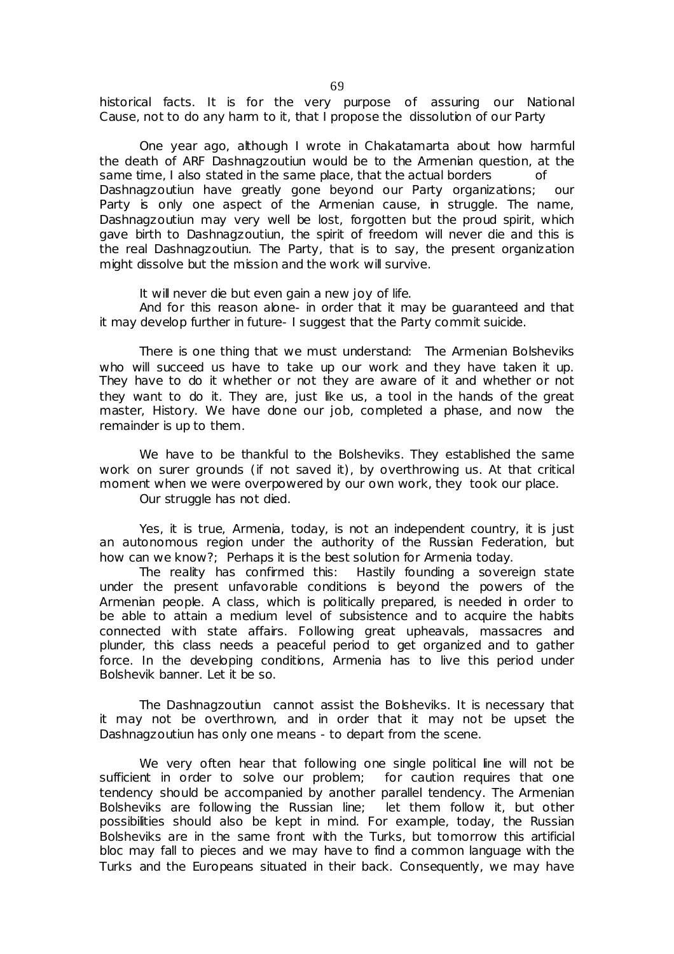historical facts. It is for the very purpose of assuring our National Cause, not to do any harm to it, that I propose the dissolution of our Party

One year ago, although I wrote in Chakatamarta about how harmful the death of ARF Dashnagzoutiun would be to the Armenian question, at the same time, I also stated in the same place, that the actual borders of Dashnagzoutiun have greatly gone beyond our Party organizations; our Party is only one aspect of the Armenian cause, in struggle. The name, Dashnagzoutiun may very well be lost, forgotten but the proud spirit, which gave birth to Dashnagzoutiun, the spirit of freedom will never die and this is the real Dashnagzoutiun. The Party, that is to say, the present organization might dissolve but the mission and the work will survive.

It will never die but even gain a new joy of life.

And for this reason alone- in order that it may be guaranteed and that it may develop further in future- I suggest that the Party commit suicide.

There is one thing that we must understand: The Armenian Bolsheviks who will succeed us have to take up our work and they have taken it up. They have to do it whether or not they are aware of it and whether or not they want to do it. They are, just like us, a tool in the hands of the great master, History. We have done our job, completed a phase, and now the remainder is up to them.

We have to be thankful to the Bolsheviks. They established the same work on surer grounds (if not saved it), by overthrowing us. At that critical moment when we were overpowered by our own work, they took our place.

Our struggle has not died.

Yes, it is true, Armenia, today, is not an independent country, it is just an autonomous region under the authority of the Russian Federation, but how can we know?; Perhaps it is the best solution for Armenia today.

The reality has confirmed this: Hastily founding a sovereign state under the present unfavorable conditions is beyond the powers of the Armenian people. A class, which is politically prepared, is needed in order to be able to attain a medium level of subsistence and to acquire the habits connected with state affairs. Following great upheavals, massacres and plunder, this class needs a peaceful period to get organized and to gather force. In the developing conditions, Armenia has to live this period under Bolshevik banner. Let it be so.

The Dashnagzoutiun cannot assist the Bolsheviks. It is necessary that it may not be overthrown, and in order that it may not be upset the Dashnagzoutiun has only one means - to depart from the scene.

We very often hear that following one single political line will not be sufficient in order to solve our problem; for caution requires that one tendency should be accompanied by another parallel tendency. The Armenian Bolsheviks are following the Russian line; let them follow it, but other possibilities should also be kept in mind. For example, today, the Russian Bolsheviks are in the same front with the Turks, but tomorrow this artificial bloc may fall to pieces and we may have to find a common language with the Turks and the Europeans situated in their back. Consequently, we may have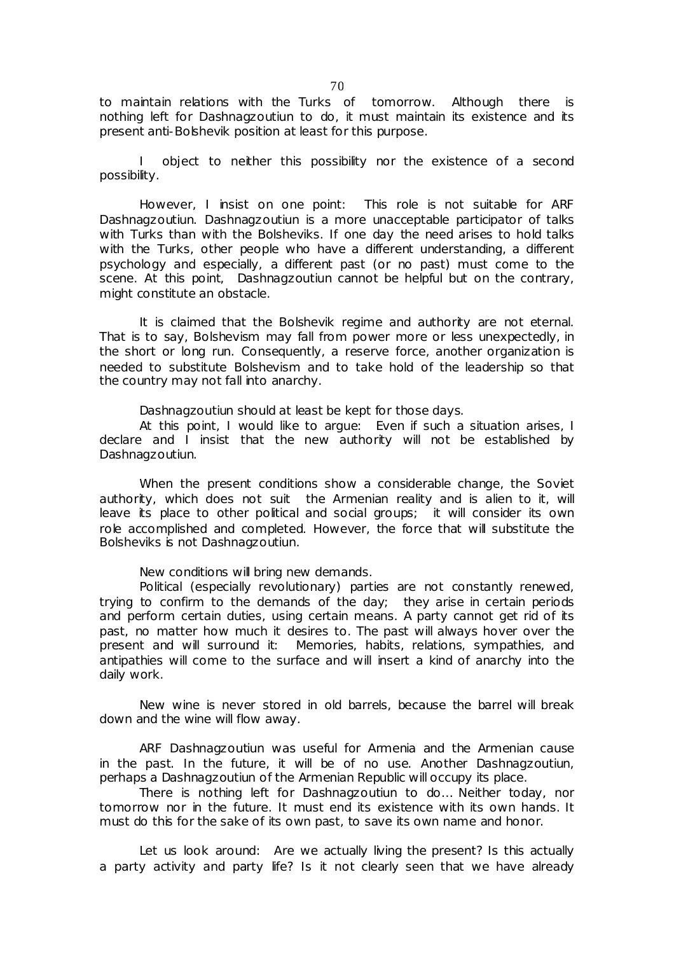to maintain relations with the Turks of tomorrow. Although there is nothing left for Dashnagzoutiun to do, it must maintain its existence and its present anti-Bolshevik position at least for this purpose.

I object to neither this possibility nor the existence of a second possibility.

However, I insist on one point: This role is not suitable for ARF Dashnagzoutiun. Dashnagzoutiun is a more unacceptable participator of talks with Turks than with the Bolsheviks. If one day the need arises to hold talks with the Turks, other people who have a different understanding, a different psychology and especially, a different past (or no past) must come to the scene. At this point, Dashnagzoutiun cannot be helpful but on the contrary, might constitute an obstacle.

It is claimed that the Bolshevik regime and authority are not eternal. That is to say, Bolshevism may fall from power more or less unexpectedly, in the short or long run. Consequently, a reserve force, another organization is needed to substitute Bolshevism and to take hold of the leadership so that the country may not fall into anarchy.

Dashnagzoutiun should at least be kept for those days.

At this point, I would like to argue: Even if such a situation arises, I declare and I insist that the new authority will not be established by Dashnagzoutiun.

When the present conditions show a considerable change, the Soviet authority, which does not suit the Armenian reality and is alien to it, will leave its place to other political and social groups; it will consider its own role accomplished and completed. However, the force that will substitute the Bolsheviks is not Dashnagzoutiun.

New conditions will bring new demands.

Political (especially revolutionary) parties are not constantly renewed, trying to confirm to the demands of the day; they arise in certain periods and perform certain duties, using certain means. A party cannot get rid of its past, no matter how much it desires to. The past will always hover over the present and will surround it: Memories, habits, relations, sympathies, and antipathies will come to the surface and will insert a kind of anarchy into the daily work.

New wine is never stored in old barrels, because the barrel will break down and the wine will flow away.

ARF Dashnagzoutiun was useful for Armenia and the Armenian cause in the past. In the future, it will be of no use. Another Dashnagzoutiun, perhaps a Dashnagzoutiun of the Armenian Republic will occupy its place.

There is nothing left for Dashnagzoutiun to do… Neither today, nor tomorrow nor in the future. It must end its existence with its own hands. It must do this for the sake of its own past, to save its own name and honor.

Let us look around: Are we actually living the present? Is this actually a party activity and party life? Is it not clearly seen that we have already